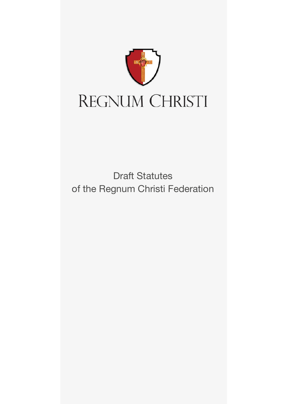

Draft Statutes of the Regnum Christi Federation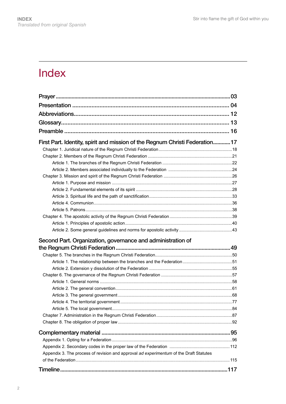# Index

| First Part. Identity, spirit and mission of the Regnum Christi Federation17            |  |
|----------------------------------------------------------------------------------------|--|
|                                                                                        |  |
|                                                                                        |  |
|                                                                                        |  |
|                                                                                        |  |
|                                                                                        |  |
|                                                                                        |  |
|                                                                                        |  |
|                                                                                        |  |
|                                                                                        |  |
|                                                                                        |  |
|                                                                                        |  |
| Second Part. Organization, governance and administration of                            |  |
|                                                                                        |  |
|                                                                                        |  |
|                                                                                        |  |
|                                                                                        |  |
|                                                                                        |  |
|                                                                                        |  |
|                                                                                        |  |
|                                                                                        |  |
|                                                                                        |  |
|                                                                                        |  |
|                                                                                        |  |
|                                                                                        |  |
|                                                                                        |  |
|                                                                                        |  |
|                                                                                        |  |
|                                                                                        |  |
| Appendix 3. The process of revision and approval ad experimentum of the Draft Statutes |  |
|                                                                                        |  |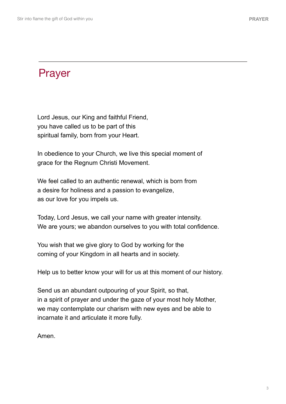# Prayer

Lord Jesus, our King and faithful Friend, you have called us to be part of this spiritual family, born from your Heart.

In obedience to your Church, we live this special moment of grace for the Regnum Christi Movement.

We feel called to an authentic renewal, which is born from a desire for holiness and a passion to evangelize, as our love for you impels us.

Today, Lord Jesus, we call your name with greater intensity. We are yours; we abandon ourselves to you with total confidence.

You wish that we give glory to God by working for the coming of your Kingdom in all hearts and in society.

Help us to better know your will for us at this moment of our history.

Send us an abundant outpouring of your Spirit, so that, in a spirit of prayer and under the gaze of your most holy Mother, we may contemplate our charism with new eyes and be able to incarnate it and articulate it more fully.

Amen.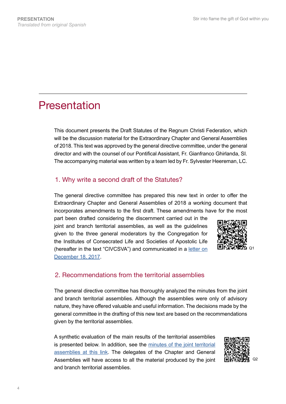# Presentation

This document presents the Draft Statutes of the Regnum Christi Federation, which will be the discussion material for the Extraordinary Chapter and General Assemblies of 2018. This text was approved by the general directive committee, under the general director and with the counsel of our Pontifical Assistant, Fr. Gianfranco Ghirlanda, SI. The accompanying material was written by a team led by Fr. Sylvester Heereman, LC.

# 1. Why write a second draft of the Statutes?

The general directive committee has prepared this new text in order to offer the Extraordinary Chapter and General Assemblies of 2018 a working document that incorporates amendments to the first draft. These amendments have for the most

part been drafted considering the discernment carried out in the joint and branch territorial assemblies, as well as the guidelines given to the three general moderators by the Congregation for the Institutes of Consecrated Life and Societies of Apostolic Life (hereafter in the text "CIVCSVA") and communicated in a [letter on](http://www.regnumchristi.org/rcstatutes/wp-content/uploads/2017/12/DG-LC-797-2017-English_Translation.pdf) [December 18, 2017](http://www.regnumchristi.org/rcstatutes/wp-content/uploads/2017/12/DG-LC-797-2017-English_Translation.pdf).



# 2. Recommendations from the territorial assemblies

The general directive committee has thoroughly analyzed the minutes from the joint and branch territorial assemblies. Although the assemblies were only of advisory nature, they have offered valuable and useful information. The decisions made by the general committee in the drafting of this new text are based on the recommendations given by the territorial assemblies.

A synthetic evaluation of the main results of the territorial assemblies is presented below. In addition, see the [minutes of the joint territorial](http://www.regnumchristi.org/rcstatutes/es/resultados-de-las-asambleas-territoriales-comunes/) [assemblies at this link](http://www.regnumchristi.org/rcstatutes/es/resultados-de-las-asambleas-territoriales-comunes/). The delegates of the Chapter and General Assemblies will have access to all the material produced by the joint and branch territorial assemblies.

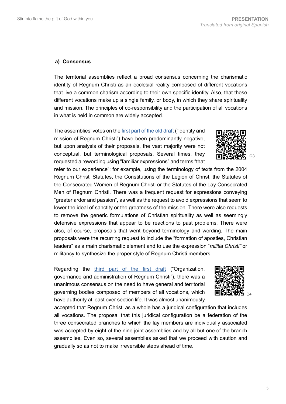### **a) Consensus**

The territorial assemblies reflect a broad consensus concerning the charismatic identity of Regnum Christi as an ecclesial reality composed of different vocations that live a common charism according to their own specific identity. Also, that these different vocations make up a single family, or body, in which they share spirituality and mission. The principles of co-responsibility and the participation of all vocations in what is held in common are widely accepted.

The assemblies' votes on the [first part of the old draft](http://www.regnumchristi.org/rcstatutes/wp-content/uploads/2017/07/BEGRC-170727-DG-RC-0370-2017.pdf) ("identity and mission of Regnum Christi") have been predominantly negative, but upon analysis of their proposals, the vast majority were not conceptual, but terminological proposals. Several times, they requested a rewording using "familiar expressions" and terms "that

refer to our experience"; for example, using the terminology of texts from the 2004 Regnum Christi Statutes, the Constitutions of the Legion of Christ, the Statutes of the Consecrated Women of Regnum Christi or the Statutes of the Lay Consecrated Men of Regnum Christi. There was a frequent request for expressions conveying "greater ardor and passion", as well as the request to avoid expressions that seem to lower the ideal of sanctity or the greatness of the mission. There were also requests to remove the generic formulations of Christian spirituality as well as seemingly defensive expressions that appear to be reactions to past problems. There were also, of course, proposals that went beyond terminology and wording. The main proposals were the recurring request to include the "formation of apostles, Christian leaders" as a main charismatic element and to use the expression "*militia Christi"* or militancy to synthesize the proper style of Regnum Christi members.

Regarding the [third part of the first draft](http://www.regnumchristi.org/rcstatutes/wp-content/uploads/2017/07/BEGRC-170727-DG-RC-0370-2017.pdf) ("Organization, governance and administration of Regnum Christi"), there was a unanimous consensus on the need to have general and territorial governing bodies composed of members of all vocations, which have authority at least over section life. It was almost unanimously



accepted that Regnum Christi as a whole has a juridical configuration that includes all vocations. The proposal that this juridical configuration be a federation of the three consecrated branches to which the lay members are individually associated was accepted by eight of the nine joint assemblies and by all but one of the branch assemblies. Even so, several assemblies asked that we proceed with caution and gradually so as not to make irreversible steps ahead of time.

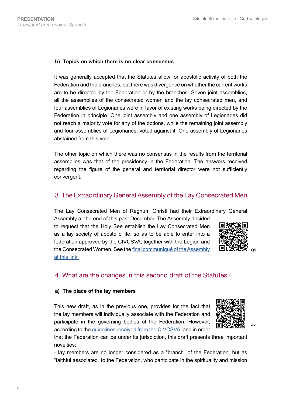### **b) Topics on which there is no clear consensus**

It was generally accepted that the Statutes allow for apostolic activity of both the Federation and the branches, but there was divergence on whether the current works are to be directed by the Federation or by the branches. Seven joint assemblies, all the assemblies of the consecrated women and the lay consecrated men, and four assemblies of Legionaries were in favor of existing works being directed by the Federation in principle. One joint assembly and one assembly of Legionaries did not reach a majority vote for any of the options, while the remaining joint assembly and four assemblies of Legionaries, voted against it. One assembly of Legionaries abstained from this vote.

The other topic on which there was no consensus in the results from the territorial assemblies was that of the presidency in the Federation. The answers received regarding the figure of the general and territorial director were not sufficiently convergent.

# 3. The Extraordinary General Assembly of the Lay Consecrated Men

The Lay Consecrated Men of Regnum Christi had their Extraordinary General

Assembly at the end of this past December. The Assembly decided to request that the Holy See establish the Lay Consecrated Men as a lay society of apostolic life, so as to be able to enter into a federation approved by the CIVCSVA, together with the Legion and the Consecrated Women. See the [final communiqué of the Assembly](http://laicosconsagradosrc.org/comunicado-asamblea-general-extraordinaria/)  [at this link.](http://laicosconsagradosrc.org/comunicado-asamblea-general-extraordinaria/)



# 4. What are the changes in this second draft of the Statutes?

### **a) The place of the lay members**

This new draft, as in the previous one, provides for the fact that the lay members will individually associate with the Federation and participate in the governing bodies of the Federation. However, according to the [guidelines received from the CIVCSVA](http://www.regnumchristi.org/rcstatutes/wp-content/uploads/2017/12/DG-LC-797-2017-English_Translation.pdf), and in order



Q6

that the Federation can be under its jurisdiction, this draft presents three important novelties:

- lay members are no longer considered as a "branch" of the Federation, but as "faithful associated" to the Federation, who participate in the spirituality and mission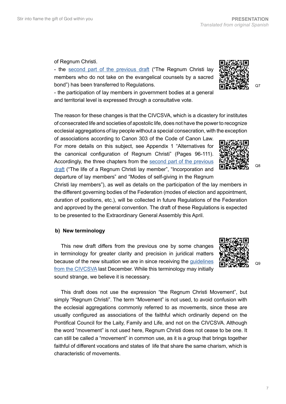### of Regnum Christi.

- the [second part of the previous draft](http://www.regnumchristi.org/rcstatutes/wp-content/uploads/2017/07/BEGRC-170727-DG-RC-0370-2017.pdf) ("The Regnum Christi lay members who do not take on the evangelical counsels by a sacred bond") has been transferred to Regulations.

- the participation of lay members in government bodies at a general and territorial level is expressed through a consultative vote.

The reason for these changes is that the CIVCSVA, which is a dicastery for institutes of consecrated life and societies of apostolic life, does not have the power to recognize ecclesial aggregations of lay people without a special consecration, with the exception

of associations according to Canon 303 of the Code of Canon Law. For more details on this subject, see Appendix 1 "Alternatives for the canonical configuration of Regnum Christi" (Pages 96-111). Accordingly, the three chapters from the [second part of the previous](http://www.regnumchristi.org/rcstatutes/wp-content/uploads/2017/07/BEGRC-170727-DG-RC-0370-2017.pdf)  [draft](http://www.regnumchristi.org/rcstatutes/wp-content/uploads/2017/07/BEGRC-170727-DG-RC-0370-2017.pdf) ("The life of a Regnum Christi lay member", "Incorporation and departure of lay members" and "Modes of self-giving in the Regnum

Christi lay members"), as well as details on the participation of the lay members in the different governing bodies of the Federation (modes of election and appointment, duration of positions, etc.), will be collected in future Regulations of the Federation and approved by the general convention. The draft of these Regulations is expected to be presented to the Extraordinary General Assembly this April.

# **b) New terminology**

This new draft differs from the previous one by some changes in terminology for greater clarity and precision in juridical matters because of the new situation we are in since receiving the [guidelines](http://www.regnumchristi.org/rcstatutes/wp-content/uploads/2017/12/DG-LC-797-2017-English_Translation.pdf)  [from the CIVCSVA](http://www.regnumchristi.org/rcstatutes/wp-content/uploads/2017/12/DG-LC-797-2017-English_Translation.pdf) last December. While this terminology may initially sound strange, we believe it is necessary.

This draft does not use the expression "the Regnum Christi Movement", but simply "Regnum Christi". The term "Movement" is not used, to avoid confusion with the ecclesial aggregations commonly referred to as movements, since these are usually configured as associations of the faithful which ordinarily depend on the Pontifical Council for the Laity, Family and Life, and not on the CIVCSVA. Although the word "movement" is not used here, Regnum Christi does not cease to be one. It can still be called a "movement" in common use, as it is a group that brings together faithful of different vocations and states of life that share the same charism, which is characteristic of movements.





 $O<sub>9</sub>$ 

Q8

 $O<sub>7</sub>$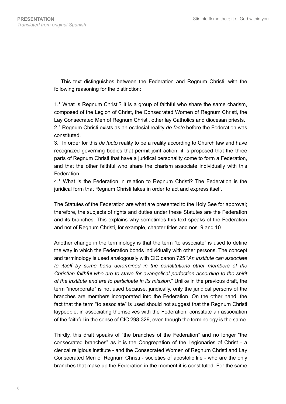This text distinguishes between the Federation and Regnum Christi, with the following reasoning for the distinction:

1.° What is Regnum Christi? It is a group of faithful who share the same charism, composed of the Legion of Christ, the Consecrated Women of Regnum Christi, the Lay Consecrated Men of Regnum Christi, other lay Catholics and diocesan priests. 2.° Regnum Christi exists as an ecclesial reality *de facto* before the Federation was constituted.

3.° In order for this *de facto* reality to be a reality according to Church law and have recognized governing bodies that permit joint action, it is proposed that the three parts of Regnum Christi that have a juridical personality come to form a Federation, and that the other faithful who share the charism associate individually with this **Federation** 

4.° What is the Federation in relation to Regnum Christi? The Federation is the juridical form that Regnum Christi takes in order to act and express itself.

The Statutes of the Federation are what are presented to the Holy See for approval; therefore, the subjects of rights and duties under these Statutes are the Federation and its branches. This explains why sometimes this text speaks of the Federation and not of Regnum Christi, for example, chapter titles and nos. 9 and 10.

Another change in the terminology is that the term "to associate" is used to define the way in which the Federation bonds individually with other persons. The concept and terminology is used analogously with CIC canon 725 "*An institute can associate to itself by some bond determined in the constitutions other members of the Christian faithful who are to strive for evangelical perfection according to the spirit of the institute and are to participate in its mission.*" Unlike in the previous draft, the term "incorporate" is not used because, juridically, only the juridical persons of the branches are members incorporated into the Federation. On the other hand, the fact that the term "to associate" is used should not suggest that the Regnum Christi laypeople, in associating themselves with the Federation, constitute an association of the faithful in the sense of CIC 298-329, even though the terminology is the same.

Thirdly, this draft speaks of "the branches of the Federation" and no longer "the consecrated branches" as it is the Congregation of the Legionaries of Christ - a clerical religious institute - and the Consecrated Women of Regnum Christi and Lay Consecrated Men of Regnum Christi - societies of apostolic life - who are the only branches that make up the Federation in the moment it is constituted. For the same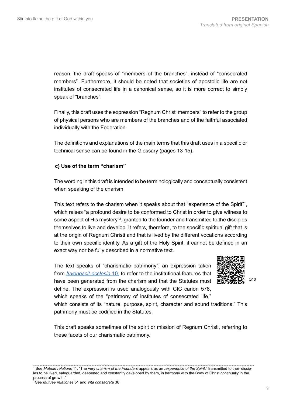reason, the draft speaks of "members of the branches", instead of "consecrated members". Furthermore, it should be noted that societies of apostolic life are not institutes of consecrated life in a canonical sense, so it is more correct to simply speak of "branches".

Finally, this draft uses the expression "Regnum Christi members" to refer to the group of physical persons who are members of the branches and of the faithful associated individually with the Federation.

The definitions and explanations of the main terms that this draft uses in a specific or technical sense can be found in the Glossary (pages 13-15).

### **c) Use of the term "charism"**

The wording in this draft is intended to be terminologically and conceptually consistent when speaking of the charism.

This text refers to the charism when it speaks about that "experience of the Spirit"<sup>1</sup>, which raises "a profound desire to be conformed to Christ in order to give witness to some aspect of His mystery"?, granted to the founder and transmitted to the disciples themselves to live and develop. It refers, therefore, to the specific spiritual gift that is at the origin of Regnum Christi and that is lived by the different vocations according to their own specific identity. As a gift of the Holy Spirit, it cannot be defined in an exact way nor be fully described in a normative text.

The text speaks of "charismatic patrimony", an expression taken from *[Iuvenescit ecclesia](http://www.vatican.va/roman_curia/congregations/cfaith/documents/rc_con_cfaith_doc_20160516_iuvenescit-ecclesia_en.html)* 10, to refer to the institutional features that have been generated from the charism and that the Statutes must define. The expression is used analogously with CIC canon 578, which speaks of the "patrimony of institutes of consecrated life,"



Q10

which consists of its "nature, purpose, spirit, character and sound traditions." This patrimony must be codified in the Statutes.

This draft speaks sometimes of the spirit or mission of Regnum Christi, referring to these facets of our charismatic patrimony.

<sup>&</sup>lt;sup>1</sup> See *Mutuae relations* 11: "The very *charism of the Founders* appears as an "experience of the Spirit," transmitted to their disciples to be lived, safeguarded, deepened and constantly developed by them, in harmony with the Body of Christ continually in the process of growth."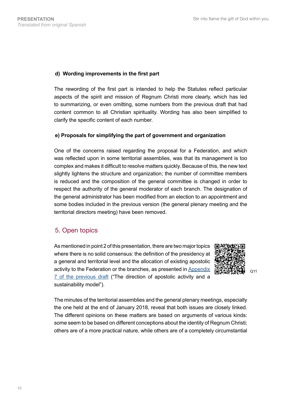### **d) Wording improvements in the first part**

The rewording of the first part is intended to help the Statutes reflect particular aspects of the spirit and mission of Regnum Christi more clearly, which has led to summarizing, or even omitting, some numbers from the previous draft that had content common to all Christian spirituality. Wording has also been simplified to clarify the specific content of each number.

### **e) Proposals for simplifying the part of government and organization**

One of the concerns raised regarding the proposal for a Federation, and which was reflected upon in some territorial assemblies, was that its management is too complex and makes it difficult to resolve matters quickly. Because of this, the new text slightly lightens the structure and organization; the number of committee members is reduced and the composition of the general committee is changed in order to respect the authority of the general moderator of each branch. The designation of the general administrator has been modified from an election to an appointment and some bodies included in the previous version (the general plenary meeting and the territorial directors meeting) have been removed.

# 5. Open topics

As mentioned in point 2 of this presentation, there are two major topics where there is no solid consensus: the definition of the presidency at a general and territorial level and the allocation of existing apostolic activity to the Federation or the branches, as presented in Appendix [7 of the previous draft](http://www.regnumchristi.org/rcstatutes/wp-content/uploads/2017/07/Anexo%207%20170728%20(DG-RC%200448-2017).pdf) ("The direction of apostolic activity and a sustainability model").



Q11

The minutes of the territorial assemblies and the general plenary meetings, especially the one held at the end of January 2018, reveal that both issues are closely linked. The different opinions on these matters are based on arguments of various kinds: some seem to be based on different conceptions about the identity of Regnum Christi; others are of a more practical nature, while others are of a completely circumstantial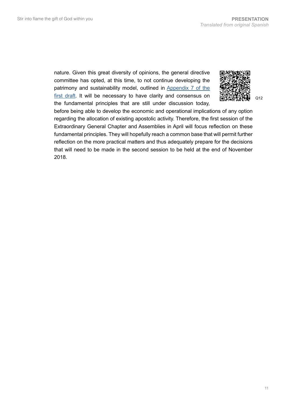nature. Given this great diversity of opinions, the general directive committee has opted, at this time, to not continue developing the patrimony and sustainability model, outlined in [Appendix 7 of the](http://www.regnumchristi.org/rcstatutes/wp-content/uploads/2017/07/Anexo%207%20170728%20(DG-RC%200448-2017).pdf)  [first draft](http://www.regnumchristi.org/rcstatutes/wp-content/uploads/2017/07/Anexo%207%20170728%20(DG-RC%200448-2017).pdf). It will be necessary to have clarity and consensus on the fundamental principles that are still under discussion today,



Q12

before being able to develop the economic and operational implications of any option regarding the allocation of existing apostolic activity. Therefore, the first session of the Extraordinary General Chapter and Assemblies in April will focus reflection on these fundamental principles. They will hopefully reach a common base that will permit further reflection on the more practical matters and thus adequately prepare for the decisions that will need to be made in the second session to be held at the end of November 2018.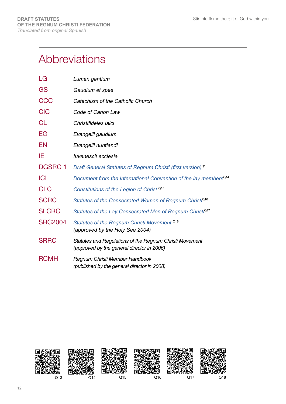# Abbreviations

| LG             | Lumen gentium                                                                                         |
|----------------|-------------------------------------------------------------------------------------------------------|
| GS             | Gaudium et spes                                                                                       |
| <b>CCC</b>     | Catechism of the Catholic Church                                                                      |
| <b>CIC</b>     | Code of Canon Law                                                                                     |
| <b>CL</b>      | Christifideles laici                                                                                  |
| EG             | Evangelii gaudium                                                                                     |
| EN             | Evangelii nuntiandi                                                                                   |
| ΙE             | luvenescit ecclesia                                                                                   |
| <b>DGSRC1</b>  | <b>Draft General Statutes of Regnum Christi (first version)</b> <sup>Q13</sup>                        |
| <b>ICL</b>     | Document from the International Convention of the lay members <sup>Q14</sup>                          |
| <b>CLC</b>     | Constitutions of the Legion of Christ <sup>015</sup>                                                  |
| <b>SCRC</b>    | Statutes of the Consecrated Women of Regnum Christi <sup>Q16</sup>                                    |
| <b>SLCRC</b>   | Statutes of the Lay Consecrated Men of Regnum Christi <sup>Q17</sup>                                  |
| <b>SRC2004</b> | <b>Statutes of the Regnum Christi Movement Q18</b><br>(approved by the Holy See 2004)                 |
| <b>SRRC</b>    | Statutes and Regulations of the Regnum Christi Movement<br>(approved by the general director in 2006) |
| <b>RCMH</b>    | Regnum Christi Member Handbook<br>(published by the general director in 2008)                         |

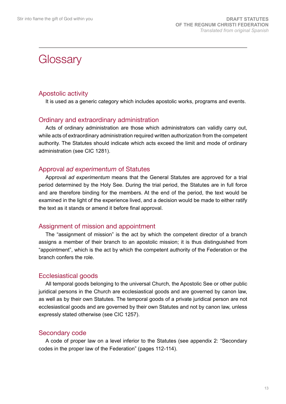# **Glossary**

# Apostolic activity

It is used as a generic category which includes apostolic works, programs and events.

# Ordinary and extraordinary administration

Acts of ordinary administration are those which administrators can validly carry out, while acts of extraordinary administration required written authorization from the competent authority. The Statutes should indicate which acts exceed the limit and mode of ordinary administration (see CIC 1281).

### Approval *ad experimentum* of Statutes

Approval *ad experimentum* means that the General Statutes are approved for a trial period determined by the Holy See. During the trial period, the Statutes are in full force and are therefore binding for the members. At the end of the period, the text would be examined in the light of the experience lived, and a decision would be made to either ratify the text as it stands or amend it before final approval.

# Assignment of mission and appointment

The "assignment of mission" is the act by which the competent director of a branch assigns a member of their branch to an apostolic mission; it is thus distinguished from "appointment", which is the act by which the competent authority of the Federation or the branch confers the role.

# Ecclesiastical goods

All temporal goods belonging to the universal Church, the Apostolic See or other public juridical persons in the Church are ecclesiastical goods and are governed by canon law, as well as by their own Statutes. The temporal goods of a private juridical person are not ecclesiastical goods and are governed by their own Statutes and not by canon law, unless expressly stated otherwise (see CIC 1257).

# Secondary code

A code of proper law on a level inferior to the Statutes (see appendix 2: "Secondary codes in the proper law of the Federation" (pages 112-114).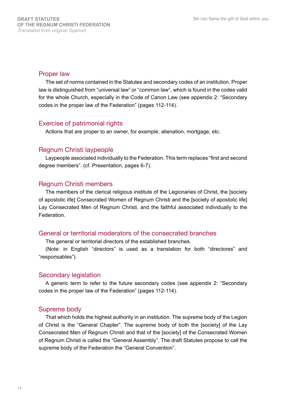### Proper law

The set of norms contained in the Statutes and secondary codes of an institution. Proper law is distinguished from "universal law" or "common law", which is found in the codes valid for the whole Church, especially in the Code of Canon Law (see appendix 2: "Secondary codes in the proper law of the Federation" (pages 112-114).

# Exercise of patrimonial rights

Actions that are proper to an owner, for example, alienation, mortgage, etc.

### Regnum Christi laypeople

Laypeople associated individually to the Federation. This term replaces "first and second degree members". (cf. Presentation, pages 6-7).

### Regnum Christi members

The members of the clerical religious institute of the Legionaries of Christ, the [society of apostolic life] Consecrated Women of Regnum Christi and the [society of apostolic life] Lay Consecrated Men of Regnum Christi, and the faithful associated individually to the Federation.

### General or territorial moderators of the consecrated branches

The general or territorial directors of the established branches.

(Note: in English "directors" is used as a translation for both "directores" and "responsables").

### Secondary legislation

A generic term to refer to the future secondary codes (see appendix 2: "Secondary codes in the proper law of the Federation" (pages 112-114).

# Supreme body

That which holds the highest authority in an institution. The supreme body of the Legion of Christ is the "General Chapter". The supreme body of both the [society] of the Lay Consecrated Men of Regnum Christi and that of the [society] of the Consecrated Women of Regnum Christi is called the "General Assembly". The draft Statutes propose to call the supreme body of the Federation the "General Convention".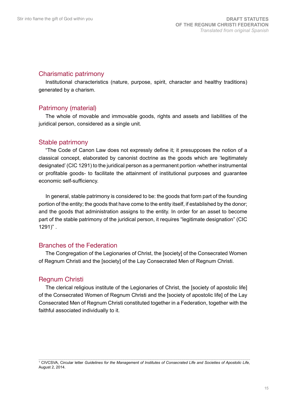### Charismatic patrimony

Institutional characteristics (nature, purpose, spirit, character and healthy traditions) generated by a charism.

### Patrimony (material)

The whole of movable and immovable goods, rights and assets and liabilities of the juridical person, considered as a single unit.

### Stable patrimony

"The Code of Canon Law does not expressly define it; it presupposes the notion of a classical concept, elaborated by canonist doctrine as the goods which are 'legitimately designated' (CIC 1291) to the juridical person as a permanent portion -whether instrumental or profitable goods- to facilitate the attainment of institutional purposes and guarantee economic self-sufficiency.

In general, stable patrimony is considered to be: the goods that form part of the founding portion of the entity; the goods that have come to the entity itself, if established by the donor; and the goods that administration assigns to the entity. In order for an asset to become part of the stable patrimony of the juridical person, it requires "legitimate designation" (CIC 1291)" .

### Branches of the Federation

The Congregation of the Legionaries of Christ, the [society] of the Consecrated Women of Regnum Christi and the [society] of the Lay Consecrated Men of Regnum Christi.

# Regnum Christi

The clerical religious institute of the Legionaries of Christ, the [society of apostolic life] of the Consecrated Women of Regnum Christi and the [society of apostolic life] of the Lay Consecrated Men of Regnum Christi constituted together in a Federation, together with the faithful associated individually to it.

<sup>1</sup> CIVCSVA, Circular letter *Guidelines for the Management of Institutes of Consecrated LIfe and Societies of Apostolic Life*, August 2, 2014.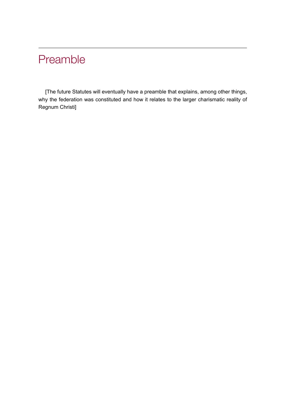# Preamble

[The future Statutes will eventually have a preamble that explains, among other things, why the federation was constituted and how it relates to the larger charismatic reality of Regnum Christi]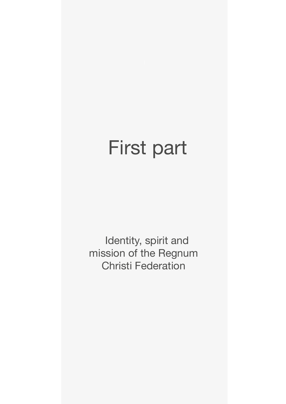# First part

Identity, spirit and mission of the Regnum Christi Federation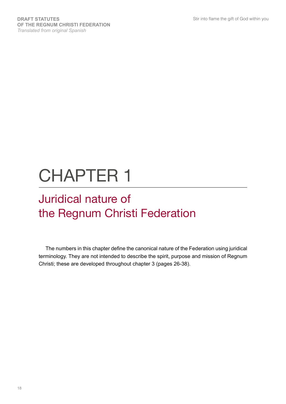# CHAPTER 1

# Juridical nature of the Regnum Christi Federation

The numbers in this chapter define the canonical nature of the Federation using juridical terminology. They are not intended to describe the spirit, purpose and mission of Regnum Christi; these are developed throughout chapter 3 (pages 26-38).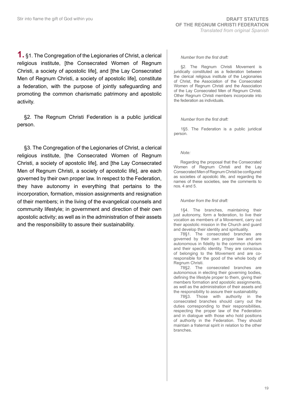**1.** §1. The Congregation of the Legionaries of Christ, a clerical religious institute, [the Consecrated Women of Regnum Christi, a society of apostolic life], and [the Lay Consecrated Men of Regnum Christi, a society of apostolic life], constitute a federation, with the purpose of jointly safeguarding and promoting the common charismatic patrimony and apostolic activity.

§2. The Regnum Christi Federation is a public juridical person.

§3. The Congregation of the Legionaries of Christ, a clerical religious institute, [the Consecrated Women of Regnum Christi, a society of apostolic life], and [the Lay Consecrated Men of Regnum Christi, a society of apostolic life], are each governed by their own proper law. In respect to the Federation, they have autonomy in everything that pertains to the incorporation, formation, mission assignments and resignation of their members; in the living of the evangelical counsels and community lifestyle; in government and direction of their own apostolic activity; as well as in the administration of their assets and the responsibility to assure their sustainability.

### *Number from the first draft:*

§2. The Regnum Christi Movement is juridically constituted as a federation between the clerical religious institute of the Legionaries of Christ, the Association of the Consecrated Women of Regnum Christi and the Association of the Lay Consecrated Men of Regnum Christi. Other Regnum Christi members incorporate into the federation as individuals.

### *Number from the first draft:*

1§5. The Federation is a public juridical person.

### *Note:*

Regarding the proposal that the Consecrated Women of Regnum Christi and the Lay Consecrated Men of Regnum Christi be configured as societies of apostolic life, and regarding the names of these societies, see the comments to nos. 4 and 5.

### *Number from the first draft:*

1§4. The branches, maintaining their just autonomy, form a federation, to live their vocation as members of a Movement, carry out their apostolic mission in the Church and guard and develop their identity and spirituality.

78§1. The consecrated branches are governed by their own proper law and are autonomous in fidelity to the common charism and their specific identity. They are conscious of belonging to the Movement and are coresponsible for the good of the whole body of Regnum Christi.

78§2. The consecrated branches are autonomous in electing their governing bodies, defining the lifestyle proper to them, giving their members formation and apostolic assignments, as well as the administration of their assets and the responsibility to assure their sustainability.

78§3. Those with authority in the consecrated branches should carry out the duties corresponding to their responsibilities, respecting the proper law of the Federation and in dialogue with those who hold positions of authority in the Federation. They should maintain a fraternal spirit in relation to the other branches.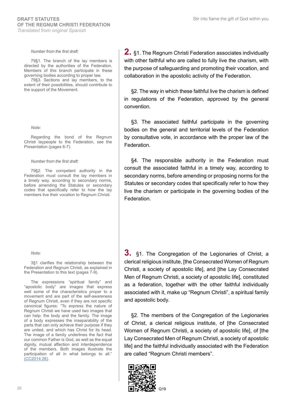### *Number from the first draft:*

79§1. The branch of the lay members is directed by the authorities of the Federation. Members of this branch participate in these governing bodies according to proper law.

79§3. Sections and lay members, to the extent of their possibilities, should contribute to the support of the Movement.

#### *Note:*

Regarding the bond of the Regnum Christi laypeople to the Federation, see the Presentation (pages 6-7).

#### *Number from the first draft:*

79§2. The competent authority in the Federation must consult the lay members in a timely way, according to secondary norms, before amending the Statutes or secondary codes that specifically refer to how the lay members live their vocation to Regnum Christi.

#### *Note:*

3§1 clarifies the relationship between the Federation and Regnum Christi, as explained in the Presentation to this text (pages 7-9).

The expressions "spiritual family" and "apostolic body" are images that express well some of the characteristics proper to a movement and are part of the self-awareness of Regnum Christi, even if they are not specific canonical figures: "To express the nature of Regnum Christi we have used two images that can help: the body and the family. The image of a body expresses the inseparability of the parts that can only achieve their purpose if they are united, and which has Christ for its head. The image of a family underlines the fact that our common Father is God, as well as the equal dignity, mutual affection and interdependence of the members. Both images illustrate the participation of all in what belongs to all." [\(CC2014 26\).](http://legrc.org/regnum_db/archivosWord_db/la_lc_en_el_rc.pdf)

**2.** §1. The Regnum Christi Federation associates individually with other faithful who are called to fully live the charism, with the purpose of safeguarding and promoting their vocation, and collaboration in the apostolic activity of the Federation.

§2. The way in which these faithful live the charism is defined in regulations of the Federation, approved by the general convention.

§3. The associated faithful participate in the governing bodies on the general and territorial levels of the Federation by consultative vote, in accordance with the proper law of the Federation.

§4. The responsible authority in the Federation must consult the associated faithful in a timely way, according to secondary norms, before amending or proposing norms for the Statutes or secondary codes that specifically refer to how they live the charism or participate in the governing bodies of the Federation.

**3.** §1. The Congregation of the Legionaries of Christ, a clerical religious institute, [the Consecrated Women of Regnum Christi, a society of apostolic life], and [the Lay Consecrated Men of Regnum Christi, a society of apostolic life], constituted as a federation, together with the other faithful individually associated with it, make up "Regnum Christi", a spiritual family and apostolic body.

§2. The members of the Congregation of the Legionaries of Christ, a clerical religious institute, of [the Consecrated Women of Regnum Christi, a society of apostolic life], of [the Lay Consecrated Men of Regnum Christi, a society of apostolic life] and the faithful individually associated with the Federation are called "Regnum Christi members".

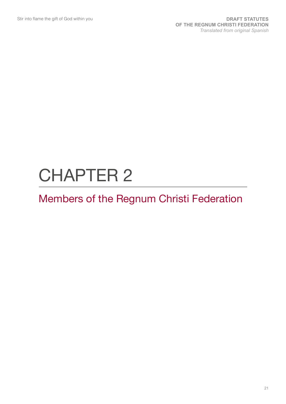# CHAPTER 2

# Members of the Regnum Christi Federation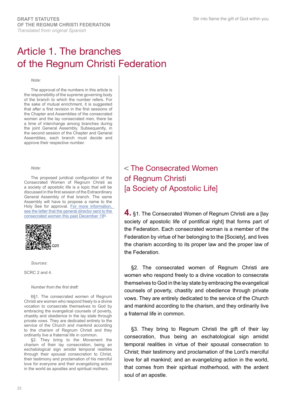# Article 1. The branches of the Regnum Christi Federation

#### *Note:*

The approval of the numbers in this article is the responsibility of the supreme governing body of the branch to which the number refers. For the sake of mutual enrichment, it is suggested that after a first revision in the first sessions of the Chapter and Assemblies of the consecrated women and the lay consecrated men, there be a time of interchange among branches during the joint General Assembly. Subsequently, in the second session of the Chapter and General Assemblies, each branch must decide and approve their respective number.

#### *Note:*

The proposed juridical configuration of the Consecrated Women of Regnum Christi as a society of apostolic life is a topic that will be discussed in the first session of the Extraordinary General Assembly of that branch. The same Assembly will have to propose a name to the Holy See for approval. For more information, see the letter that the general director sent to the [consecrated women this past December 19th.](http://www.regnumchristi.org/rcstatutes/wp-content/uploads/2018/02/Prot-DG-CRC-2098-2017-Sobre-la-configuracion-juridica-CRC.pdf)



*Sources:*

SCRC 2 and 4.

### *Number from the first draft:*

6§1. The consecrated women of Regnum Christi are women who respond freely to a divine vocation to consecrate themselves to God by embracing the evangelical counsels of poverty, chastity and obedience in the lay state through private vows. They are dedicated entirely to the service of the Church and mankind according to the charism of Regnum Christi and they ordinarily live a fraternal life in common.

§2. They bring to the Movement the charism of their lay consecration, being an eschatological sign amidst temporal realities through their spousal consecration to Christ, their testimony and proclamation of his merciful love for everyone and their evangelizing action in the world as apostles and spiritual mothers.

 The Consecrated Women of Regnum Christi [a Society of Apostolic Life]

**4.** §1. The Consecrated Women of Regnum Christi are a [lay society of apostolic life of pontifical right] that forms part of the Federation. Each consecrated woman is a member of the Federation by virtue of her belonging to the [Society], and lives the charism according to its proper law and the proper law of the Federation.

§2. The consecrated women of Regnum Christi are women who respond freely to a divine vocation to consecrate themselves to God in the lay state by embracing the evangelical counsels of poverty, chastity and obedience through private vows. They are entirely dedicated to the service of the Church and mankind according to the charism, and they ordinarily live a fraternal life in common.

§3. They bring to Regnum Christi the gift of their lay consecration, thus being an eschatological sign amidst temporal realities in virtue of their spousal consecration to Christ; their testimony and proclamation of the Lord's merciful love for all mankind; and an evangelizing action in the world, that comes from their spiritual motherhood, with the ardent soul of an apostle.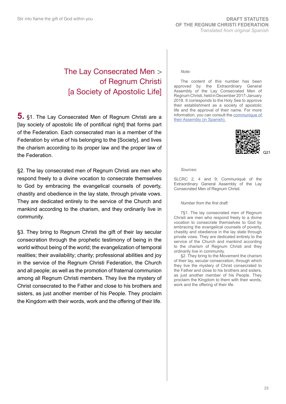# The Lay Consecrated Men of Regnum Christi [a Society of Apostolic Life]

**5.** §1. The Lay Consecrated Men of Regnum Christi are a [lay society of apostolic life of pontifical right] that forms part of the Federation. Each consecrated man is a member of the Federation by virtue of his belonging to the [Society], and lives the charism according to its proper law and the proper law of the Federation.

§2. The lay consecrated men of Regnum Christi are men who respond freely to a divine vocation to consecrate themselves to God by embracing the evangelical counsels of poverty, chastity and obedience in the lay state, through private vows. They are dedicated entirely to the service of the Church and mankind according to the charism, and they ordinarily live in community.

§3. They bring to Regnum Christi the gift of their lay secular consecration through the prophetic testimony of being in the world without being of the world; the evangelization of temporal realities; their availability; charity; professional abilities and joy in the service of the Regnum Christi Federation, the Church and all people; as well as the promotion of fraternal communion among all Regnum Christi members. They live the mystery of Christ consecrated to the Father and close to his brothers and sisters, as just another member of his People. They proclaim the Kingdom with their words, work and the offering of their life.

### *Note:*

The content of this number has been approved by the Extraordinary General Assembly of the Lay Consecrated Men of Regnum Christi, held in December 2017-January 2018. It corresponds to the Holy See to approve their establishment as a society of apostolic life and the approval of their name. For more information, you can consult the [communique of](http://laicosconsagradosrc.org/comunicado-asamblea-general-extraordinaria/)  [their Assembly \(in Spanish\).](http://laicosconsagradosrc.org/comunicado-asamblea-general-extraordinaria/)



*Sources:*

SLCRC 2, 4 and 9; Communiqué of the Extraordinary General Assembly of the Lay Consecrated Men of Regnum Christi.

#### *Number from the first draft:*

7§1. The lay consecrated men of Regnum Christi are men who respond freely to a divine vocation to consecrate themselves to God by embracing the evangelical counsels of poverty, chastity and obedience in the lay state through private vows. They are dedicated entirely to the service of the Church and mankind according to the charism of Regnum Christi and they ordinarily live in community.

§2. They bring to the Movement the charism of their lay, secular consecration, through which they live the mystery of Christ consecrated to the Father and close to his brothers and sisters, as just another member of his People. They proclaim the Kingdom to them with their words, work and the offering of their life.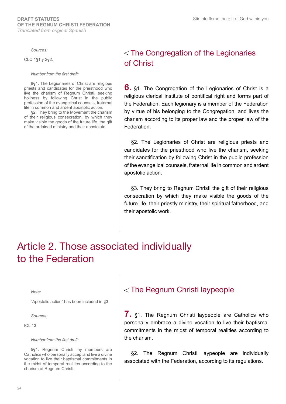#### *Sources:*

CLC 1§1 y 2§2.

*Number from the first draft:*

8§1. The Legionaries of Christ are religious priests and candidates for the priesthood who live the charism of Regnum Christi, seeking holiness by following Christ in the public profession of the evangelical counsels, fraternal life in common and ardent apostolic action.

§2. They bring to the Movement the charism of their religious consecration, by which they make visible the goods of the future life, the gift of the ordained ministry and their apostolate.

# The Congregation of the Legionaries of Christ

**6.** §1. The Congregation of the Legionaries of Christ is a religious clerical institute of pontifical right and forms part of the Federation. Each legionary is a member of the Federation by virtue of his belonging to the Congregation, and lives the charism according to its proper law and the proper law of the Federation.

§2. The Legionaries of Christ are religious priests and candidates for the priesthood who live the charism, seeking their sanctification by following Christ in the public profession of the evangelical counsels, fraternal life in common and ardent apostolic action.

§3. They bring to Regnum Christi the gift of their religious consecration by which they make visible the goods of the future life, their priestly ministry, their spiritual fatherhood, and their apostolic work.

# Article 2. Those associated individually to the Federation

*Note:*

"Apostolic action" has been included in §3.

*Sources:* 

ICL 13

*Number from the first draft:*

5§1. Regnum Christi lay members are Catholics who personally accept and live a divine vocation to live their baptismal commitments in the midst of temporal realities according to the charism of Regnum Christi.

# The Regnum Christi laypeople

**7.** §1. The Regnum Christi laypeople are Catholics who personally embrace a divine vocation to live their baptismal commitments in the midst of temporal realities according to the charism.

§2. The Regnum Christi laypeople are individually associated with the Federation, according to its regulations.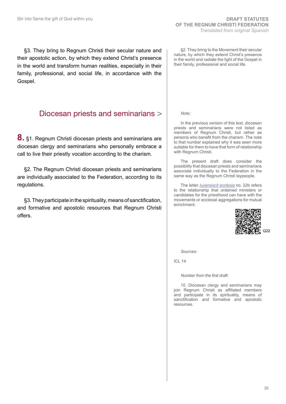§3. They bring to Regnum Christi their secular nature and their apostolic action, by which they extend Christ's presence in the world and transform human realities, especially in their family, professional, and social life, in accordance with the Gospel.

# Diocesan priests and seminarians

**8.** §1. Regnum Christi diocesan priests and seminarians are diocesan clergy and seminarians who personally embrace a call to live their priestly vocation according to the charism.

§2. The Regnum Christi diocesan priests and seminarians are individually associated to the Federation, according to its regulations.

§3. They participate in the spirituality, means of sanctification, and formative and apostolic resources that Regnum Christi offers.

§2. They bring to the Movement their secular nature, by which they extend Christ's presence in the world and radiate the light of the Gospel in their family, professional and social life.

*Note:*

In the previous version of this text, diocesan priests and seminarians were not listed as members of Regnum Christi, but rather as persons who benefit from the charism. The note to that number explained why it was seen more suitable for them to have that form of relationship with Regnum Christi.

The present draft does consider the possibility that diocesan priests and seminarians associate individually to the Federation in the same way as the Regnum Christi laypeople.

The letter *[Iuvenescit ecclesia](http://www.vatican.va/roman_curia/congregations/cfaith/documents/rc_con_cfaith_doc_20160516_iuvenescit-ecclesia_en.html)* no. 22b refers to the relationship that ordained ministers or candidates for the priesthood can have with the movements or ecclesial aggregations for mutual enrichment.



*Sources:* 

ICL 14

*Number from the first draft:*

10. Diocesan clergy and seminarians may join Regnum Christi as affiliated members and participate in its spirituality, means of sanctification and formative and apostolic resources.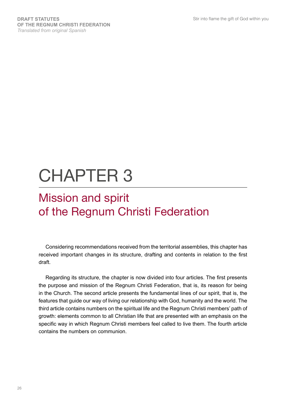# CHAPTER 3

# Mission and spirit of the Regnum Christi Federation

Considering recommendations received from the territorial assemblies, this chapter has received important changes in its structure, drafting and contents in relation to the first draft.

Regarding its structure, the chapter is now divided into four articles. The first presents the purpose and mission of the Regnum Christi Federation, that is, its reason for being in the Church. The second article presents the fundamental lines of our spirit, that is, the features that guide our way of living our relationship with God, humanity and the world. The third article contains numbers on the spiritual life and the Regnum Christi members' path of growth: elements common to all Christian life that are presented with an emphasis on the specific way in which Regnum Christi members feel called to live them. The fourth article contains the numbers on communion.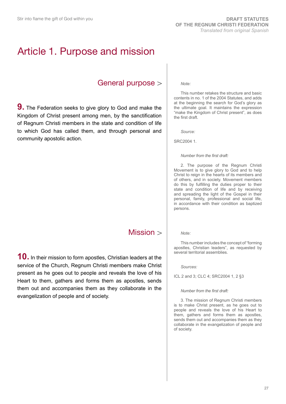# Article 1. Purpose and mission

# General purpose

**9.** The Federation seeks to give glory to God and make the Kingdom of Christ present among men, by the sanctification of Regnum Christi members in the state and condition of life to which God has called them, and through personal and community apostolic action.

# Mission >

**10.** In their mission to form apostles, Christian leaders at the service of the Church, Regnum Christi members make Christ present as he goes out to people and reveals the love of his Heart to them, gathers and forms them as apostles, sends them out and accompanies them as they collaborate in the evangelization of people and of society.

### *Note:*

This number retakes the structure and basic contents in no. 1 of the 2004 Statutes, and adds at the beginning the search for God's glory as the ultimate goal. It maintains the expression "make the Kingdom of Christ present", as does the first draft.

*Source:* 

SRC2004 1.

### *Number from the first draft:*

2. The purpose of the Regnum Christi Movement is to give glory to God and to help Christ to reign in the hearts of its members and of others, and in society. Movement members do this by fulfilling the duties proper to their state and condition of life and by receiving and spreading the light of the Gospel in their personal, family, professional and social life, in accordance with their condition as baptized persons.

### *Note:*

This number includes the concept of "forming apostles, Christian leaders", as requested by several territorial assemblies.

*Sources:* 

ICL 2 and 3; CLC 4; SRC2004 1, 2 §3

#### *Number from the first draft:*

3. The mission of Regnum Christi members is to make Christ present, as he goes out to people and reveals the love of his Heart to them, gathers and forms them as apostles, sends them out and accompanies them as they collaborate in the evangelization of people and of society.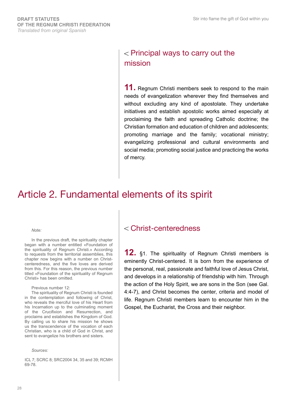# $\epsilon$  Principal ways to carry out the mission

**11.** Regnum Christi members seek to respond to the main needs of evangelization wherever they find themselves and without excluding any kind of apostolate. They undertake initiatives and establish apostolic works aimed especially at proclaiming the faith and spreading Catholic doctrine; the Christian formation and education of children and adolescents; promoting marriage and the family; vocational ministry; evangelizing professional and cultural environments and social media; promoting social justice and practicing the works of mercy.

# Article 2. Fundamental elements of its spirit

*Note:*

In the previous draft, the spirituality chapter began with a number entitled «Foundation of the spirituality of Regnum Christi.» According to requests from the territorial assemblies, this chapter now begins with a number on Christcenteredness, and the five loves are derived from this. For this reason, the previous number titled «Foundation of the spirituality of Regnum Christi» has been omitted.

Previous number 12:

The spirituality of Regnum Christi is founded in the contemplation and following of Christ, who reveals the merciful love of his Heart from his Incarnation up to the culminating moment of the Crucifixion and Resurrection, and proclaims and establishes the Kingdom of God. By calling us to share his mission he shows us the transcendence of the vocation of each Christian, who is a child of God in Christ, and sent to evangelize his brothers and sisters.

*Sources:*

ICL 7; SCRC 8; SRC2004 34, 35 and 39; RCMH 69-78.

# Christ-centeredness

**12.** §1. The spirituality of Regnum Christi members is eminently Christ-centered. It is born from the experience of the personal, real, passionate and faithful love of Jesus Christ, and develops in a relationship of friendship with him. Through the action of the Holy Spirit, we are sons in the Son (see Gal. 4:4-7), and Christ becomes the center, criteria and model of life. Regnum Christi members learn to encounter him in the Gospel, the Eucharist, the Cross and their neighbor.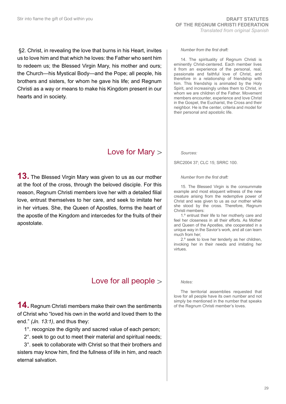§2. Christ, in revealing the love that burns in his Heart, invites us to love him and that which he loves: the Father who sent him to redeem us; the Blessed Virgin Mary, his mother and ours; the Church—his Mystical Body—and the Pope; all people, his brothers and sisters, for whom he gave his life; and Regnum Christi as a way or means to make his Kingdom present in our hearts and in society.

# Love for Mary

**13.** The Blessed Virgin Mary was given to us as our mother at the foot of the cross, through the beloved disciple. For this reason, Regnum Christi members love her with a detailed filial love, entrust themselves to her care, and seek to imitate her in her virtues. She, the Queen of Apostles, forms the heart of the apostle of the Kingdom and intercedes for the fruits of their apostolate.

# Love for all people

**14.** Regnum Christi members make their own the sentiments of Christ who "loved his own in the world and loved them to the end." *(Jn. 13:1)*, and thus they:

1°. recognize the dignity and sacred value of each person;

2°. seek to go out to meet their material and spiritual needs;

3°. seek to collaborate with Christ so that their brothers and sisters may know him, find the fullness of life in him, and reach eternal salvation.

### *Number from the first draft:*

14. The spirituality of Regnum Christi is eminently Christ-centered. Each member lives it from an experience of the personal, real, passionate and faithful love of Christ, and therefore in a relationship of friendship with him. This friendship is animated by the Holy Spirit, and increasingly unites them to Christ, in whom we are children of the Father. Movement members encounter, experience and love Christ in the Gospel, the Eucharist, the Cross and their neighbor. He is the center, criteria and model for their personal and apostolic life.

*Sources:*

SRC2004 37; CLC 15; SRRC 100.

### *Number from the first draft:*

15. The Blessed Virgin is the consummate example and most eloquent witness of the new creature arising from the redemptive power of Christ and was given to us as our mother while she stood by the cross. Therefore, Regnum Christi members:

1.º entrust their life to her motherly care and feel her closeness in all their efforts. As Mother and Queen of the Apostles, she cooperated in a unique way in the Savior's work, and all can learn much from her;

2.º seek to love her tenderly as her children, invoking her in their needs and imitating her virtues.

*Notes:*

The territorial assemblies requested that love for all people have its own number and not simply be mentioned in the number that speaks of the Regnum Christi member's loves.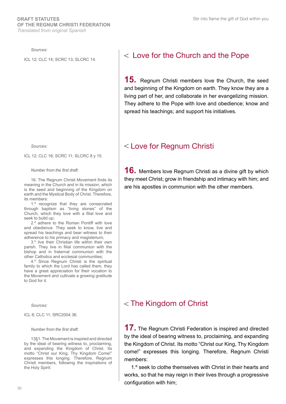*Sources:*

*Sources:*

ICL 12; CLC 16; SCRC 11; SLCRC 8 y 15.

### *Number from the first draft:*

16. The Regnum Christi Movement finds its meaning in the Church and in its mission, which is the seed and beginning of the Kingdom on earth and the Mystical Body of Christ. Therefore, its members:

1.º recognize that they are consecrated through baptism as "living stones" of the Church, which they love with a filial love and seek to build up;

2.º adhere to the Roman Pontiff with love and obedience. They seek to know, live and spread his teachings and bear witness to their adherence to his primacy and magisterium;

3.º live their Christian life within their own parish. They live in filial communion with the bishop and in fraternal communion with the other Catholics and ecclesial communities;

4.º Since Regnum Christi is the spiritual family to which the Lord has called them, they have a great appreciation for their vocation to the Movement and cultivate a growing gratitude to God for it.

*Sources:*

ICL 8; CLC 11; SRC2004 36.

#### *Number from the first draft:*

13§1. The Movement is inspired and directed by the ideal of bearing witness to, proclaiming, and expanding the Kingdom of Christ. Its motto "Christ our King, Thy Kingdom Come!" expresses this longing. Therefore, Regnum Christi members, following the inspirations of the Holy Spirit:

# ICL 12; CLC 14; SCRC 13; SLCRC 14.  $\vert$  < Love for the Church and the Pope

**15.** Regnum Christi members love the Church, the seed and beginning of the Kingdom on earth. They know they are a living part of her, and collaborate in her evangelizing mission. They adhere to the Pope with love and obedience; know and spread his teachings; and support his initiatives.

# Love for Regnum Christi

**16.** Members love Regnum Christi as a divine gift by which they meet Christ; grow in friendship and intimacy with him; and are his apostles in communion with the other members.

# $<$  The Kingdom of Christ

**17.** The Regnum Christi Federation is inspired and directed by the ideal of bearing witness to, proclaiming, and expanding the Kingdom of Christ. Its motto "Christ our King, Thy Kingdom come!" expresses this longing. Therefore, Regnum Christi members:

1.º seek to clothe themselves with Christ in their hearts and works, so that he may reign in their lives through a progressive configuration with him;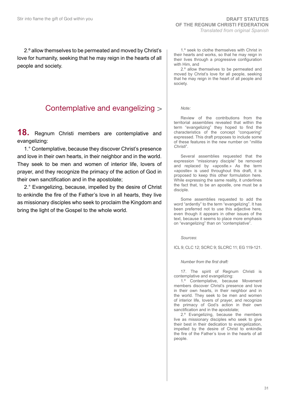2.º allow themselves to be permeated and moved by Christ's love for humanity, seeking that he may reign in the hearts of all people and society.

# Contemplative and evangelizing

**18.** Regnum Christi members are contemplative and evangelizing:

1.° Contemplative, because they discover Christ's presence and love in their own hearts, in their neighbor and in the world. They seek to be men and women of interior life, lovers of prayer, and they recognize the primacy of the action of God in their own sanctification and in the apostolate;

2.° Evangelizing, because, impelled by the desire of Christ to enkindle the fire of the Father's love in all hearts, they live as missionary disciples who seek to proclaim the Kingdom and bring the light of the Gospel to the whole world.

1.º seek to clothe themselves with Christ in their hearts and works, so that he may reign in their lives through a progressive configuration with Him, and

2.º allow themselves to be permeated and moved by Christ's love for all people, seeking that he may reign in the heart of all people and society.

### *Note:*

Review of the contributions from the territorial assemblies revealed that within the term "evangelizing" they hoped to find the characteristics of the concept "conquering" expressed. This draft proposes to include some of these features in the new number on "*militia Christi*".

Several assemblies requested that the expression "missionary disciple" be removed and replaced by «apostle.» As the term «apostle» is used throughout this draft, it is proposed to keep this other formulation here. While expressing the same reality, it underlines the fact that, to be an apostle, one must be a disciple.

Some assemblies requested to add the word "ardently" to the term "evangelizing". It has been preferred not to use this adjective here, even though it appears in other issues of the text, because it seems to place more emphasis on "evangelizing" than on "contemplative".

*Sources*:

ICL 9; CLC 12; SCRC 9; SLCRC 11; EG 119-121.

*Number from the first draft:*

17. The spirit of Regnum Christi is contemplative and evangelizing:

1.º Contemplative, because Movement members discover Christ's presence and love in their own hearts, in their neighbor and in the world. They seek to be men and women of interior life, lovers of prayer, and recognize the primacy of God's action in their own sanctification and in the apostolate;

2.º Evangelizing, because the members live as missionary disciples who seek to give their best in their dedication to evangelization, impelled by the desire of Christ to enkindle the fire of the Father's love in the hearts of all people.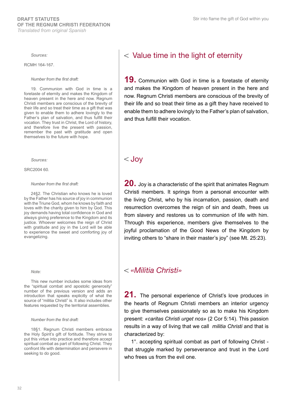*Sources:* 

RCMH 164-167.

*Number from the first draft:*

19. Communion with God in time is a foretaste of eternity and makes the Kingdom of heaven present in the here and now. Regnum Christi members are conscious of the brevity of their life and so treat their time as a gift that was given to enable them to adhere lovingly to the Father's plan of salvation, and thus fulfill their vocation. They trust in Christ, the Lord of history, and therefore live the present with passion, remember the past with gratitude and open themselves to the future with hope.

*Sources:*

SRC2004 60.

#### *Number from the first draft:*

24§2. The Christian who knows he is loved by the Father has his source of joy in communion with the Triune God, whom he knows by faith and loves with the charity given to him by God. This joy demands having total confidence in God and always giving preference to the Kingdom and its justice. Whoever welcomes the reign of Christ with gratitude and joy in the Lord will be able to experience the sweet and comforting joy of evangelizing.

### *Note:*

This new number includes some ideas from the "spiritual combat and apostolic generosity" number of the previous version and adds an introduction that speaks explicitly of what the source of "militia Christi" is. It also includes other features requested by the territorial assemblies.

#### *Number from the first draft:*

18§1. Regnum Christi members embrace the Holy Spirit's gift of fortitude. They strive to put this virtue into practice and therefore accept spiritual combat as part of following Christ. They confront life with determination and persevere in seeking to do good.

# $<$  Value time in the light of eternity

**19.** Communion with God in time is a foretaste of eternity and makes the Kingdom of heaven present in the here and now. Regnum Christi members are conscious of the brevity of their life and so treat their time as a gift they have received to enable them to adhere lovingly to the Father's plan of salvation, and thus fulfill their vocation.

# $<$  Jov

**20.** Joy is a characteristic of the spirit that animates Regnum Christi members. It springs from a personal encounter with the living Christ, who by his incarnation, passion, death and resurrection overcomes the reign of sin and death, frees us from slavery and restores us to communion of life with him. Through this experience, members give themselves to the joyful proclamation of the Good News of the Kingdom by inviting others to "share in their master's joy" (see Mt. 25:23).

# *«Militia Christi»*

21. The personal experience of Christ's love produces in the hearts of Regnum Christi members an interior urgency to give themselves passionately so as to make his Kingdom present: *«caritas Christi urget nos»* (2 Cor 5:14). This passion results in a way of living that we call *militia Christi* and that is characterized by:

1°. accepting spiritual combat as part of following Christ that struggle marked by perseverance and trust in the Lord who frees us from the evil one.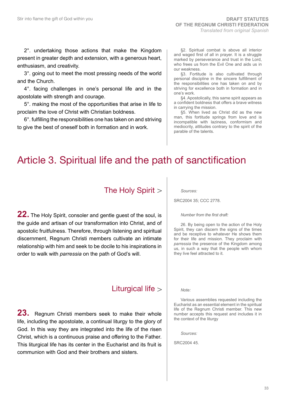2°. undertaking those actions that make the Kingdom present in greater depth and extension, with a generous heart, enthusiasm, and creativity.

3°. going out to meet the most pressing needs of the world and the Church.

4°. facing challenges in one's personal life and in the apostolate with strength and courage.

5°. making the most of the opportunities that arise in life to proclaim the love of Christ with Christian boldness.

6°. fulfilling the responsibilities one has taken on and striving to give the best of oneself both in formation and in work.

§2. Spiritual combat is above all interior and waged first of all in prayer. It is a struggle marked by perseverance and trust in the Lord, who frees us from the Evil One and aids us in our weakness.

§3. Fortitude is also cultivated through personal discipline in the sincere fulfillment of the responsibilities one has taken on and by striving for excellence both in formation and in one's work.

§4. Apostolically, this same spirit appears as a confident boldness that offers a brave witness in carrying the mission.

§5. When lived as Christ did as the new man, this fortitude springs from love and is incompatible with laziness, conformism and mediocrity, attitudes contrary to the spirit of the parable of the talents.

# Article 3. Spiritual life and the path of sanctification

# The Holy Spirit

**22.** The Holy Spirit, consoler and gentle guest of the soul, is the guide and artisan of our transformation into Christ, and of apostolic fruitfulness. Therefore, through listening and spiritual discernment, Regnum Christi members cultivate an intimate relationship with him and seek to be docile to his inspirations in order to walk with *parressia* on the path of God's will.

# Liturgical life

**23.** Regnum Christi members seek to make their whole life, including the apostolate, a continual liturgy to the glory of God. In this way they are integrated into the life of the risen Christ, which is a continuous praise and offering to the Father. This liturgical life has its center in the Eucharist and its fruit is communion with God and their brothers and sisters.

Spirit, they can discern the signs of the times and be receptive to whatever He shows them for their life and mission. They proclaim with *parressia* the presence of the Kingdom among us, in such a way that the people with whom they live feel attracted to it.

26. By being open to the action of the Holy

*Note:* 

*Sources:* 

SRC2004 35; CCC 2778.

*Number from the first draft:*

Various assemblies requested including the Eucharist as an essential element in the spiritual life of the Regnum Christi member. This new number accepts this request and includes it in the context of the liturgy

*Sources:* 

SRC2004 45.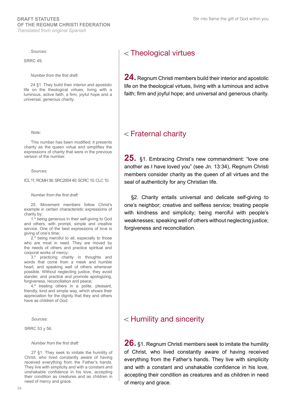### *Sources:*

SRRC 49.

*Number from the first draft:*

24 §1. They build their interior and apostolic life on the theological virtues, living with a luminous, active faith, a firm, joyful hope and a universal, generous charity.

#### *Note:*

This number has been modified; it presents charity as the queen virtue and simplifies the expressions of charity that were in the previous version of the number.

*Sources:* 

ICL 11; RCMH 36; SRC2004 40; SCRC 10; CLC 10.

*Number from the first draft:*

25. Movement members follow Christ's example in certain characteristic expressions of charity by:

1.º being generous in their self-giving to God and others, with prompt, simple and creative service. One of the best expressions of love is giving of one's time;

2.º being merciful to all, especially to those who are most in need. They are moved by the needs of others and practice spiritual and corporal works of mercy;

3.º practicing charity in thoughts and words that come from a meek and humble heart, and speaking well of others whenever possible. Without neglecting justice, they avoid slander, and practice and promote apologizing, forgiveness, reconciliation and peace;

4.º treating others in a polite, pleasant, friendly, kind and simple way, which shows their appreciation for the dignity that they and others have as children of God.

*Sources:*

SRRC 53 y 56.

#### *Number from the first draft:*

27 §1. They seek to imitate the humility of Christ, who lived constantly aware of having received everything from the Father's hands. They live with simplicity and with a constant and unshakable confidence in his love, accepting their condition as creatures and as children in need of mercy and grace.

# Theological virtues

**24.** Regnum Christi members build their interior and apostolic life on the theological virtues, living with a luminous and active faith; firm and joyful hope; and universal and generous charity.

# $<$  Fraternal charity

**25.** §1. Embracing Christ's new commandment: "love one another as I have loved you" (see Jn. 13:34), Regnum Christi members consider charity as the queen of all virtues and the seal of authenticity for any Christian life.

§2. Charity entails universal and delicate self-giving to one's neighbor; creative and selfless service; treating people with kindness and simplicity; being merciful with people's weaknesses; speaking well of others without neglecting justice; forgiveness and reconciliation.

# $<$  Humility and sincerity

**26.** §1. Regnum Christi members seek to imitate the humility of Christ, who lived constantly aware of having received everything from the Father's hands. They live with simplicity and with a constant and unshakable confidence in his love, accepting their condition as creatures and as children in need of mercy and grace.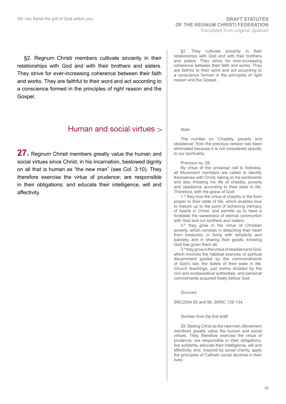§2. Regnum Christi members cultivate sincerity in their relationships with God and with their brothers and sisters. They strive for ever-increasing coherence between their faith and works. They are faithful to their word and act according to a conscience formed in the principles of right reason and the Gospel.

# Human and social virtues  $\rightarrow$

**27.** Regnum Christi members greatly value the human and social virtues since Christ, in his incarnation, bestowed dignity on all that is human as "the new man" (see Col. 3:10). They therefore exercise the virtue of prudence; are responsible in their obligations; and educate their intelligence, will and affectivity.

§2. They cultivate sincerity in their relationships with God and with their brothers and sisters. They strive for ever-increasing coherence between their faith and works. They are faithful to their word and act according to a conscience formed in the principles of right reason and the Gospel.

*Note:*

The number on "Chastity, poverty and obedience" from the previous version has been eliminated because it is not considered specific to our spirituality.

Previous no. 28:

By virtue of the universal call to holiness, all Movement members are called to identify themselves with Christ, taking on his sentiments and also imitating his life of chastity, poverty and obedience according to their state in life. Therefore, with the grace of God:

1.º they love the virtue of chastity in the form proper to their state of life, which enables love to mature up to the point of achieving intimacy of hearts in Christ, and permits us to have a foretaste the sweetness of eternal communion with God and our brothers and sisters;

2.º they grow in the virtue of Christian poverty, which consists in detaching their heart from creatures, in living with simplicity and sobriety, and in sharing their goods, knowing God has given them all;

3.º they grow in the virtue of obedience to God, which involves the habitual exercise of spiritual discernment guided by the commandments of God's law, the duties of their state in life, Church teachings, just norms dictated by the civil and ecclesiastical authorities, and personal commitments acquired freely before God.

*Sources:* 

SRC2004 55 and 56; SRRC 126-134.

#### *Number from the first draft:*

29. Seeing Christ as the new man, Movement members greatly value the human and social virtues. They therefore exercise the virtue of prudence, are responsible in their obligations, live solidarity, educate their intelligence, will and affectivity, and, inspired by social charity, apply the principles of Catholic social doctrine in their lives.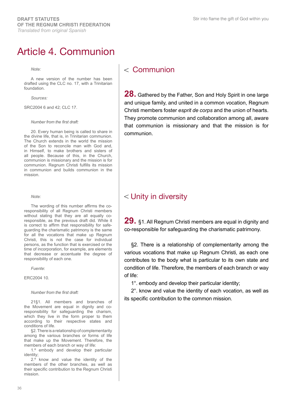# Article 4. Communion

*Note:* 

A new version of the number has been drafted using the CLC no. 17, with a Trinitarian foundation.

*Sources:* 

SRC2004 6 and 42; CLC 17.

#### *Number from the first draft:*

20. Every human being is called to share in the divine life, that is, in Trinitarian communion. The Church extends in the world the mission of the Son to reconcile man with God and, in Himself, to make brothers and sisters of all people. Because of this, in the Church, communion is missionary and the mission is for communion. Regnum Christi fulfills its mission in communion and builds communion in the mission.

*Note:* 

The wording of this number affirms the coresponsibility of all Regnum Christi members without stating that they are all equally coresponsible, as the previous draft did. While it is correct to affirm that responsibility for safeguarding the charismatic patrimony is the same for all the vocations that make up Regnum Christi, this is not the case for individual persons, as the function that is exercised or the time of incorporation, for example, are elements that decrease or accentuate the degree of responsibility of each one.

*Fuente*:

ERC2004 10.

#### *Number from the first draft:*

21§1. All members and branches of the Movement are equal in dignity and coresponsibility for safeguarding the charism, which they live in the form proper to them according to their respective states and conditions of life.

§2. There is a relationship of complementarity among the various branches or forms of life that make up the Movement. Therefore, the members of each branch or way of life:

1.º embody and develop their particular identity;

2.º know and value the identity of the members of the other branches, as well as their specific contribution to the Regnum Christi mission.

# $<$  Communion

**28.** Gathered by the Father, Son and Holy Spirit in one large and unique family, and united in a common vocation, Regnum Christi members foster *esprit de corps* and the union of hearts. They promote communion and collaboration among all, aware that communion is missionary and that the mission is for communion.

# Unity in diversity

**29.** §1. All Regnum Christi members are equal in dignity and co-responsible for safeguarding the charismatic patrimony.

§2. There is a relationship of complementarity among the various vocations that make up Regnum Christi, as each one contributes to the body what is particular to its own state and condition of life. Therefore, the members of each branch or way of life:

1°. embody and develop their particular identity;

2°. know and value the identity of each vocation, as well as its specific contribution to the common mission.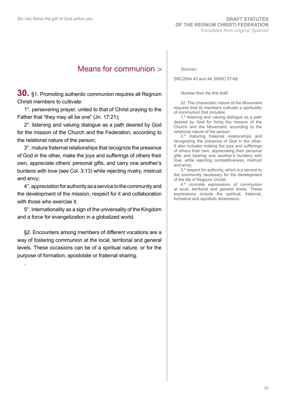### Means for communion

**30.** §1. Promoting authentic communion requires all Regnum Christi members to cultivate:

1°. persevering prayer, united to that of Christ praying to the Father that "they may all be one" (Jn. 17:21);

2°. listening and valuing dialogue as a path desired by God for the mission of the Church and the Federation, according to the relational nature of the person;

3°. mature fraternal relationships that recognize the presence of God in the other, make the joys and sufferings of others their own, appreciate others' personal gifts, and carry one another's burdens with love (see Col. 3:13) while rejecting rivalry, mistrust and envy;

4°. appreciation for authority as a service to the community and the development of the mission; respect for it and collaboration with those who exercise it.

5°. internationality as a sign of the universality of the Kingdom and a force for evangelization in a globalized world.

§2. Encounters among members of different vocations are a way of fostering communion at the local, territorial and general levels. These occasions can be of a spiritual nature, or for the purpose of formation, apostolate or fraternal sharing.

.

*Sources:* 

SRC2004 43 and 44; SRRC 57-68.

#### *Number from the first draft:*

22. The charismatic nature of the Movement requires that its members cultivate a spirituality of communion that includes:

1.º listening and valuing dialogue as a path desired by God for living the mission of the Church and the Movement, according to the relational nature of the person;

2.º maturing fraternal relationships and recognizing the presence of God in the other. It also includes making the joys and sufferings of others their own, appreciating their personal gifts and bearing one another's burdens with love, while rejecting competitiveness, mistrust and envy;

3.º respect for authority, which is a service to the community necessary for the development of the life of Regnum Christi;

4.º concrete expressions of communion at local, territorial and general levels. These expressions include the spiritual, fraternal, formative and apostolic dimensions.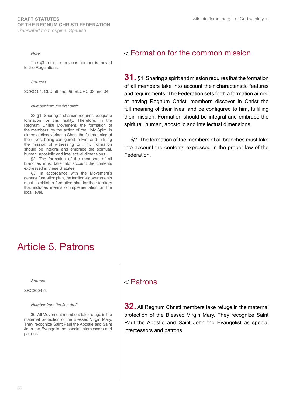*Note:*

The §3 from the previous number is moved to the Regulations.

*Sources:* 

SCRC 54; CLC 58 and 96; SLCRC 33 and 34.

#### *Number from the first draft:*

23 §1. Sharing a charism requires adequate formation for this reality. Therefore, in the Regnum Christi Movement, the formation of the members, by the action of the Holy Spirit, is aimed at discovering in Christ the full meaning of their lives, being configured to Him and fulfilling the mission of witnessing to Him. Formation should be integral and embrace the spiritual, human, apostolic and intellectual dimensions.

§2. The formation of the members of all branches must take into account the contents expressed in these Statutes.

§3. In accordance with the Movement's general formation plan, the territorial governments must establish a formation plan for their territory that includes means of implementation on the local level.

### Formation for the common mission

**31.** §1. Sharing a spirit and mission requires that the formation of all members take into account their characteristic features and requirements. The Federation sets forth a formation aimed at having Regnum Christi members discover in Christ the full meaning of their lives, and be configured to him, fulfilling their mission. Formation should be integral and embrace the spiritual, human, apostolic and intellectual dimensions.

§2. The formation of the members of all branches must take into account the contents expressed in the proper law of the Federation.

## Article 5. Patrons

*Sources:* 

SRC2004 5.

#### *Number from the first draft:*

30. All Movement members take refuge in the maternal protection of the Blessed Virgin Mary. They recognize Saint Paul the Apostle and Saint John the Evangelist as special intercessors and patrons.

### $<$  Patrons

**32.** All Regnum Christi members take refuge in the maternal protection of the Blessed Virgin Mary. They recognize Saint Paul the Apostle and Saint John the Evangelist as special intercessors and patrons.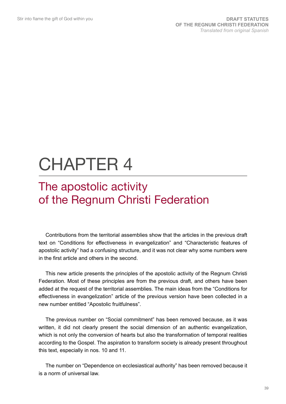# CHAPTER 4

# The apostolic activity of the Regnum Christi Federation

Contributions from the territorial assemblies show that the articles in the previous draft text on "Conditions for effectiveness in evangelization" and "Characteristic features of apostolic activity" had a confusing structure, and it was not clear why some numbers were in the first article and others in the second.

This new article presents the principles of the apostolic activity of the Regnum Christi Federation. Most of these principles are from the previous draft, and others have been added at the request of the territorial assemblies. The main ideas from the "Conditions for effectiveness in evangelization" article of the previous version have been collected in a new number entitled "Apostolic fruitfulness".

The previous number on "Social commitment" has been removed because, as it was written, it did not clearly present the social dimension of an authentic evangelization, which is not only the conversion of hearts but also the transformation of temporal realities according to the Gospel. The aspiration to transform society is already present throughout this text, especially in nos. 10 and 11.

The number on "Dependence on ecclesiastical authority" has been removed because it is a norm of universal law.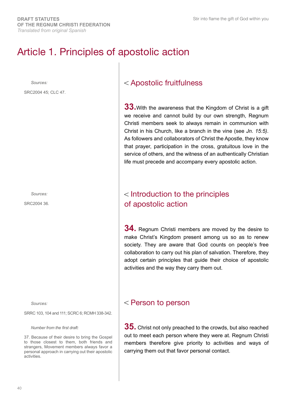# Article 1. Principles of apostolic action

*Sources:* 

SRC2004 45; CLC 47.

*Sources:* 

SRC2004 36.

*Sources:*

SRRC 103, 104 and 111; SCRC 6; RCMH 338-342.

*Number from the first draft:*

37. Because of their desire to bring the Gospel to those closest to them, both friends and strangers, Movement members always favor a personal approach in carrying out their apostolic activities.

### Apostolic fruitfulness

**33.**With the awareness that the Kingdom of Christ is a gift we receive and cannot build by our own strength, Regnum Christi members seek to always remain in communion with Christ in his Church, like a branch in the vine (see *Jn. 15:5)*. As followers and collaborators of Christ the Apostle, they know that prayer, participation in the cross, gratuitous love in the service of others, and the witness of an authentically Christian life must precede and accompany every apostolic action.

### Introduction to the principles of apostolic action

**34.** Regnum Christi members are moved by the desire to make Christ's Kingdom present among us so as to renew society. They are aware that God counts on people's free collaboration to carry out his plan of salvation. Therefore, they adopt certain principles that guide their choice of apostolic activities and the way they carry them out.

### Person to person

**35.** Christ not only preached to the crowds, but also reached out to meet each person where they were at. Regnum Christi members therefore give priority to activities and ways of carrying them out that favor personal contact.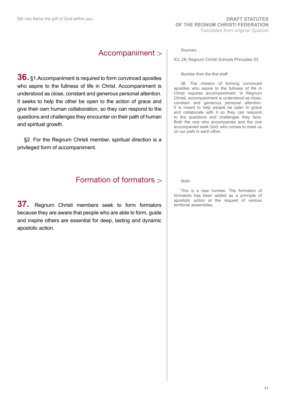### Accompaniment

**36.** §1.Accompaniment is required to form convinced apostles who aspire to the fullness of life in Christ. Accompaniment is understood as close, constant and generous personal attention. It seeks to help the other be open to the action of grace and give their own human collaboration, so they can respond to the questions and challenges they encounter on their path of human and spiritual growth.

§2. For the Regnum Christi member, spiritual direction is a privileged form of accompaniment.

### Formation of formators

**37.** Regnum Christi members seek to form formators because they are aware that people who are able to form, guide and inspire others are essential for deep, lasting and dynamic apostolic action.

#### *Sources:*

ICL 28; Regnum Christi Schools Principles 53.

#### *Number from the first draft:*

38. The mission of forming convinced apostles who aspire to the fullness of life in Christ requires accompaniment. In Regnum Christi, accompaniment is understood as close, constant and generous personal attention. It is meant to help people be open to grace and collaborate with it so they can respond to the questions and challenges they face. Both the one who accompanies and the one accompanied seek God, who comes to meet us on our path in each other.

*Note:* 

This is a new number. The formation of formators has been added as a principle of apostolic action at the request of various territorial assemblies.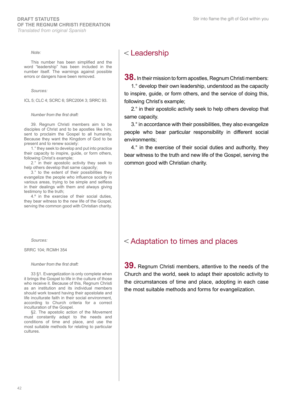*Note:* 

This number has been simplified and the word "leadership" has been included in the number itself. The warnings against possible errors or dangers have been removed.

*Sources:* 

ICL 5; CLC 4; SCRC 6; SRC2004 3; SRRC 93.

#### *Number from the first draft:*

39. Regnum Christi members aim to be disciples of Christ and to be apostles like him, sent to proclaim the Gospel to all humanity. Because they want the Kingdom of God to be present and to renew society:

1.° they seek to develop and put into practice their capacity to inspire, guide, or form others, following Christ's example;

2.° in their apostolic activity they seek to help others develop that same capacity;

3.° to the extent of their possibilities they evangelize the people who influence society in various areas, trying to be simple and selfless in their dealings with them and always giving testimony to the truth;

4.º in the exercise of their social duties, they bear witness to the new life of the Gospel, serving the common good with Christian charity.

*Sources:* 

SRRC 104; RCMH 354

#### *Number from the first draft:*

33 §1. Evangelization is only complete when it brings the Gospel to life in the culture of those who receive it. Because of this, Regnum Christi as an institution and its individual members should work toward having their apostolate and life inculturate faith in their social environment, according to Church criteria for a correct inculturation of the Gospel.

§2. The apostolic action of the Movement must constantly adapt to the needs and conditions of time and place, and use the most suitable methods for relating to particular cultures.

### Leadership

**38.** In their mission to form apostles, Regnum Christi members:

1.° develop their own leadership, understood as the capacity to inspire, guide, or form others, and the service of doing this, following Christ's example;

2.° in their apostolic activity seek to help others develop that same capacity.

3.° in accordance with their possibilities, they also evangelize people who bear particular responsibility in different social environments;

4.° in the exercise of their social duties and authority, they bear witness to the truth and new life of the Gospel, serving the common good with Christian charity.

### Adaptation to times and places

**39.** Regnum Christi members, attentive to the needs of the Church and the world, seek to adapt their apostolic activity to the circumstances of time and place, adopting in each case the most suitable methods and forms for evangelization.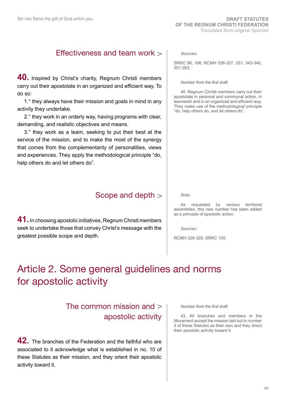### Effectiveness and team work

**40.** Inspired by Christ's charity, Regnum Christi members carry out their apostolate in an organized and efficient way. To do so:

1.° they always have their mission and goals in mind in any activity they undertake.

2.° they work in an orderly way, having programs with clear, demanding, and realistic objectives and means.

3.° they work as a team, seeking to put their best at the service of the mission, and to make the most of the synergy that comes from the complementarity of personalities, views and experiences. They apply the methodological principle "do, help others do and let others do".

### Scope and depth

**41.** In choosing apostolic initiatives, Regnum Christi members seek to undertake those that convey Christ's message with the greatest possible scope and depth.

*Sources:*

SRRC 96, 106; RCMH 326-327, 331, 343-346, 351-353.

#### *Number from the first draft:*

40. Regnum Christi members carry out their apostolate in personal and communal action, in teamwork and in an organized and efficient way. They make use of the methodological principle "do, help others do, and let others do".

*Note:*

As requested by various territorial assemblies, this new number has been added as a principle of apostolic action.

*Sources:*

RCMH 328-329; SRRC 105.

# Article 2. Some general guidelines and norms for apostolic activity

### The common mission and apostolic activity

**42.** The branches of the Federation and the faithful who are associated to it acknowledge what is established in no. 10 of these Statutes as their mission, and they orient their apostolic activity toward it.

*Number from the first draft:*

43. All branches and members in the Movement accept the mission laid out in number 3 of these Statutes as their own and they direct their apostolic activity toward it.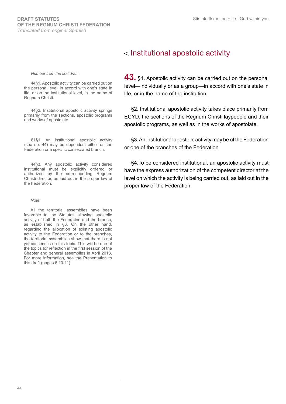#### *Number from the first draft:*

44§1. Apostolic activity can be carried out on the personal level, in accord with one's state in life, or on the institutional level, in the name of Regnum Christi.

44§2. Institutional apostolic activity springs primarily from the sections, apostolic programs and works of apostolate.

81§1. An institutional apostolic activity (see no. 44) may be dependent either on the Federation or a specific consecrated branch.

44§3. Any apostolic activity considered institutional must be explicitly ordered or authorized by the corresponding Regnum Christi director, as laid out in the proper law of the Federation.

*Note:*

All the territorial assemblies have been favorable to the Statutes allowing apostolic activity of both the Federation and the branch, as established in §3. On the other hand, regarding the allocation of existing apostolic activity to the Federation or to the branches, the territorial assemblies show that there is not yet consensus on this topic. This will be one of the topics for reflection in the first session of the Chapter and general assemblies in April 2018. For more information, see the Presentation to this draft (pages 6,10-11).

### < Institutional apostolic activity

**43.** §1. Apostolic activity can be carried out on the personal level—individually or as a group—in accord with one's state in life, or in the name of the institution.

§2. Institutional apostolic activity takes place primarily from ECYD, the sections of the Regnum Christi laypeople and their apostolic programs, as well as in the works of apostolate.

§3. An institutional apostolic activity may be of the Federation or one of the branches of the Federation.

§4.To be considered institutional, an apostolic activity must have the express authorization of the competent director at the level on which the activity is being carried out, as laid out in the proper law of the Federation.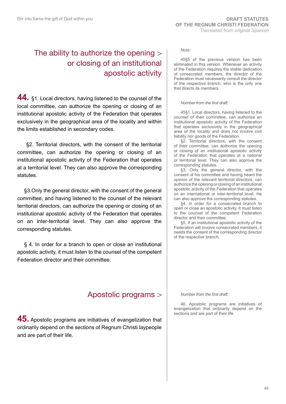### The ability to authorize the opening or closing of an institutional apostolic activity

**44.** §1. Local directors, having listened to the counsel of the local committee, can authorize the opening or closing of an institutional apostolic activity of the Federation that operates exclusively in the geographical area of the locality and within the limits established in secondary codes.

 §2. Territorial directors, with the consent of the territorial committee, can authorize the opening or closing of an institutional apostolic activity of the Federation that operates at a territorial level. They can also approve the corresponding statutes.

§3.Only the general director, with the consent of the general committee, and having listened to the counsel of the relevant territorial directors, can authorize the opening or closing of an institutional apostolic activity of the Federation that operates on an inter-territorial level. They can also approve the corresponding statutes.

§ 4. In order for a branch to open or close an institutional apostolic activity, it must listen to the counsel of the competent Federation director and their committee.

### Apostolic programs

**45.** Apostolic programs are initiatives of evangelization that ordinarily depend on the sections of Regnum Christi laypeople and are part of their life.

#### *Note:*

45§5 of the previous version has been eliminated in this version. Whenever an activity of the Federation requires the stable dedication of consecrated members, the director of the Federation must necessarily consult the director of the respective branch, who is the only one that directs its members.

#### *Number from the first draft:*

45§1. Local directors, having listened to the counsel of their committee, can authorize an institutional apostolic activity of the Federation that operates exclusively in the geographical area of the locality and does not involve civil liability nor goods of the Federation.

§2. Territorial directors, with the consent of their committee, can authorize the opening or closing of an institutional apostolic activity of the Federation that operates at a national or territorial level. They can also approve the corresponding statutes.

§3. Only the general director, with the consent of his committee and having heard the opinion of the relevant territorial directors, can authorize the opening or closing of an institutional apostolic activity of the Federation that operates on an international or inter-territorial level. He can also approve the corresponding statutes.

§4. In order for a consecrated branch to open or close an apostolic activity, it must listen to the counsel of the competent Federation director and their committee.

§5. If an institutional apostolic activity of the Federation will involve consecrated members, it needs the consent of the corresponding director of the respective branch.

*Number from the first draft:* 

46. Apostolic programs are initiatives of evangelization that ordinarily depend on the sections and are part of their life.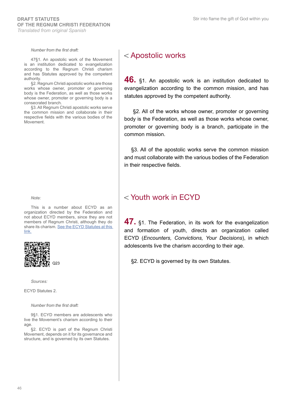*Number from the first draft:*

47§1. An apostolic work of the Movement is an institution dedicated to evangelization according to the Regnum Christi charism and has Statutes approved by the competent authority.

§2. Regnum Christi apostolic works are those works whose owner, promoter or governing body is the Federation, as well as those works whose owner, promoter or governing body is a consecrated branch.

§3. All Regnum Christi apostolic works serve the common mission and collaborate in their respective fields with the various bodies of the Movement.

*Note:* 

This is a number about ECYD as an organization directed by the Federation and not about ECYD members, since they are not members of Regnum Christi, although they do share its charism. See the ECYD Statutes at this [link.](http://www.regnumchristi.org/rcstatutes/wp-content/uploads/2018/02/24-ECYD-Statutes.pdf)



*Sources:*

ECYD Statutes 2.

*Number from the first draft:* 

9§1. ECYD members are adolescents who live the Movement's charism according to their age.

§2. ECYD is part of the Regnum Christi Movement, depends on it for its governance and structure, and is governed by its own Statutes.

### Apostolic works

**46.** §1. An apostolic work is an institution dedicated to evangelization according to the common mission, and has statutes approved by the competent authority.

 §2. All of the works whose owner, promoter or governing body is the Federation, as well as those works whose owner, promoter or governing body is a branch, participate in the common mission.

§3. All of the apostolic works serve the common mission and must collaborate with the various bodies of the Federation in their respective fields.

### Youth work in ECYD

**47.** §1. The Federation, in its work for the evangelization and formation of youth, directs an organization called ECYD (*Encounters, Convictions, Your Decisions*), in which adolescents live the charism according to their age.

o<sub>23</sub> comparison of the S2. ECYD is governed by its own Statutes.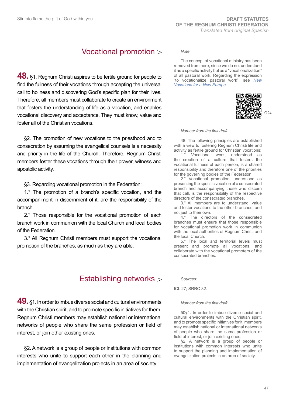### Vocational promotion

**48.** §1. Regnum Christi aspires to be fertile ground for people to find the fullness of their vocations through accepting the universal call to holiness and discovering God's specific plan for their lives. Therefore, all members must collaborate to create an environment that fosters the understanding of life as a vocation, and enables vocational discovery and acceptance. They must know, value and foster all of the Christian vocations.

§2. The promotion of new vocations to the priesthood and to consecration by assuming the evangelical counsels is a necessity and priority in the life of the Church. Therefore, Regnum Christi members foster these vocations through their prayer, witness and apostolic activity.

§3. Regarding vocational promotion in the Federation:

1.° The promotion of a branch's specific vocation, and the accompaniment in discernment of it, are the responsibility of the branch.

2.° Those responsible for the vocational promotion of each branch work in communion with the local Church and local bodies of the Federation.

3.° All Regnum Christi members must support the vocational promotion of the branches, as much as they are able.

### Establishing networks

**49.** §1. In order to imbue diverse social and cultural environments with the Christian spirit, and to promote specific initiatives for them, Regnum Christi members may establish national or international networks of people who share the same profession or field of interest, or join other existing ones.

§2. A network is a group of people or institutions with common interests who unite to support each other in the planning and implementation of evangelization projects in an area of society.

#### *Note:*

The concept of vocational ministry has been removed from here, since we do not understand it as a specific activity but as a "vocationalization" of all pastoral work. Regarding the expression "to vocationalize pastoral work", see *[New](http://www.vatican.va/roman_curia/congregations/ccatheduc/documents/rc_con_ccatheduc_doc_13021998_new-vocations_en.html) [Vocations for a New Europe](http://www.vatican.va/roman_curia/congregations/ccatheduc/documents/rc_con_ccatheduc_doc_13021998_new-vocations_en.html).*



Q24

#### *Number from the first draft:*

48. The following principles are established with a view to fostering Regnum Christi life and activity as fertile ground for Christian vocations:

1.° Vocational work, understood as the creation of a culture that fosters the vocational fullness of each person, is a shared responsibility and therefore one of the priorities for the governing bodies of the Federation.

2.° Vocational promotion, understood as presenting the specific vocation of a consecrated branch and accompanying those who discern that call, is the responsibility of the respective directors of the consecrated branches.

3.° All members are to understand, value and foster vocations to the other branches, and not just to their own.

4.° The directors of the consecrated branches must ensure that those responsible for vocational promotion work in communion with the local authorities of Regnum Christi and the local Church.

5.° The local and territorial levels must present and promote all vocations, and collaborate with the vocational promoters of the consecrated branches.

*Sources:*

ICL 27; SRRC 32.

#### *Number from the first draft:*

50§1. In order to imbue diverse social and cultural environments with the Christian spirit, and to promote specific initiatives for it, members may establish national or international networks of people who share the same profession or field of interest, or join existing ones.

§2. A network is a group of people or institutions with common interests who unite to support the planning and implementation of evangelization projects in an area of society.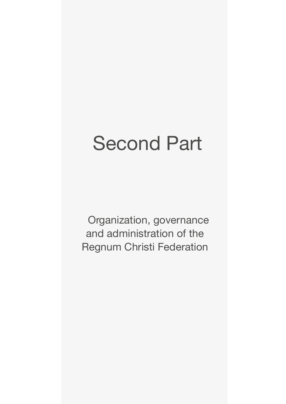# Second Part

Organization, governance and administration of the Regnum Christi Federation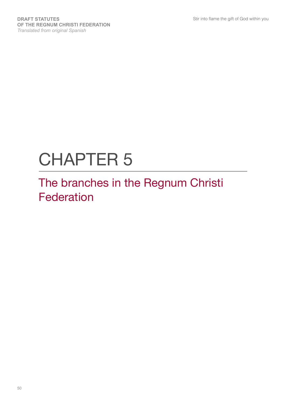# CHAPTER 5

# The branches in the Regnum Christi Federation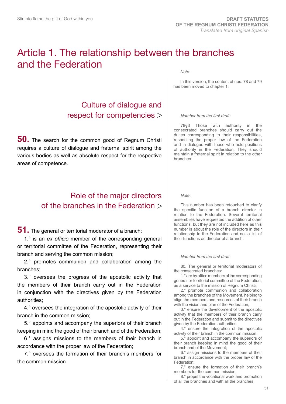## Article 1. The relationship between the branches and the Federation

### Culture of dialogue and respect for competencies

**50.** The search for the common good of Regnum Christi requires a culture of dialogue and fraternal spirit among the various bodies as well as absolute respect for the respective areas of competence.

### Role of the major directors of the branches in the Federation

#### **51.** The general or territorial moderator of a branch:

1.° is an *ex officio* member of the corresponding general or territorial committee of the Federation, representing their branch and serving the common mission;

2.° promotes communion and collaboration among the branches;

3.° oversees the progress of the apostolic activity that the members of their branch carry out in the Federation in conjunction with the directives given by the Federation authorities;

4.° oversees the integration of the apostolic activity of their branch in the common mission;

5.° appoints and accompany the superiors of their branch keeping in mind the good of their branch and of the Federation;

6.° assigns missions to the members of their branch in accordance with the proper law of the Federation;

7.° oversees the formation of their branch's members for the common mission.

*Note:*

In this version, the content of nos. 78 and 79 has been moved to chapter 1.

#### *Number from the first draft:*

78§3 Those with authority in the consecrated branches should carry out the duties corresponding to their responsibilities, respecting the proper law of the Federation and in dialogue with those who hold positions of authority in the Federation. They should maintain a fraternal spirit in relation to the other branches.

#### *Note:*

This number has been retouched to clarify the specific function of a branch director in relation to the Federation. Several territorial assemblies have requested the addition of other functions, but they are not included here as this number is about the role of the directors in their relationship to the Federation and not a list of their functions as director of a branch.

#### *Number from the first draft:*

80. The general or territorial moderators of the consecrated branches:

1.° are by office members of the corresponding general or territorial committee of the Federation, as a service to the mission of Regnum Christi;

2.° promote communion and collaboration among the branches of the Movement, helping to align the members and resources of their branch with the vision and plan of the Federation;

3.° ensure the development of the apostolic activity that the members of their branch carry out in the Federation and submit to the directives given by the Federation authorities;

4.° ensure the integration of the apostolic activity of their branch in the common mission;

5.° appoint and accompany the superiors of their branch keeping in mind the good of their branch and of the Movement;

6.° assign missions to the members of their branch in accordance with the proper law of the Federation;

7.° ensure the formation of their branch's members for the common mission;

8.° propel the vocational work and promotion of all the branches and with all the branches.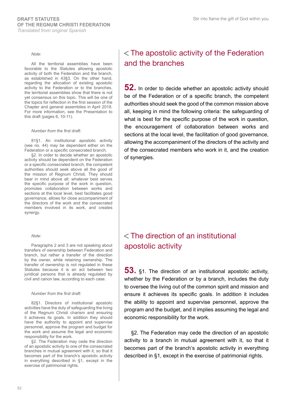#### *Note:*

All the territorial assemblies have been favorable to the Statutes allowing apostolic activity of both the Federation and the branch, as established in 43§3. On the other hand, regarding the allocation of existing apostolic activity to the Federation or to the branches, the territorial assemblies show that there is not yet consensus on this topic. This will be one of the topics for reflection in the first session of the Chapter and general assemblies in April 2018. For more information, see the Presentation to this draft (pages 6, 10-11).

#### *Number from the first draft:*

81§1. An institutional apostolic activity (see no. 44) may be dependent either on the Federation or a specific consecrated branch.

§2. In order to decide whether an apostolic activity should be dependent on the Federation or a specific consecrated branch, the competent authorities should seek above all the good of the mission of Regnum Christi. They should bear in mind above all: whatever best serves the specific purpose of the work in question, promotes collaboration between works and sections at the local level, best facilitates good governance, allows for close accompaniment of the directors of the work and the consecrated members involved in its work, and creates synergy.

#### *Note:*

Paragraphs 2 and 3 are not speaking about transfers of ownership between Federation and branch, but rather a transfer of the direction by the owner, while retaining ownership. The transfer of ownership is not regulated in these Statutes because it is an act between two juridical persons that is already regulated by civil and canon law, according to each case.

#### *Number from the first draft:*

82§1. Directors of institutional apostolic activities have the duty of safeguarding the living of the Regnum Christi charism and ensuring it achieves its goals. In addition they should have the authority to appoint and supervise personnel, approve the program and budget for the work and assume the legal and economic responsibility for the work.

§2. The Federation may cede the direction of an apostolic activity to one of the consecrated branches in mutual agreement with it, so that it becomes part of the branch's apostolic activity in everything described in §1, except in the exercise of patrimonial rights.

### The apostolic activity of the Federation and the branches

**52.** In order to decide whether an apostolic activity should be of the Federation or of a specific branch, the competent authorities should seek the good of the common mission above all, keeping in mind the following criteria: the safeguarding of what is best for the specific purpose of the work in question, the encouragement of collaboration between works and sections at the local level, the facilitation of good governance, allowing the accompaniment of the directors of the activity and of the consecrated members who work in it, and the creation of synergies.

### The direction of an institutional apostolic activity

**53.** §1. The direction of an institutional apostolic activity, whether by the Federation or by a branch, includes the duty to oversee the living out of the common spirit and mission and ensure it achieves its specific goals. In addition it includes the ability to appoint and supervise personnel, approve the program and the budget, and it implies assuming the legal and economic responsibility for the work.

§2. The Federation may cede the direction of an apostolic activity to a branch in mutual agreement with it, so that it becomes part of the branch's apostolic activity in everything described in §1, except in the exercise of patrimonial rights.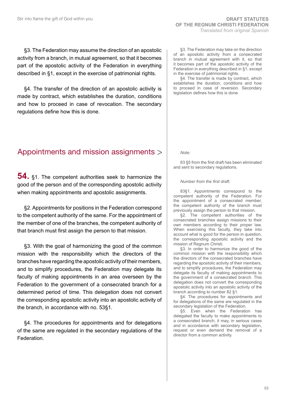§3. The Federation may assume the direction of an apostolic activity from a branch, in mutual agreement, so that it becomes part of the apostolic activity of the Federation in everything described in §1, except in the exercise of patrimonial rights.

§4. The transfer of the direction of an apostolic activity is made by contract, which establishes the duration, conditions and how to proceed in case of revocation. The secondary regulations define how this is done.

### Appointments and mission assignments

**54.** §1. The competent authorities seek to harmonize the good of the person and of the corresponding apostolic activity when making appointments and apostolic assignments.

§2. Appointments for positions in the Federation correspond to the competent authority of the same. For the appointment of the member of one of the branches, the competent authority of that branch must first assign the person to that mission.

§3. With the goal of harmonizing the good of the common mission with the responsibility which the directors of the branches have regarding the apostolic activity of their members, and to simplify procedures, the Federation may delegate its faculty of making appointments in an area overseen by the Federation to the government of a consecrated branch for a determined period of time. This delegation does not convert the corresponding apostolic activity into an apostolic activity of the branch, in accordance with no. 53§1.

§4. The procedures for appointments and for delegations of the same are regulated in the secondary regulations of the Federation.

§3. The Federation may take on the direction of an apostolic activity from a consecrated branch in mutual agreement with it, so that it becomes part of the apostolic activity of the Federation in everything described in §1, except in the exercise of patrimonial rights.

§4. The transfer is made by contract, which establishes the duration, conditions and how to proceed in case of reversion. Secondary legislation defines how this is done.

*Note:*

83 §5 from the first draft has been eliminated and sent to secondary regulations.

#### *Number from the first draft:*

83§1. Appointments correspond to the competent authority of the Federation. For the appointment of a consecrated member, the competent authority of the branch must previously assign the person to that mission.

§2. The competent authorities of the consecrated branches assign missions to their own members according to their proper law. When exercising this faculty, they take into account what is good for the person in question, the corresponding apostolic activity and the mission of Regnum Christi.

§3. In order to harmonize the good of the common mission with the responsibility which the directors of the consecrated branches have regarding the apostolic activity of their members, and to simplify procedures, the Federation may delegate its faculty of making appointments to the government of a consecrated branch. This delegation does not convert the corresponding apostolic activity into an apostolic activity of the branch according to number 82 §1.

§4. The procedures for appointments and for delegations of the same are regulated in the secondary legislation of the Federation.

§5. Even when the Federation has delegated the faculty to make appointments to a consecrated branch, it may, in serious cases and in accordance with secondary legislation, request or even demand the removal of a director from a common activity.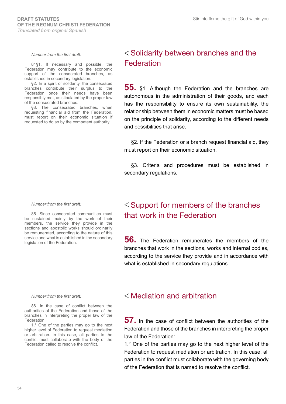*Number from the first draft:*

84§1. If necessary and possible, the Federation may contribute to the economic support of the consecrated branches, as established in secondary legislation.

§2. In a spirit of solidarity, the consecrated branches contribute their surplus to the Federation once their needs have been responsibly met, as stipulated by the proper law of the consecrated branches.

§3. The consecrated branches, when requesting financial aid from the Federation, must report on their economic situation if requested to do so by the competent authority.

#### *Number from the first draft:*

85. Since consecrated communities must be sustained mainly by the work of their members, the service they provide in the sections and apostolic works should ordinarily be remunerated, according to the nature of this service and what is established in the secondary legislation of the Federation.

#### *Number from the first draft:*

86. In the case of conflict between the authorities of the Federation and those of the branches in interpreting the proper law of the Federation:

1.° One of the parties may go to the next higher level of Federation to request mediation or arbitration. In this case, all parties to the conflict must collaborate with the body of the Federation called to resolve the conflict.

### Solidarity between branches and the Federation

**55.** §1. Although the Federation and the branches are autonomous in the administration of their goods, and each has the responsibility to ensure its own sustainability, the relationship between them in economic matters must be based on the principle of solidarity, according to the different needs and possibilities that arise.

§2. If the Federation or a branch request financial aid, they must report on their economic situation.

§3. Criteria and procedures must be established in secondary regulations.

### $<$  Support for members of the branches that work in the Federation

**56.** The Federation remunerates the members of the branches that work in the sections, works and internal bodies, according to the service they provide and in accordance with what is established in secondary regulations.

### Mediation and arbitration

**57.** In the case of conflict between the authorities of the Federation and those of the branches in interpreting the proper law of the Federation:

1.° One of the parties may go to the next higher level of the Federation to request mediation or arbitration. In this case, all parties in the conflict must collaborate with the governing body of the Federation that is named to resolve the conflict.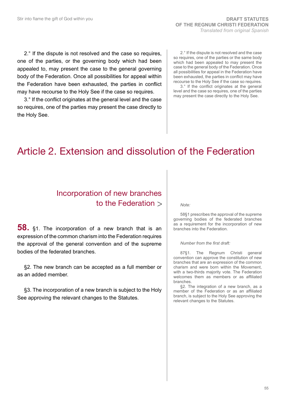2.° If the dispute is not resolved and the case so requires, one of the parties, or the governing body which had been appealed to, may present the case to the general governing body of the Federation. Once all possibilities for appeal within the Federation have been exhausted, the parties in conflict may have recourse to the Holy See if the case so requires.

3.° If the conflict originates at the general level and the case so requires, one of the parties may present the case directly to the Holy See.

2.° If the dispute is not resolved and the case so requires, one of the parties or the same body which had been appealed to may present the case to the general body of the Federation. Once all possibilities for appeal in the Federation have been exhausted, the parties in conflict may have recourse to the Holy See if the case so requires.

3.° If the conflict originates at the general level and the case so requires, one of the parties may present the case directly to the Holy See.

# Article 2. Extension and dissolution of the Federation

### Incorporation of new branches to the Federation

**58.** §1. The incorporation of a new branch that is an expression of the common charism into the Federation requires the approval of the general convention and of the supreme bodies of the federated branches.

§2. The new branch can be accepted as a full member or as an added member.

§3. The incorporation of a new branch is subject to the Holy See approving the relevant changes to the Statutes.

#### *Note:*

58§1 prescribes the approval of the supreme governing bodies of the federated branches as a requirement for the incorporation of new branches into the Federation.

#### *Number from the first draft:*

87§1. The Regnum Christi general convention can approve the constitution of new branches that are an expression of the common charism and were born within the Movement, with a two-thirds majority vote. The Federation welcomes them as members or as affiliated branches.

§2. The integration of a new branch, as a member of the Federation or as an affiliated branch, is subject to the Holy See approving the relevant changes to the Statutes.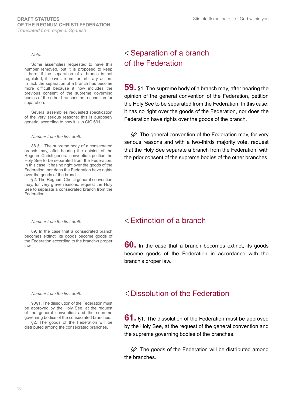#### *Note:*

Some assemblies requested to have this number removed, but it is proposed to keep it here; if the separation of a branch is not regulated, it leaves room for arbitrary action. In fact, the separation of a branch has become more difficult because it now includes the previous consent of the supreme governing bodies of the other branches as a condition for separation.

Several assemblies requested specification of the very serious reasons; this is purposely generic, according to how it is in CIC 691.

#### *Number from the first draft:*

88 §1. The supreme body of a consecrated branch may, after hearing the opinion of the Regnum Christi general convention, petition the Holy See to be separated from the Federation. In this case, it has no right over the goods of the Federation, nor does the Federation have rights over the goods of the branch.

§2. The Regnum Christi general convention may, for very grave reasons, request the Holy See to separate a consecrated branch from the **Federation** 

#### *Number from the first draft:*

89. In the case that a consecrated branch becomes extinct, its goods become goods of the Federation according to the branch›s proper law.

#### *Number from the first draft:*

90§1. The dissolution of the Federation must be approved by the Holy See, at the request of the general convention and the supreme governing bodies of the consecrated branches.

§2. The goods of the Federation will be distributed among the consecrated branches.

### **Separation of a branch** of the Federation

**59.** §1. The supreme body of a branch may, after hearing the opinion of the general convention of the Federation, petition the Holy See to be separated from the Federation. In this case, it has no right over the goods of the Federation, nor does the Federation have rights over the goods of the branch.

§2. The general convention of the Federation may, for very serious reasons and with a two-thirds majority vote, request that the Holy See separate a branch from the Federation, with the prior consent of the supreme bodies of the other branches.

### $\leq$  Extinction of a branch

**60.** In the case that a branch becomes extinct, its goods become goods of the Federation in accordance with the branch's proper law.

### Dissolution of the Federation

**61.** §1. The dissolution of the Federation must be approved by the Holy See, at the request of the general convention and the supreme governing bodies of the branches.

§2. The goods of the Federation will be distributed among the branches.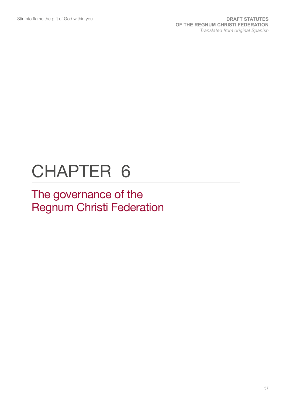# CHAPTER 6

# The governance of the Regnum Christi Federation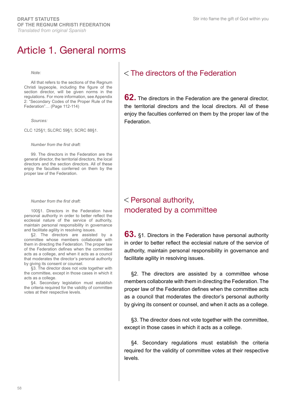## Article 1. General norms

#### *Note:*

All that refers to the sections of the Regnum Christi laypeople, including the figure of the section director, will be given norms in the regulations. For more information, see Appendix 2: "Secondary Codes of the Proper Rule of the Federation"… (Page 112-114)

*Sources:*

CLC 125§1; SLCRC 59§1; SCRC 88§1.

*Number from the first draft:*

99. The directors in the Federation are the general director, the territorial directors, the local directors and the section directors. All of these enjoy the faculties conferred on them by the proper law of the Federation.

#### *Number from the first draft:*

100§1. Directors in the Federation have personal authority in order to better reflect the ecclesial nature of the service of authority, maintain personal responsibility in governance and facilitate agility in resolving issues.

§2. The directors are assisted by a committee whose members collaborate with them in directing the Federation. The proper law of the Federation defines when the committee acts as a college, and when it acts as a council that moderates the director's personal authority by giving its consent or counsel.

§3. The director does not vote together with the committee, except in those cases in which it acts as a college.

§4. Secondary legislation must establish the criteria required for the validity of committee votes at their respective levels.

### The directors of the Federation

**62.** The directors in the Federation are the general director, the territorial directors and the local directors. All of these enjoy the faculties conferred on them by the proper law of the Federation.

### $<$  Personal authority, moderated by a committee

**63.** §1. Directors in the Federation have personal authority in order to better reflect the ecclesial nature of the service of authority, maintain personal responsibility in governance and facilitate agility in resolving issues.

§2. The directors are assisted by a committee whose members collaborate with them in directing the Federation. The proper law of the Federation defines when the committee acts as a council that moderates the director's personal authority by giving its consent or counsel, and when it acts as a college.

§3. The director does not vote together with the committee, except in those cases in which it acts as a college.

§4. Secondary regulations must establish the criteria required for the validity of committee votes at their respective levels.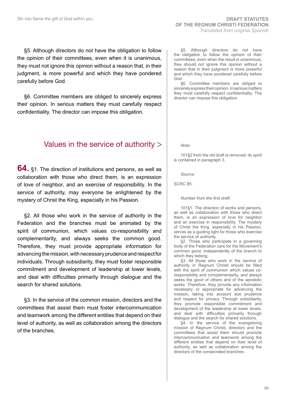§5. Although directors do not have the obligation to follow the opinion of their committees, even when it is unanimous, they must not ignore this opinion without a reason that, in their judgment, is more powerful and which they have pondered carefully before God.

§6. Committee members are obliged to sincerely express their opinion. In serious matters they must carefully respect confidentiality. The director can impose this obligation.

### Values in the service of authority

**64.** §1. The direction of institutions and persons, as well as collaboration with those who direct them, is an expression of love of neighbor, and an exercise of responsibility. In the service of authority, may everyone be enlightened by the mystery of Christ the King, especially in his Passion.

§2. All those who work in the service of authority in the Federation and the branches must be animated by the spirit of communion, which values co-responsibility and complementarity, and always seeks the common good. Therefore, they must provide appropriate information for advancing the mission, with necessary prudence and respect for individuals. Through subsidiarity, they must foster responsible commitment and development of leadership at lower levels, and deal with difficulties primarily through dialogue and the search for shared solutions.

§3. In the service of the common mission, directors and the committees that assist them must foster intercommunication and teamwork among the different entities that depend on their level of authority, as well as collaboration among the directors of the branches.

§5. Although directors do not have the obligation to follow the opinion of their committees, even when the result is unanimous, they should not ignore this opinion without a reason that in their judgment is more powerful and which they have pondered carefully before God.

§6. Committee members are obliged to sincerely express their opinion. In serious matters they must carefully respect confidentiality. The director can impose this obligation.

*Note:* 

101§2 from the old draft is removed; its spirit is contained in paragraph 3.

*Source:*

SCRC 85.

#### *Number from the first draft:*

101§1. The direction of works and persons, as well as collaboration with those who direct them, is an expression of love for neighbor and an exercise in responsibility. The mystery of Christ the King, especially in his Passion, serves as a guiding light for those who exercise the service of authority.

§2. Those who participate in a governing body of the Federation care for the Movement's common good, independently of the branch to which they belong.

§3. All those who work in the service of authority in Regnum Christi should be filled with the spirit of communion which values coresponsibility and complementarity, and always seeks the good of others and of the apostolic works. Therefore, they provide any information necessary or appropriate for advancing the mission, taking into account due prudence and respect for privacy. Through subsidiarity, they promote responsible commitment and development of the leadership at lower levels, and deal with difficulties primarily through dialogue and the search for shared solutions.

§4. In the service of the evangelizing mission of Regnum Christi, directors and the committees that assist them should promote intercommunication and teamwork among the different entities that depend on their level of authority, as well as collaboration among the directors of the consecrated branches.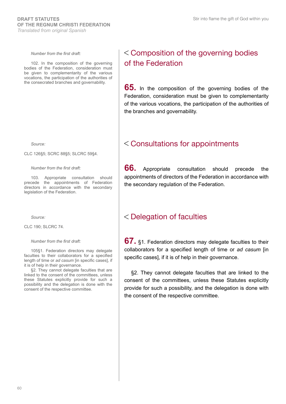#### *Number from the first draft:*

102. In the composition of the governing bodies of the Federation, consideration must be given to complementarity of the various vocations, the participation of the authorities of the consecrated branches and governability.

*Source:*

CLC 126§5; SCRC 88§5; SLCRC 59§4.

*Number from the first draft:*

103. Appropriate consultation should precede the appointments of Federation directors in accordance with the secondary legislation of the Federation.

*Source:*

CLC 190; SLCRC 74.

#### *Number from the first draft:*

105§1. Federation directors may delegate faculties to their collaborators for a specified length of time or *ad casum* [in specific cases], if it is of help in their governance.

§2. They cannot delegate faculties that are linked to the consent of the committees, unless these Statutes explicitly provide for such a possibility and the delegation is done with the consent of the respective committee.

### Composition of the governing bodies of the Federation

**65.** In the composition of the governing bodies of the Federation, consideration must be given to complementarity of the various vocations, the participation of the authorities of the branches and governability.

#### Consultations for appointments

**66.** Appropriate consultation should precede the appointments of directors of the Federation in accordance with the secondary regulation of the Federation.

### Delegation of faculties

**67.** §1. Federation directors may delegate faculties to their collaborators for a specified length of time or *ad casum* [in specific cases], if it is of help in their governance.

§2. They cannot delegate faculties that are linked to the consent of the committees, unless these Statutes explicitly provide for such a possibility, and the delegation is done with the consent of the respective committee.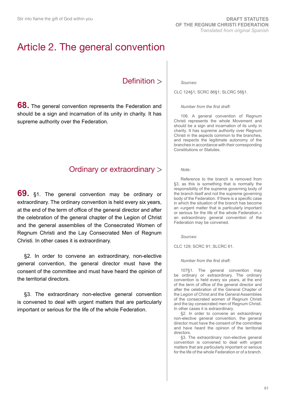# Article 2. The general convention

### Definition >

**68.** The general convention represents the Federation and should be a sign and incarnation of its unity in charity. It has supreme authority over the Federation.

### Ordinary or extraordinary

**69.** §1. The general convention may be ordinary or extraordinary. The ordinary convention is held every six years, at the end of the term of office of the general director and after the celebration of the general chapter of the Legion of Christ and the general assemblies of the Consecrated Women of Regnum Christi and the Lay Consecrated Men of Regnum Christi. In other cases it is extraordinary.

§2. In order to convene an extraordinary, non-elective general convention, the general director must have the consent of the committee and must have heard the opinion of the territorial directors.

§3. The extraordinary non-elective general convention is convened to deal with urgent matters that are particularly important or serious for the life of the whole Federation.

#### *Sources:*

CLC 124§1; SCRC 86§1; SLCRC 58§1.

#### *Number from the first draft:*

106. A general convention of Regnum Christi represents the whole Movement and should be a sign and incarnation of its unity in charity. It has supreme authority over Regnum Christi in the aspects common to the branches, and respects the legitimate autonomy of the branches in accordance with their corresponding Constitutions or Statutes.

#### *Note:*

Reference to the branch is removed from §3, as this is something that is normally the responsibility of the supreme governing body of the branch itself and not the supreme governing body of the Federation. If there is a specific case in which the situation of the branch has become an «urgent matter that is particularly important or serious for the life of the whole Federation,» an extraordinary general convention of the Federation may be convened.

*Sources:*

CLC 129; SCRC 91; SLCRC 61.

*Number from the first draft:*

107§1. The general convention may be ordinary or extraordinary. The ordinary convention is held every six years, at the end of the term of office of the general director and after the celebration of the General Chapter of the Legion of Christ and the General Assemblies of the consecrated women of Regnum Christi and the lay consecrated men of Regnum Christi. In other cases it is extraordinary.

§2. In order to convene an extraordinary non-elective general convention, the general director must have the consent of the committee and have heard the opinion of the territorial directors.

§3. The extraordinary non-elective general convention is convened to deal with urgent matters that are particularly important or serious for the life of the whole Federation or of a branch.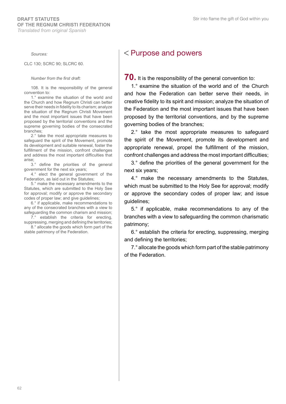*Sources:*

CLC 130; SCRC 90; SLCRC 60.

#### *Number from the first draft:*

108. It is the responsibility of the general convention to:

1.° examine the situation of the world and the Church and how Regnum Christi can better serve their needs in fidelity to its charism; analyze the situation of the Regnum Christi Movement and the most important issues that have been proposed by the territorial conventions and the supreme governing bodies of the consecrated branches;

2.° take the most appropriate measures to safeguard the spirit of the Movement, promote its development and suitable renewal, foster the fulfillment of the mission, confront challenges and address the most important difficulties that arise;

3.° define the priorities of the general government for the next six years;

4.° elect the general government of the Federation, as laid out in the Statutes;

5.° make the necessary amendments to the Statutes, which are submitted to the Holy See for approval; modify or approve the secondary codes of proper law; and give guidelines;

6.° if applicable, make recommendations to any of the consecrated branches with a view to safeguarding the common charism and mission;

7.° establish the criteria for erecting, suppressing, merging and defining the territories; 8.° allocate the goods which form part of the

stable patrimony of the Federation.

### < Purpose and powers

**70.** It is the responsibility of the general convention to:

1.° examine the situation of the world and of the Church and how the Federation can better serve their needs, in creative fidelity to its spirit and mission; analyze the situation of the Federation and the most important issues that have been proposed by the territorial conventions, and by the supreme governing bodies of the branches;

2.° take the most appropriate measures to safeguard the spirit of the Movement, promote its development and appropriate renewal, propel the fulfillment of the mission, confront challenges and address the most important difficulties;

3.° define the priorities of the general government for the next six years;

4.° make the necessary amendments to the Statutes, which must be submitted to the Holy See for approval; modify or approve the secondary codes of proper law; and issue guidelines;

5.° if applicable, make recommendations to any of the branches with a view to safeguarding the common charismatic patrimony;

6.° establish the criteria for erecting, suppressing, merging and defining the territories;

7.° allocate the goods which form part of the stable patrimony of the Federation.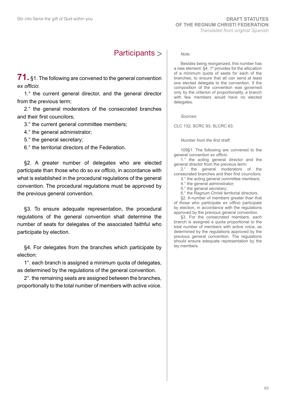### Participants

**71.** §1. The following are convened to the general convention *ex officio*:

1.° the current general director, and the general director from the previous term;

2.° the general moderators of the consecrated branches and their first councilors;

- 3.° the current general committee members;
- 4.° the general administrator;
- 5.° the general secretary;

6.° the territorial directors of the Federation.

§2. A greater number of delegates who are elected participate than those who do so *ex officio*, in accordance with what is established in the procedural regulations of the general convention. The procedural regulations must be approved by the previous general convention.

§3. To ensure adequate representation, the procedural regulations of the general convention shall determine the number of seats for delegates of the associated faithful who participate by election.

§4. For delegates from the branches which participate by election:

1°. each branch is assigned a minimum quota of delegates, as determined by the regulations of the general convention.

2°. the remaining seats are assigned between the branches, proportionally to the total number of members with active voice.

#### *Note:*

Besides being reorganized, this number has a new element: §4, 1º provides for the allocation of a minimum quota of seats for each of the branches, to ensure that all can send at least one elected delegate to the convention. If the composition of the convention was governed only by the criterion of proportionality, a branch with few members would have no elected delegates.

*Sources:*

CLC 132; SCRC 93; SLCRC 63.

*Number from the first draft:*

109§1. The following are convened to the general convention *ex officio*:

1.° the acting general director and the general director from the previous term;

2.° the general moderators of the consecrated branches and their first councilors;

- 3.° the acting general committee members;
- 4.° the general administrator;
- 5.° the general secretary;
- 6.° the Regnum Christi territorial directors.

§2. A number of members greater than that of those who participate *ex officio* participate by election, in accordance with the regulations approved by the previous general convention.

§3. For the consecrated members, each branch is assigned a quota proportional to the total number of members with active voice, as determined by the regulations approved by the previous general convention. The regulations should ensure adequate representation by the lay members.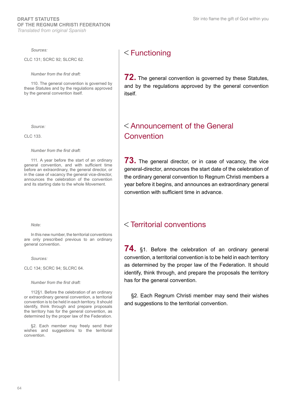Stir into flame the gift of God within you

#### *Sources:*

CLC 131; SCRC 92; SLCRC 62.

*Number from the first draft:*

110. The general convention is governed by these Statutes and by the regulations approved by the general convention itself.

*Source:*

CLC 133.

*Number from the first draft:*

111. A year before the start of an ordinary general convention, and with sufficient time before an extraordinary, the general director, or in the case of vacancy the general vice-director, announces the celebration of the convention and its starting date to the whole Movement.

*Note:*

In this new number, the territorial conventions are only prescribed previous to an ordinary general convention.

*Sources:*

CLC 134; SCRC 94; SLCRC 64.

*Number from the first draft:*

112§1. Before the celebration of an ordinary or extraordinary general convention, a territorial convention is to be held in each territory. It should identify, think through and prepare proposals the territory has for the general convention, as determined by the proper law of the Federation.

§2. Each member may freely send their wishes and suggestions to the territorial convention.

### $<$ Functioning

**72.** The general convention is governed by these Statutes, and by the regulations approved by the general convention itself.

### Announcement of the General Convention

**73.** The general director, or in case of vacancy, the vice general-director, announces the start date of the celebration of the ordinary general convention to Regnum Christi members a year before it begins, and announces an extraordinary general convention with sufficient time in advance.

### Territorial conventions

**74.** §1. Before the celebration of an ordinary general convention, a territorial convention is to be held in each territory as determined by the proper law of the Federation. It should identify, think through, and prepare the proposals the territory has for the general convention.

§2. Each Regnum Christi member may send their wishes and suggestions to the territorial convention.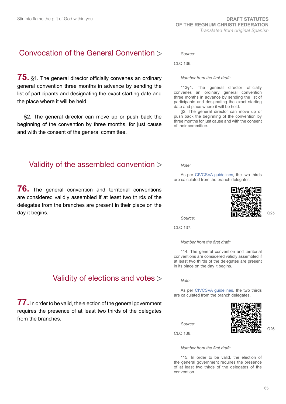### Convocation of the General Convention

**75.** §1. The general director officially convenes an ordinary general convention three months in advance by sending the list of participants and designating the exact starting date and the place where it will be held.

§2. The general director can move up or push back the beginning of the convention by three months, for just cause and with the consent of the general committee.

### Validity of the assembled convention

**76.** The general convention and territorial conventions are considered validly assembled if at least two thirds of the delegates from the branches are present in their place on the day it begins.

### Validity of elections and votes

**77.** In order to be valid, the election of the general government requires the presence of at least two thirds of the delegates from the branches.

*Source:*

CLC 136.

#### *Number from the first draft:*

113§1. The general director officially convenes an ordinary general convention three months in advance by sending the list of participants and designating the exact starting date and place where it will be held.

§2. The general director can move up or push back the beginning of the convention by three months for just cause and with the consent of their committee.

#### *Note:*

As per [CIVCSVA guidelines](http://www.regnumchristi.org/rcstatutes/wp-content/uploads/2017/12/DG-LC-797-2017-English_Translation.pdf), the two thirds are calculated from the branch delegates.



*Source:*

CLC 137.

*Number from the first draft:*

114. The general convention and territorial conventions are considered validly assembled if at least two thirds of the delegates are present in its place on the day it begins.

*Note:*

As per [CIVCSVA guidelines](http://www.regnumchristi.org/rcstatutes/wp-content/uploads/2017/12/DG-LC-797-2017-English_Translation.pdf), the two thirds are calculated from the branch delegates.

*Source:*



 $O26$ 

 $O25$ 

CLC 138.

*Number from the first draft:*

115. In order to be valid, the election of the general government requires the presence of at least two thirds of the delegates of the convention.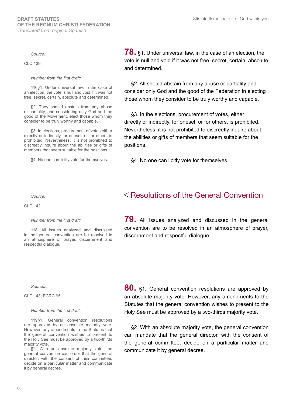*Source:*

CLC 139.

#### *Number from the first draft:*

116§1. Under universal law, in the case of an election, the vote is null and void if it was not free, secret, certain, absolute and determined.

§2. They should abstain from any abuse or partiality, and considering only God and the good of the Movement, elect those whom they consider to be truly worthy and capable.

§3. In elections, procurement of votes either directly or indirectly for oneself or for others is prohibited. Nevertheless, it is not prohibited to discreetly inquire about the abilities or gifts of members that seem suitable for the positions.

§4. No one can licitly vote for themselves.

*Source:*

CLC 142.

#### *Number from the first draft:*

118. All issues analyzed and discussed in the general convention are be resolved in an atmosphere of prayer, discernment and respectful dialogue.

*Sources:*

CLC 143; ECRC 95.

#### *Number from the first draft:*

119§1. General convention resolutions are approved by an absolute majority vote. However, any amendments to the Statutes that the general convention wishes to present to the Holy See must be approved by a two-thirds majority vote.

§2. With an absolute majority vote, the general convention can order that the general director, with the consent of their committee, decide on a particular matter and communicate it by general decree.

**78.** §1. Under universal law, in the case of an election, the vote is null and void if it was not free, secret, certain, absolute and determined.

§2. All should abstain from any abuse or partiality and consider only God and the good of the Federation in electing those whom they consider to be truly worthy and capable.

§3. In the elections, procurement of votes, either directly or indirectly, for oneself or for others, is prohibited. Nevertheless, it is not prohibited to discreetly inquire about the abilities or gifts of members that seem suitable for the positions.

§4. No one can licitly vote for themselves.

### **K** Resolutions of the General Convention

**79.** All issues analyzed and discussed in the general convention are to be resolved in an atmosphere of prayer, discernment and respectful dialogue.

**80.** §1. General convention resolutions are approved by an absolute majority vote. However, any amendments to the Statutes that the general convention wishes to present to the Holy See must be approved by a two-thirds majority vote.

§2. With an absolute majority vote, the general convention can mandate that the general director, with the consent of the general committee, decide on a particular matter and communicate it by general decree.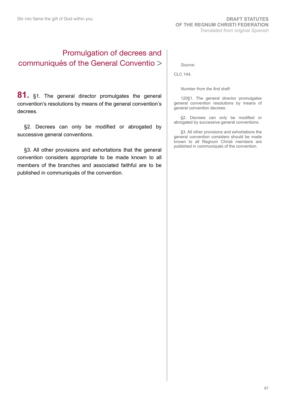### Promulgation of decrees and communiqués of the General Conventio

81. §1. The general director promulgates the general convention's resolutions by means of the general convention's decrees.

§2. Decrees can only be modified or abrogated by successive general conventions.

§3. All other provisions and exhortations that the general convention considers appropriate to be made known to all members of the branches and associated faithful are to be published in communiqués of the convention.

*Source:*

CLC 144.

*Number from the first draft:*

120§1. The general director promulgates general convention resolutions by means of general convention decrees.

§2. Decrees can only be modified or abrogated by successive general conventions.

§3. All other provisions and exhortations the general convention considers should be made known to all Regnum Christi members are published in communiqués of the convention.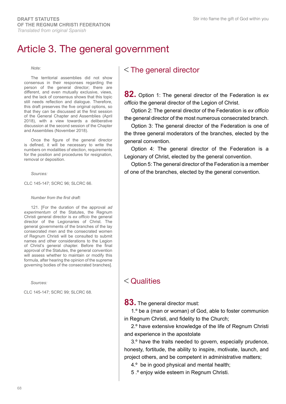# Article 3. The general government

#### *Note:*

The territorial assemblies did not show consensus in their responses regarding the person of the general director; there are different, and even mutually exclusive, views, and the lack of consensus shows that this topic still needs reflection and dialogue. Therefore, this draft preserves the five original options, so that they can be discussed at the first session of the General Chapter and Assemblies (April 2018), with a view towards a deliberative discussion at the second session of the Chapter and Assemblies (November 2018).

Once the figure of the general director is defined, it will be necessary to write the numbers on modalities of election, requirements for the position and procedures for resignation, removal or deposition.

*Sources:*

CLC 145-147; SCRC 96; SLCRC 66.

*Number from the first draft:*

121. [For the duration of the approval *ad experimentum* of the Statutes, the Regnum Christi general director is *ex officio* the general director of the Legionaries of Christ. The general governments of the branches of the lay consecrated men and the consecrated women of Regnum Christi will be consulted to submit names and other considerations to the Legion of Christ's general chapter. Before the final approval of the Statutes, the general convention will assess whether to maintain or modify this formula, after hearing the opinion of the supreme governing bodies of the consecrated branches].

*Sources:*

CLC 145-147; SCRC 99; SLCRC 68.

### $<$  The general director

**82.** Option 1: The general director of the Federation is *ex officio* the general director of the Legion of Christ.

Option 2: The general director of the Federation is *ex officio* the general director of the most numerous consecrated branch.

Option 3: The general director of the Federation is one of the three general moderators of the branches, elected by the general convention.

Option 4: The general director of the Federation is a Legionary of Christ, elected by the general convention.

Option 5: The general director of the Federation is a member of one of the branches, elected by the general convention.

### $<$  Qualities

83. The general director must:

1.º be a (man or woman) of God, able to foster communion in Regnum Christi, and fidelity to the Church;

2.º have extensive knowledge of the life of Regnum Christi and experience in the apostolate

3.º have the traits needed to govern, especially prudence, honesty, fortitude, the ability to inspire, motivate, launch, and project others, and be competent in administrative matters;

4.º be in good physical and mental health;

5 .º enjoy wide esteem in Regnum Christi.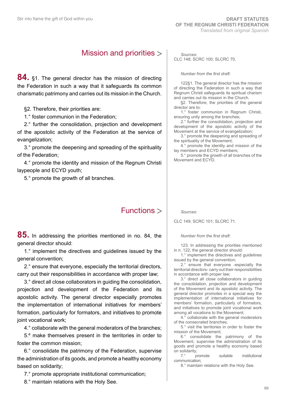### Mission and priorities

**84.** §1. The general director has the mission of directing the Federation in such a way that it safeguards its common charismatic patrimony and carries out its mission in the Church.

§2. Therefore, their priorities are:

1.° foster communion in the Federation;

2.° further the consolidation, projection and development of the apostolic activity of the Federation at the service of evangelization;

3.° promote the deepening and spreading of the spirituality of the Federation;

4.° promote the identity and mission of the Regnum Christi laypeople and ECYD youth;

5.° promote the growth of all branches.

### Functions

**85.** In addressing the priorities mentioned in no. 84, the general director should:

1.° implement the directives and guidelines issued by the general convention;

2.° ensure that everyone, especially the territorial directors, carry out their responsibilities in accordance with proper law;

3.° direct all close collaborators in guiding the consolidation, projection and development of the Federation and its apostolic activity. The general director especially promotes the implementation of international initiatives for members' formation, particularly for formators, and initiatives to promote joint vocational work;

4.° collaborate with the general moderators of the branches;

5.º make themselves present in the territories in order to foster the common mission;

6.° consolidate the patrimony of the Federation, supervise the administration of its goods, and promote a healthy economy based on solidarity;

7.° promote appropriate institutional communication;

8.° maintain relations with the Holy See.

*Sources:* CLC 148; SCRC 100; SLCRC 70.

#### *Number from the first draft:*

122§1. The general director has the mission of directing the Federation in such a way that Regnum Christi safeguards its spiritual charism and carries out its mission in the Church.

§2. Therefore, the priorities of the general director are to:

1.° foster communion in Regnum Christi, ensuring unity among the branches;

2.° further the consolidation, projection and development of the apostolic activity of the Movement at the service of evangelization;

3.° promote the deepening and spreading of the spirituality of the Movement;

4.° promote the identity and mission of the lay members and ECYD members;

5.° promote the growth of all branches of the Movement and ECYD.

#### *Sources:*

CLC 149; SCRC 101; SLCRC 71.

*Number from the first draft:*

123. In addressing the priorities mentioned in n. 122, the general director should:

1.° implement the directives and guidelines issued by the general convention;

2.° ensure that everyone -especially the territorial directors- carry out their responsibilities in accordance with proper law;

3.° direct all close collaborators in guiding the consolidation, projection and development of the Movement and its apostolic activity. The general director promotes in a special way the implementation of international initiatives for members' formation, particularly of formators, and initiatives to promote joint vocational work among all vocations to the Movement;

4.° collaborate with the general moderators of the consecrated branches;

5.° visit the territories in order to foster the mission of the Movement;

6.° consolidate the patrimony of the Movement, supervise the administration of its goods and promote a healthy economy based on solidarity;<br>7.° promote

suitable institutional communication;

8.° maintain relations with the Holy See.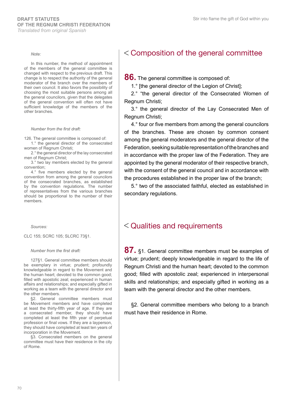#### *Note:*

In this number, the method of appointment of the members of the general committee is changed with respect to the previous draft. This change is to respect the authority of the general moderator of the branch over the members of their own council. It also favors the possibility of choosing the most suitable persons among all the general councilors, given that the delegates of the general convention will often not have sufficient knowledge of the members of the other branches.

#### *Number from the first draft:*

126. The general committee is composed of:

1.° the general director of the consecrated women of Regnum Christi;

2.° the general director of the lay consecrated men of Regnum Christ;

3.° two lay members elected by the general convention;

4.° five members elected by the general convention from among the general councilors of the consecrated branches, as established by the convention regulations. The number of representatives from the various branches should be proportional to the number of their members.

*Sources:*

CLC 155; SCRC 105; SLCRC 73§1.

#### *Number from the first draft:*

127§1. General committee members should be exemplary in virtue; prudent; profoundly knowledgeable in regard to the Movement and the human heart; devoted to the common good; filled with apostolic zeal; experienced in human affairs and relationships; and especially gifted in working as a team with the general director and the other members.

§2. General committee members must be Movement members and have completed at least the thirty-fifth year of age. If they are a consecrated member, they should have completed at least the fifth year of perpetual profession or final vows. If they are a layperson, they should have completed at least ten years of incorporation in the Movement.

§3. Consecrated members on the general committee must have their residence in the city of Rome.

### Composition of the general committee

**86.** The general committee is composed of:

1.° [the general director of the Legion of Christ];

2.° "the general director of the Consecrated Women of Regnum Christi;

3.° the general director of the Lay Consecrated Men of Regnum Christi;

4.° four or five members from among the general councilors of the branches. These are chosen by common consent among the general moderators and the general director of the Federation, seeking suitable representation of the branches and in accordance with the proper law of the Federation. They are appointed by the general moderator of their respective branch, with the consent of the general council and in accordance with the procedures established in the proper law of the branch;

5.° two of the associated faithful, elected as established in secondary regulations.

### Qualities and requirements

**87.** §1. General committee members must be examples of virtue; prudent; deeply knowledgeable in regard to the life of Regnum Christi and the human heart; devoted to the common good; filled with apostolic zeal; experienced in interpersonal skills and relationships; and especially gifted in working as a team with the general director and the other members.

§2. General committee members who belong to a branch must have their residence in Rome.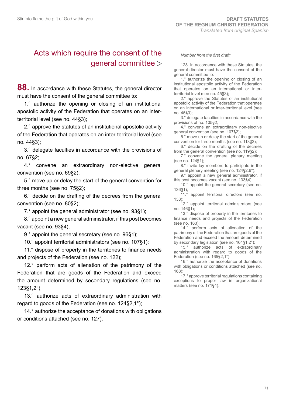### Acts which require the consent of the general committee

**88.** In accordance with these Statutes, the general director must have the consent of the general committee to:

1.° authorize the opening or closing of an institutional apostolic activity of the Federation that operates on an interterritorial level (see no. 44§3);

2.° approve the statutes of an institutional apostolic activity of the Federation that operates on an inter-territorial level (see no. 44§3);

3.° delegate faculties in accordance with the provisions of no. 67§2;

4.° convene an extraordinary non-elective general convention (see no. 69§2);

5.° move up or delay the start of the general convention for three months (see no. 75§2);

6.° decide on the drafting of the decrees from the general convention (see no. 80§2);

7.° appoint the general administrator (see no. 93§1);

8.° appoint a new general administrator, if this post becomes vacant (see no. 93§4);

9.° appoint the general secretary (see no. 96§1);

10.° appoint territorial administrators (see no. 107§1);

11.° dispose of property in the territories to finance needs and projects of the Federation (see no. 122);

12.° perform acts of alienation of the patrimony of the Federation that are goods of the Federation and exceed the amount determined by secondary regulations (see no. 123§1,2°);

13.° authorize acts of extraordinary administration with regard to goods of the Federation (see no. 124§2,1°);

14.° authorize the acceptance of donations with obligations or conditions attached (see no. 127).

#### *Number from the first draft:*

128. In accordance with these Statutes, the general director must have the consent of the general committee to:

1.° authorize the opening or closing of an institutional apostolic activity of the Federation that operates on an international or interterritorial level (see no. 45§3);

2.° approve the Statutes of an institutional apostolic activity of the Federation that operates on an international or inter-territorial level (see no. 45§3);

3.° delegate faculties in accordance with the provisions of no. 105§2;

4.° convene an extraordinary non-elective general convention (see no. 107§2);

5.° move up or delay the start of the general convention for three months (see no. 113§2);

6.° decide on the drafting of the decrees from the general convention (see no. 119§2);

7.° convene the general plenary meeting (see no. 124§1);

8.° invite lay members to participate in the general plenary meeting (see no. 124§2,6°);

9.° appoint a new general administrator, if this post becomes vacant (see no. 133§4);

10.° appoint the general secretary (see no. 136§1);

11.° appoint territorial directors (see no. 138);

12.° appoint territorial administrators (see no. 146§1);

13.° dispose of property in the territories to finance needs and projects of the Federation (see no. 163);

14.° perform acts of alienation of the patrimony of the Federation that are goods of the Federation and exceed the amount determined by secondary legislation (see no. 164§1,2°);

15.° authorize acts of extraordinary administration with regard to goods of the Federation (see no. 165§2,1°);

16.° authorize the acceptance of donations with obligations or conditions attached (see no. 168);

17.° approve territorial regulations containing exceptions to proper law in organizational matters (see no. 171§4).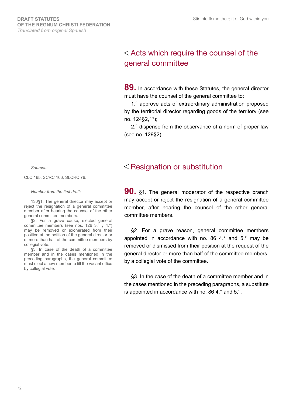*Sources:*

CLC 165; SCRC 106; SLCRC 76.

#### *Number from the first draft:*

130§1. The general director may accept or reject the resignation of a general committee member after hearing the counsel of the other general committee members.

§2. For a grave cause, elected general committee members (see nos. 126 3.° y 4.°) may be removed or exonerated from their position at the petition of the general director or of more than half of the committee members by collegial vote.

§3. In case of the death of a committee member and in the cases mentioned in the preceding paragraphs, the general committee must elect a new member to fill the vacant office by collegial vote.

### Acts which require the counsel of the general committee

**89.** In accordance with these Statutes, the general director must have the counsel of the general committee to:

1.° approve acts of extraordinary administration proposed by the territorial director regarding goods of the territory (see no. 124§2,1°);

2.° dispense from the observance of a norm of proper law (see no. 129§2).

### **K** Resignation or substitution

**90.** §1. The general moderator of the respective branch may accept or reject the resignation of a general committee member, after hearing the counsel of the other general committee members.

§2. For a grave reason, general committee members appointed in accordance with no. 86 4.° and 5.° may be removed or dismissed from their position at the request of the general director or more than half of the committee members, by a collegial vote of the committee.

§3. In the case of the death of a committee member and in the cases mentioned in the preceding paragraphs, a substitute is appointed in accordance with no. 86 4.° and 5.°.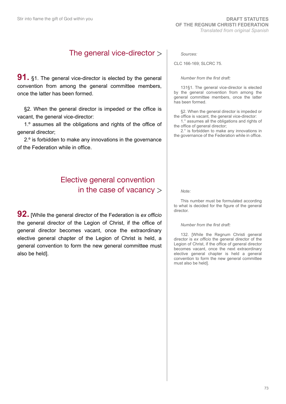## The general vice-director

**91.** §1. The general vice-director is elected by the general convention from among the general committee members, once the latter has been formed.

§2. When the general director is impeded or the office is vacant, the general vice-director:

1.º assumes all the obligations and rights of the office of general director;

2.º is forbidden to make any innovations in the governance of the Federation while in office.

## Elective general convention in the case of vacancy  $>$

**92.** [While the general director of the Federation is *ex officio* the general director of the Legion of Christ, if the office of general director becomes vacant, once the extraordinary elective general chapter of the Legion of Christ is held, a general convention to form the new general committee must also be held].

*Sources:*

CLC 166-169; SLCRC 75.

*Number from the first draft:*

131§1. The general vice-director is elected by the general convention from among the general committee members, once the latter has been formed.

§2. When the general director is impeded or the office is vacant, the general vice-director:

1.° assumes all the obligations and rights of the office of general director;

2.° is forbidden to make any innovations in the governance of the Federation while in office.

*Note:*

This number must be formulated according to what is decided for the figure of the general director.

#### *Number from the first draft:*

132. [While the Regnum Christi general director is *ex officio* the general director of the Legion of Christ, if the office of general director becomes vacant, once the next extraordinary elective general chapter is held a general convention to form the new general committee must also be held].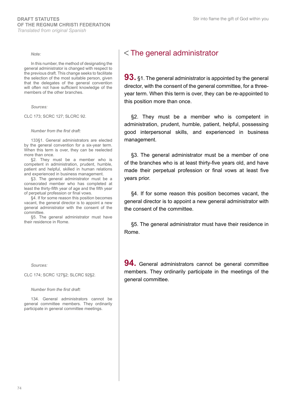#### *Note:*

In this number, the method of designating the general administrator is changed with respect to the previous draft. This change seeks to facilitate the selection of the most suitable person, given that the delegates of the general convention will often not have sufficient knowledge of the members of the other branches.

*Sources:*

CLC 173; SCRC 127; SLCRC 92.

#### *Number from the first draft:*

133§1. General administrators are elected by the general convention for a six-year term. When this term is over, they can be reelected more than once.

§2. They must be a member who is competent in administration, prudent, humble, patient and helpful, skilled in human relations and experienced in business management.

§3. The general administrator must be a consecrated member who has completed at least the thirty-fifth year of age and the fifth year of perpetual profession or final vows.

§4. If for some reason this position becomes vacant, the general director is to appoint a new general administrator with the consent of the committee.

§5. The general administrator must have their residence in Rome.

*Sources:*

CLC 174; SCRC 127§2; SLCRC 92§2.

*Number from the first draft:*

134. General administrators cannot be general committee members. They ordinarily participate in general committee meetings.

## $<$  The general administrator

**93.** §1. The general administrator is appointed by the general director, with the consent of the general committee, for a threeyear term. When this term is over, they can be re-appointed to this position more than once.

§2. They must be a member who is competent in administration, prudent, humble, patient, helpful, possessing good interpersonal skills, and experienced in business management.

§3. The general administrator must be a member of one of the branches who is at least thirty-five years old, and have made their perpetual profession or final vows at least five years prior.

§4. If for some reason this position becomes vacant, the general director is to appoint a new general administrator with the consent of the committee.

§5. The general administrator must have their residence in Rome.

**94.** General administrators cannot be general committee members. They ordinarily participate in the meetings of the general committee.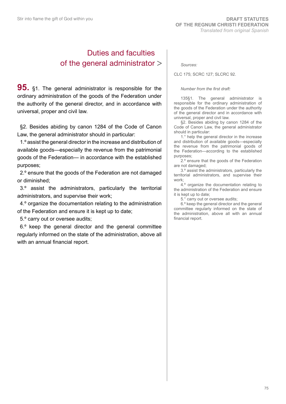## Duties and faculties of the general administrator

**95.** §1. The general administrator is responsible for the ordinary administration of the goods of the Federation under the authority of the general director, and in accordance with universal, proper and civil law.

§2. Besides abiding by canon 1284 of the Code of Canon Law, the general administrator should in particular:

1.º assist the general director in the increase and distribution of available goods—especially the revenue from the patrimonial goods of the Federation— in accordance with the established purposes;

2.º ensure that the goods of the Federation are not damaged or diminished;

3.º assist the administrators, particularly the territorial administrators, and supervise their work;

4.º organize the documentation relating to the administration of the Federation and ensure it is kept up to date;

5.º carry out or oversee audits;

6.º keep the general director and the general committee regularly informed on the state of the administration, above all with an annual financial report.

*Sources:*

CLC 175; SCRC 127; SLCRC 92.

*Number from the first draft:*

135§1. The general administrator is responsible for the ordinary administration of the goods of the Federation under the authority of the general director and in accordance with universal, proper and civil law.

§2. Besides abiding by canon 1284 of the Code of Canon Law, the general administrator should in particular:

1.° help the general director in the increase and distribution of available goods—especially the revenue from the patrimonial goods of the Federation—according to the established purposes;

2.º ensure that the goods of the Federation are not damaged;

3.º assist the administrators, particularly the territorial administrators, and supervise their work;

4.º organize the documentation relating to the administration of the Federation and ensure it is kept up to date;

5.° carry out or oversee audits;

6.º keep the general director and the general committee regularly informed on the state of the administration, above all with an annual financial report.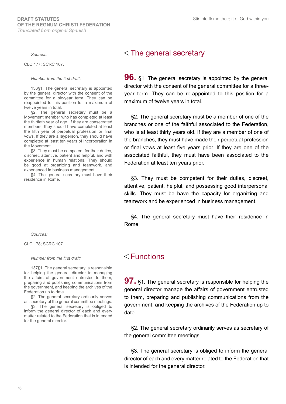*Sources:*

CLC 177; SCRC 107.

#### *Number from the first draft:*

136§1. The general secretary is appointed by the general director with the consent of the committee for a six-year term. They can be reappointed to this position for a maximum of twelve years in total.

§2. The general secretary must be a Movement member who has completed at least the thirtieth year of age. If they are consecrated members, they should have completed at least the fifth year of perpetual profession or final vows. If they are a layperson, they should have completed at least ten years of incorporation in the Movement.

§3. They must be competent for their duties, discreet, attentive, patient and helpful, and with experience in human relations. They should be good at organizing and teamwork, and experienced in business management.

§4. The general secretary must have their residence in Rome.

*Sources:*

CLC 178; SCRC 107.

#### *Number from the first draft:*

137§1. The general secretary is responsible for helping the general director in managing the affairs of government entrusted to them, preparing and publishing communications from the government, and keeping the archives of the Federation up to date.

§2. The general secretary ordinarily serves as secretary of the general committee meetings.

§3. The general secretary is obliged to inform the general director of each and every matter related to the Federation that is intended for the general director.

#### $<$  The general secretary

**96.** §1. The general secretary is appointed by the general director with the consent of the general committee for a threeyear term. They can be re-appointed to this position for a maximum of twelve years in total.

§2. The general secretary must be a member of one of the branches or one of the faithful associated to the Federation, who is at least thirty years old. If they are a member of one of the branches, they must have made their perpetual profession or final vows at least five years prior. If they are one of the associated faithful, they must have been associated to the Federation at least ten years prior.

§3. They must be competent for their duties, discreet, attentive, patient, helpful, and possessing good interpersonal skills. They must be have the capacity for organizing and teamwork and be experienced in business management.

§4. The general secretary must have their residence in Rome.

#### $<$ Functions

**97.** §1. The general secretary is responsible for helping the general director manage the affairs of government entrusted to them, preparing and publishing communications from the government, and keeping the archives of the Federation up to date.

§2. The general secretary ordinarily serves as secretary of the general committee meetings.

§3. The general secretary is obliged to inform the general director of each and every matter related to the Federation that is intended for the general director.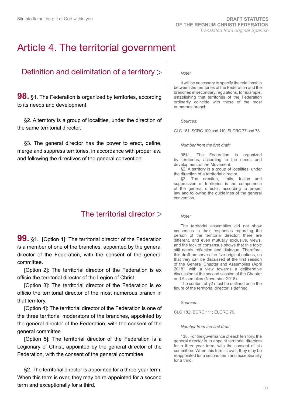## Article 4. The territorial government

## Definition and delimitation of a territory

**98.** §1. The Federation is organized by territories, according to its needs and development.

§2. A territory is a group of localities, under the direction of the same territorial director.

§3. The general director has the power to erect, define, merge and suppress territories, in accordance with proper law, and following the directives of the general convention.

## The territorial director

**99.** §1. [Option 1]: The territorial director of the Federation is a member of one of the branches, appointed by the general director of the Federation, with the consent of the general committee.

[Option 2]: The territorial director of the Federation is ex officio the territorial director of the Legion of Christ.

[Option 3]: The territorial director of the Federation is ex officio the territorial director of the most numerous branch in that territory.

[Option 4]: The territorial director of the Federation is one of the three territorial moderators of the branches, appointed by the general director of the Federation, with the consent of the general committee.

[Option 5]: The territorial director of the Federation is a Legionary of Christ, appointed by the general director of the Federation, with the consent of the general committee.

§2. The territorial director is appointed for a three-year term. When this term is over, they may be re-appointed for a second term and exceptionally for a third.

#### *Note:*

It will be necessary to specify the relationship between the territories of the Federation and the branches in secondary regulations, for example, establishing that territories of the Federation ordinarily coincide with those of the most numerous branch.

*Sources:*

CLC 181; SCRC 109 and 110; SLCRC 77 and 78.

*Number from the first draft:*

98§1. The Federation is organized by territories, according to the needs and development of the Movement.

§2. A territory is a group of localities, under the direction of a territorial director.

§3. The erection, limits, fusion and suppression of territories is the competence of the general director, according to proper law and following the guidelines of the general convention.

*Note:*

The territorial assemblies did not show consensus in their responses regarding the person of the territorial director; there are different, and even mutually exclusive, views, and the lack of consensus shows that this topic still needs reflection and dialogue. Therefore, this draft preserves the five original options, so that they can be discussed at the first session of the General Chapter and Assemblies (April 2018), with a view towards a deliberative discussion at the second session of the Chapter and Assemblies (November 2018).

The content of §2 must be outlined once the figure of the territorial director is defined.

*Sources:*

CLC 182; ECRC 111; ELCRC 79.

#### *Number from the first draft:*

138. For the governance of each territory, the general director is to appoint territorial directors for a three-year term, with the consent of his committee. When this term is over, they may be reappointed for a second term and exceptionally for a third.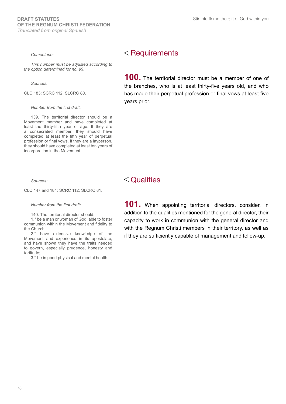#### *Comentario:*

*This number must be adjusted according to the option determined for no. 99.*

*Sources:*

CLC 183; SCRC 112; SLCRC 80.

*Number from the first draft:*

139. The territorial director should be a Movement member and have completed at least the thirty-fifth year of age. If they are a consecrated member, they should have completed at least the fifth year of perpetual profession or final vows. If they are a layperson, they should have completed at least ten years of incorporation in the Movement.

*Sources:*

CLC 147 and 184; SCRC 112; SLCRC 81.

*Number from the first draft:*

140. The territorial director should:

1.° be a man or woman of God, able to foster communion within the Movement and fidelity to the Church;

2.° have extensive knowledge of the Movement and experience in its apostolate, and have shown they have the traits needed to govern, especially prudence, honesty and fortitude;

3.° be in good physical and mental health.

### $<$  Requirements

**100.** The territorial director must be a member of one of the branches, who is at least thirty-five years old, and who has made their perpetual profession or final vows at least five years prior.

#### $<$  Qualities

**101.** When appointing territorial directors, consider, in addition to the qualities mentioned for the general director, their capacity to work in communion with the general director and with the Regnum Christi members in their territory, as well as if they are sufficiently capable of management and follow-up.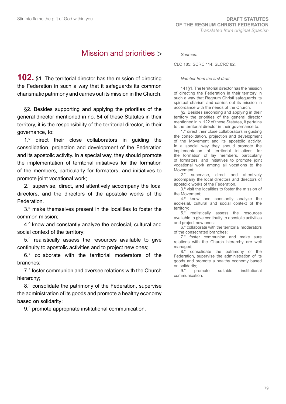## Mission and priorities

**102.** §1. The territorial director has the mission of directing the Federation in such a way that it safeguards its common charismatic patrimony and carries out its mission in the Church.

§2. Besides supporting and applying the priorities of the general director mentioned in no. 84 of these Statutes in their territory, it is the responsibility of the territorial director, in their governance, to:

1.º direct their close collaborators in guiding the consolidation, projection and development of the Federation and its apostolic activity. In a special way, they should promote the implementation of territorial initiatives for the formation of the members, particularly for formators, and initiatives to promote joint vocational work;

2.° supervise, direct, and attentively accompany the local directors, and the directors of the apostolic works of the Federation.

3.º make themselves present in the localities to foster the common mission;

4.º know and constantly analyze the ecclesial, cultural and social context of the territory;

5.° realistically assess the resources available to give continuity to apostolic activities and to project new ones;

6.° collaborate with the territorial moderators of the branches;

7.° foster communion and oversee relations with the Church hierarchy;

8.° consolidate the patrimony of the Federation, supervise the administration of its goods and promote a healthy economy based on solidarity;

9.° promote appropriate institutional communication.

#### *Sources:*

CLC 185; SCRC 114; SLCRC 82.

#### *Number from the first draft:*

141§1. The territorial director has the mission of directing the Federation in their territory in such a way that Regnum Christi safeguards its spiritual charism and carries out its mission in accordance with the needs of the Church.

§2. Besides seconding and applying in their territory the priorities of the general director mentioned in n. 122 of these Statutes, it pertains to the territorial director in their governance to:

1.° direct their close collaborators in guiding the consolidation, projection and development of the Movement and its apostolic activity. In a special way they should promote the implementation of territorial initiatives for the formation of lay members, particularly of formators, and initiatives to promote joint vocational work among all vocations to the Movement;

2.° supervise, direct and attentively accompany the local directors and directors of apostolic works of the Federation.

3.º visit the localities to foster the mission of the Movement;

4.º know and constantly analyze the ecclesial, cultural and social context of the territory;<br> $5.^\circ$ 

5.° realistically assess the resources available to give continuity to apostolic activities and project new ones;

6.° collaborate with the territorial moderators of the consecrated branches;

7.° foster communion and make sure relations with the Church hierarchy are well managed;

8.° consolidate the patrimony of the Federation, supervise the administration of its goods and promote a healthy economy based

on solidarity;<br>9.° promote suitable institutional communication.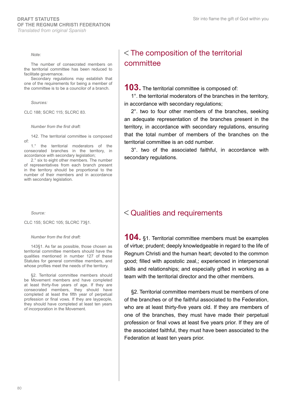*Note:*

The number of consecrated members on the territorial committee has been reduced to facilitate governance.

Secondary regulations may establish that one of the requirements for being a member of the committee is to be a councilor of a branch.

*Sources:*

CLC 188; SCRC 115; SLCRC 83.

#### *Number from the first draft:*

142. The territorial committee is composed of:

1.° the territorial moderators of the consecrated branches in the territory, in accordance with secondary legislation;

2.° six to eight other members. The number of representatives from each branch present in the territory should be proportional to the number of their members and in accordance with secondary legislation.

*Source:*

CLC 155; SCRC 105; SLCRC 73§1.

*Number from the first draft:*

143§1. As far as possible, those chosen as territorial committee members should have the qualities mentioned in number 127 of these Statutes for general committee members, and whose profiles meet the needs of the territory.

§2. Territorial committee members should be Movement members and have completed at least thirty-five years of age. If they are consecrated members, they should have completed at least the fifth year of perpetual profession or final vows. If they are laypeople, they should have completed at least ten years of incorporation in the Movement.

## $<$  The composition of the territorial committee

**103.** The territorial committee is composed of:

1°. the territorial moderators of the branches in the territory, in accordance with secondary regulations;

2°. two to four other members of the branches, seeking an adequate representation of the branches present in the territory, in accordance with secondary regulations, ensuring that the total number of members of the branches on the territorial committee is an odd number.

3°. two of the associated faithful, in accordance with secondary regulations.

#### Qualities and requirements

**104.** §1. Territorial committee members must be examples of virtue; prudent; deeply knowledgeable in regard to the life of Regnum Christi and the human heart; devoted to the common good; filled with apostolic zeal,; experienced in interpersonal skills and relationships; and especially gifted in working as a team with the territorial director and the other members.

§2. Territorial committee members must be members of one of the branches or of the faithful associated to the Federation, who are at least thirty-five years old. If they are members of one of the branches, they must have made their perpetual profession or final vows at least five years prior. If they are of the associated faithful, they must have been associated to the Federation at least ten years prior.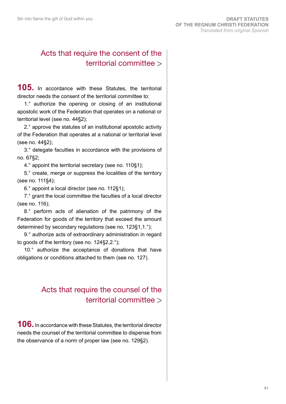## Acts that require the consent of the territorial committee

**105.** In accordance with these Statutes, the territorial director needs the consent of the territorial committee to:

1.° authorize the opening or closing of an institutional apostolic work of the Federation that operates on a national or territorial level (see no. 44§2);

2.° approve the statutes of an institutional apostolic activity of the Federation that operates at a national or territorial level (see no. 44§2);

3.° delegate faculties in accordance with the provisions of no. 67§2;

4.° appoint the territorial secretary (see no. 110§1);

5.° create, merge or suppress the localities of the territory (see no. 111§4);

6.° appoint a local director (see no. 112§1);

7.° grant the local committee the faculties of a local director (see no. 116);

8.° perform acts of alienation of the patrimony of the Federation for goods of the territory that exceed the amount determined by secondary regulations (see no. 123§1,1.°);

9.° authorize acts of extraordinary administration in regard to goods of the territory (see no. 124§2,2.°);

10.° authorize the acceptance of donations that have obligations or conditions attached to them (see no. 127).

## Acts that require the counsel of the territorial committee

**106.** In accordance with these Statutes, the territorial director needs the counsel of the territorial committee to dispense from the observance of a norm of proper law (see no. 129§2).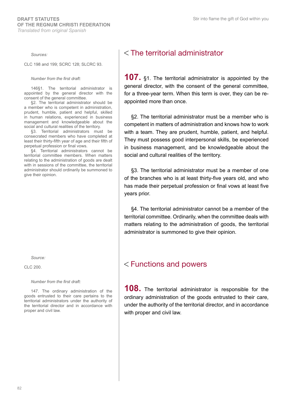*Sources:*

CLC 198 and 199; SCRC 128; SLCRC 93.

#### *Number from the first draft:*

146§1. The territorial administrator is appointed by the general director with the consent of the general committee.

§2. The territorial administrator should be a member who is competent in administration, prudent, humble, patient and helpful, skilled in human relations, experienced in business management and knowledgeable about the social and cultural realities of the territory.

§3. Territorial administrators must be consecrated members who have completed at least their thirty-fifth year of age and their fifth of perpetual profession or final vows.

§4. Territorial administrators cannot be territorial committee members. When matters relating to the administration of goods are dealt with in sessions of the committee, the territorial administrator should ordinarily be summoned to give their opinion.

*Source:*

CLC 200.

*Number from the first draft:*

147. The ordinary administration of the goods entrusted to their care pertains to the territorial administrators under the authority of the territorial director and in accordance with proper and civil law.

## The territorial administrator

**107.** §1. The territorial administrator is appointed by the general director, with the consent of the general committee, for a three-year term. When this term is over, they can be reappointed more than once.

§2. The territorial administrator must be a member who is competent in matters of administration and knows how to work with a team. They are prudent, humble, patient, and helpful. They must possess good interpersonal skills, be experienced in business management, and be knowledgeable about the social and cultural realities of the territory.

§3. The territorial administrator must be a member of one of the branches who is at least thirty-five years old, and who has made their perpetual profession or final vows at least five years prior.

§4. The territorial administrator cannot be a member of the territorial committee. Ordinarily, when the committee deals with matters relating to the administration of goods, the territorial administrator is summoned to give their opinion.

#### Functions and powers

**108.** The territorial administrator is responsible for the ordinary administration of the goods entrusted to their care, under the authority of the territorial director, and in accordance with proper and civil law.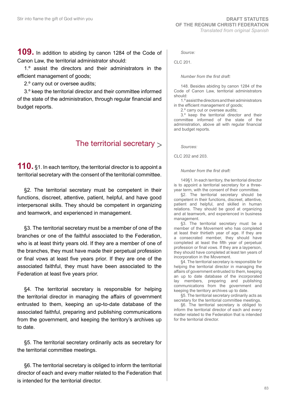**109.** In addition to abiding by canon 1284 of the Code of Canon Law, the territorial administrator should:

1.º assist the directors and their administrators in the efficient management of goods;

2.º carry out or oversee audits;

3.º keep the territorial director and their committee informed of the state of the administration, through regular financial and budget reports.

## The territorial secretary  $>$

**110.** §1. In each territory, the territorial director is to appoint a territorial secretary with the consent of the territorial committee.

§2. The territorial secretary must be competent in their functions, discreet, attentive, patient, helpful, and have good interpersonal skills. They should be competent in organizing and teamwork, and experienced in management.

§3. The territorial secretary must be a member of one of the branches or one of the faithful associated to the Federation, who is at least thirty years old. If they are a member of one of the branches, they must have made their perpetual profession or final vows at least five years prior. If they are one of the associated faithful, they must have been associated to the Federation at least five years prior.

§4. The territorial secretary is responsible for helping the territorial director in managing the affairs of government entrusted to them, keeping an up-to-date database of the associated faithful, preparing and publishing communications from the government, and keeping the territory's archives up to date.

§5. The territorial secretary ordinarily acts as secretary for the territorial committee meetings.

§6. The territorial secretary is obliged to inform the territorial director of each and every matter related to the Federation that is intended for the territorial director.

*Source:*

CLC 201.

*Number from the first draft:*

148. Besides abiding by canon 1284 of the Code of Canon Law, territorial administrators should:

1.º assist the directors and their administrators in the efficient management of goods;

2.º carry out or oversee audits;

3.º keep the territorial director and their committee informed of the state of the administration, above all with regular financial and budget reports.

*Sources:*

CLC 202 and 203.

*Number from the first draft:*

149§1. In each territory, the territorial director is to appoint a territorial secretary for a threeyear term, with the consent of their committee.

§2. The territorial secretary should be competent in their functions, discreet, attentive, patient and helpful, and skilled in human relations. They should be good at organizing and at teamwork, and experienced in business management.

§3. The territorial secretary must be a member of the Movement who has completed at least their thirtieth year of age. If they are a consecrated member, they should have completed at least the fifth year of perpetual profession or final vows. If they are a layperson, they should have completed at least ten years of incorporation in the Movement.

§4. The territorial secretary is responsible for helping the territorial director in managing the affairs of government entrusted to them, keeping an up to date database of the incorporated lay members, preparing and publishing communications from the government and keeping the territory archives up to date.

§5. The territorial secretary ordinarily acts as secretary for the territorial committee meetings.

§6. The territorial secretary is obliged to inform the territorial director of each and every matter related to the Federation that is intended for the territorial director.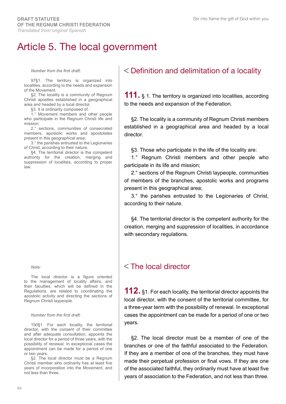## Article 5. The local government

*Number from the first draft:*

97§1. The territory is organized into localities, according to the needs and expansion of the Movement.

§2. The locality is a community of Regnum Christi apostles established in a geographical area and headed by a local director.

§3. It is ordinarily composed of:

1.° Movement members and other people who participate in the Regnum Christi life and mission;

2.° sections, communities of consecrated members, apostolic works and apostolates present in this geographical area;

3.° the parishes entrusted to the Legionaries of Christ, according to their nature.

§4. The territorial director is the competent authority for the creation, merging and suppression of localities, according to proper law.

*Note:*

The local director is a figure oriented to the management of locality affairs, and their faculties, which will be defined in the Regulations, are related to coordinating the apostolic activity and directing the sections of Regnum Christi laypeople.

#### *Number from the first draft:*

150§1. For each locality, the territorial director, with the consent of their committee and after adequate consultation, appoints the local director for a period of three years, with the possibility of renewal. In exceptional cases the appointment can be made for a period of one or two years.

§2. The local director must be a Regnum Christi member who ordinarily has at least five years of incorporation into the Movement, and not less than three.

## Definition and delimitation of a locality

**111.** § 1. The territory is organized into localities, according to the needs and expansion of the Federation.

§2. The locality is a community of Regnum Christi members established in a geographical area and headed by a local director.

§3. Those who participate in the life of the locality are:

1.° Regnum Christi members and other people who participate in its life and mission;

2.° sections of the Regnum Christi laypeople, communities of members of the branches, apostolic works and programs present in this geographical area;

3.° the parishes entrusted to the Legionaries of Christ, according to their nature.

§4. The territorial director is the competent authority for the creation, merging and suppression of localities, in accordance with secondary regulations.

## $<$ The local director

**112.** §1. For each locality, the territorial director appoints the local director, with the consent of the territorial committee, for a three-year term with the possibility of renewal. In exceptional cases the appointment can be made for a period of one or two years.

§2. The local director must be a member of one of the branches or one of the faithful associated to the Federation. If they are a member of one of the branches, they must have made their perpetual profession or final vows. If they are one of the associated faithful, they ordinarily must have at least five years of association to the Federation, and not less than three.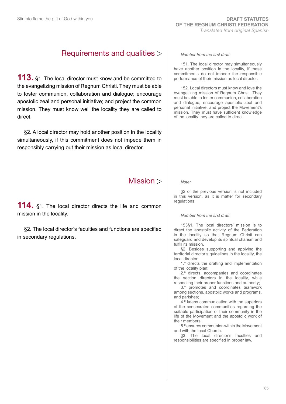## Requirements and qualities

**113.** §1. The local director must know and be committed to the evangelizing mission of Regnum Christi. They must be able to foster communion, collaboration and dialogue; encourage apostolic zeal and personal initiative; and project the common mission. They must know well the locality they are called to direct.

§2. A local director may hold another position in the locality simultaneously, if this commitment does not impede them in responsibly carrying out their mission as local director.

## Mission >

**114.** §1. The local director directs the life and common mission in the locality.

§2. The local director's faculties and functions are specified in secondary regulations.

*Number from the first draft:*

151. The local director may simultaneously have another position in the locality, if these commitments do not impede the responsible performance of their mission as local director.

152. Local directors must know and love the evangelizing mission of Regnum Christi. They must be able to foster communion, collaboration and dialogue, encourage apostolic zeal and personal initiative, and project the Movement's mission. They must have sufficient knowledge of the locality they are called to direct.

*Note:*

§2 of the previous version is not included in this version, as it is matter for secondary regulations.

*Number from the first draft:*

153§1. The local directors' mission is to direct the apostolic activity of the Federation in the locality so that Regnum Christi can safeguard and develop its spiritual charism and fulfill its mission.

§2. Besides supporting and applying the territorial director's guidelines in the locality, the local director:

1.º directs the drafting and implementation of the locality plan;

2.º directs, accompanies and coordinates the section directors in the locality, while respecting their proper functions and authority;

3.º promotes and coordinates teamwork among sections, apostolic works and programs, and parishes;

4.º keeps communication with the superiors of the consecrated communities regarding the suitable participation of their community in the life of the Movement and the apostolic work of their members;

5.º ensures communion within the Movement and with the local Church.

§3. The local director's faculties and responsibilities are specified in proper law.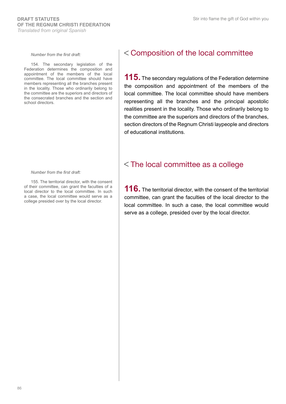#### *Number from the first draft:*

154. The secondary legislation of the Federation determines the composition and appointment of the members of the local committee. The local committee should have members representing all the branches present in the locality. Those who ordinarily belong to the committee are the superiors and directors of the consecrated branches and the section and school directors.

#### *Number from the first draft:*

155. The territorial director, with the consent of their committee, can grant the faculties of a local director to the local committee. In such a case, the local committee would serve as a college presided over by the local director.

#### Composition of the local committee

**115.** The secondary regulations of the Federation determine the composition and appointment of the members of the local committee. The local committee should have members representing all the branches and the principal apostolic realities present in the locality. Those who ordinarily belong to the committee are the superiors and directors of the branches, section directors of the Regnum Christi laypeople and directors of educational institutions.

#### The local committee as a college

**116.** The territorial director, with the consent of the territorial committee, can grant the faculties of the local director to the local committee. In such a case, the local committee would serve as a college, presided over by the local director.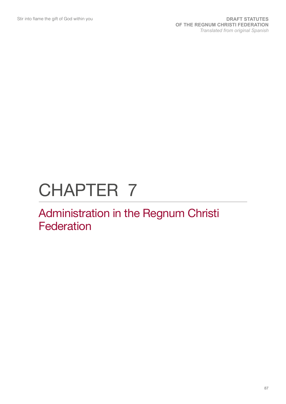# CHAPTER 7

## Administration in the Regnum Christi **Federation**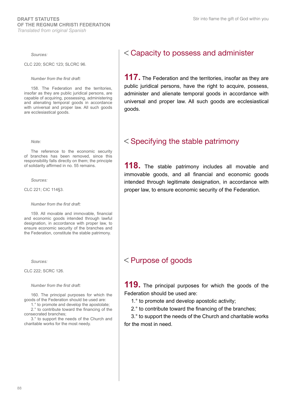#### *Sources:*

CLC 220; SCRC 123; SLCRC 96.

*Number from the first draft:*

158. The Federation and the territories, insofar as they are public juridical persons, are capable of acquiring, possessing, administering and alienating temporal goods in accordance with universal and proper law. All such goods are ecclesiastical goods.

*Note:*

The reference to the economic security of branches has been removed, since this responsibility falls directly on them; the principle of solidarity affirmed in no. 55 remains.

*Sources:*

CLC 221; CIC 114§3.

*Number from the first draft:*

159. All movable and immovable, financial and economic goods intended through lawful designation, in accordance with proper law, to ensure economic security of the branches and the Federation, constitute the stable patrimony.

*Sources:*

CLC 222; SCRC 126.

*Number from the first draft:*

160. The principal purposes for which the goods of the Federation should be used are:

1.° to promote and develop the apostolate;

2.° to contribute toward the financing of the consecrated branches;

3.° to support the needs of the Church and charitable works for the most needy.

## Capacity to possess and administer

**117.** The Federation and the territories, insofar as they are public juridical persons, have the right to acquire, possess, administer and alienate temporal goods in accordance with universal and proper law. All such goods are ecclesiastical goods.

#### $<$  Specifying the stable patrimony

**118.** The stable patrimony includes all movable and immovable goods, and all financial and economic goods intended through legitimate designation, in accordance with proper law, to ensure economic security of the Federation.

#### Purpose of goods

**119.** The principal purposes for which the goods of the Federation should be used are:

1.° to promote and develop apostolic activity;

2.° to contribute toward the financing of the branches;

3.° to support the needs of the Church and charitable works for the most in need.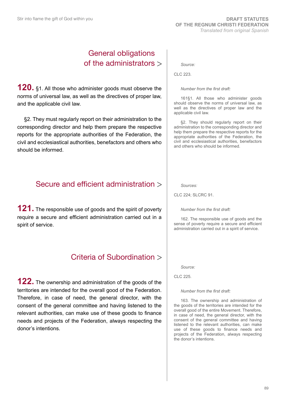## General obligations of the administrators

**120.** §1. All those who administer goods must observe the norms of universal law, as well as the directives of proper law, and the applicable civil law.

§2. They must regularly report on their administration to the corresponding director and help them prepare the respective reports for the appropriate authorities of the Federation, the civil and ecclesiastical authorities, benefactors and others who should be informed.

## Secure and efficient administration

**121.** The responsible use of goods and the spirit of poverty require a secure and efficient administration carried out in a spirit of service.

## Criteria of Subordination

**122.** The ownership and administration of the goods of the territories are intended for the overall good of the Federation. Therefore, in case of need, the general director, with the consent of the general committee and having listened to the relevant authorities, can make use of these goods to finance needs and projects of the Federation, always respecting the donor's intentions.

*Source:*

CLC 223.

#### *Number from the first draft:*

161§1. All those who administer goods should observe the norms of universal law, as well as the directives of proper law and the applicable civil law.

§2. They should regularly report on their administration to the corresponding director and help them prepare the respective reports for the appropriate authorities of the Federation, the civil and ecclesiastical authorities, benefactors and others who should be informed.

*Sources:*

CLC 224; SLCRC 91.

*Number from the first draft:*

162. The responsible use of goods and the sense of poverty require a secure and efficient administration carried out in a spirit of service.

*Source:*

CLC 225.

*Number from the first draft:*

163. The ownership and administration of the goods of the territories are intended for the overall good of the entire Movement. Therefore, in case of need, the general director, with the consent of the general committee and having listened to the relevant authorities, can make use of these goods to finance needs and projects of the Federation, always respecting the donor's intentions.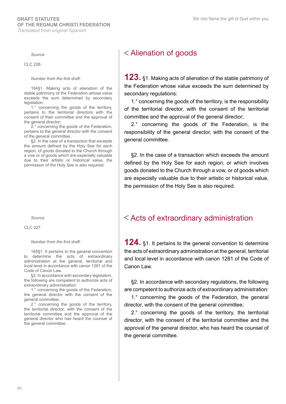#### *Source:*

CLC 226.

#### *Number from the first draft:*

164§1. Making acts of alienation of the stable patrimony of the Federation whose value exceeds the sum determined by secondary legislation:

1.° concerning the goods of the territory, pertains to the territorial directors with the consent of their committee and the approval of the general director;

2.° concerning the goods of the Federation, pertains to the general director with the consent of the general committee.

§2. In the case of a transaction that exceeds the amount defined by the Holy See for each region, of goods donated to the Church through a vow or of goods which are especially valuable due to their artistic or historical value, the permission of the Holy See is also required.

*Source:*

CLC 227.

#### *Number from the first draft:*

165§1. It pertains to the general convention to determine the acts of extraordinary administration at the general, territorial and local level in accordance with canon 1281 of the Code of Canon Law.

§2. In accordance with secondary legislation, the following are competent to authorize acts of extraordinary administration:

1.° concerning the goods of the Federation, the general director with the consent of the general committee;

2.° concerning the goods of the territory, the territorial director, with the consent of the territorial committee and the approval of the general director who has heard the counsel of the general committee.

## Alienation of goods

**123.** §1. Making acts of alienation of the stable patrimony of the Federation whose value exceeds the sum determined by secondary regulations:

1.° concerning the goods of the territory, is the responsibility of the territorial director, with the consent of the territorial committee and the approval of the general director;

2.° concerning the goods of the Federation, is the responsibility of the general director, with the consent of the general committee.

§2. In the case of a transaction which exceeds the amount defined by the Holy See for each region, or which involves goods donated to the Church through a vow, or of goods which are especially valuable due to their artistic or historical value, the permission of the Holy See is also required.

#### Acts of extraordinary administration

**124.** §1. It pertains to the general convention to determine the acts of extraordinary administration at the general, territorial and local level in accordance with canon 1281 of the Code of Canon Law.

§2. In accordance with secondary regulations, the following are competent to authorize acts of extraordinary administration:

1.° concerning the goods of the Federation, the general director, with the consent of the general committee;

2.° concerning the goods of the territory, the territorial director, with the consent of the territorial committee and the approval of the general director, who has heard the counsel of the general committee.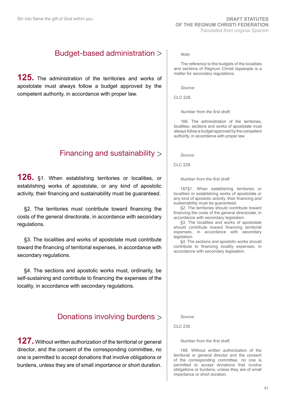## Budget-based administration

**125.** The administration of the territories and works of apostolate must always follow a budget approved by the competent authority, in accordance with proper law.

## Financing and sustainability

**126.** §1. When establishing territories or localities, or establishing works of apostolate, or any kind of apostolic activity, their financing and sustainability must be guaranteed.

§2. The territories must contribute toward financing the costs of the general directorate, in accordance with secondary regulations.

§3. The localities and works of apostolate must contribute toward the financing of territorial expenses, in accordance with secondary regulations.

§4. The sections and apostolic works must, ordinarily, be self-sustaining and contribute to financing the expenses of the locality, in accordance with secondary regulations.

## Donations involving burdens

**127.** Without written authorization of the territorial or general director, and the consent of the corresponding committee, no one is permitted to accept donations that involve obligations or burdens, unless they are of small importance or short duration.

*Note:*

The reference to the budgets of the localities and sections of Regnum Christi laypeople is a matter for secondary regulations.

*Source:*

CLC 228.

*Number from the first draft:*

166. The administration of the territories, localities, sections and works of apostolate must always follow a budget approved by the competent authority, in accordance with proper law.

*Source:*

CLC 229.

*Number from the first draft:*

167§1. When establishing territories or localities or establishing works of apostolate or any kind of apostolic activity, their financing and sustainability must be guaranteed.

§2. The territories should contribute toward financing the costs of the general directorate, in accordance with secondary legislation.

§3. The localities and works of apostolate should contribute toward financing territorial expenses, in accordance with secondary legislation.

§4. The sections and apostolic works should contribute to financing locality expenses, in accordance with secondary legislation.

*Source:*

CLC 230.

#### *Number from the first draft:*

168. Without written authorization of the territorial or general director and the consent of the corresponding committee, no one is permitted to accept donations that involve obligations or burdens, unless they are of small importance or short duration.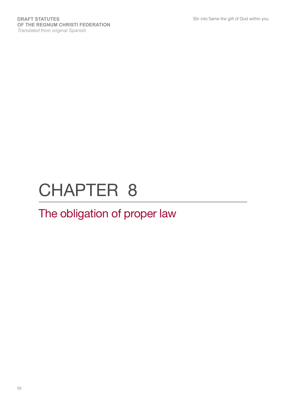# CHAPTER 8

# The obligation of proper law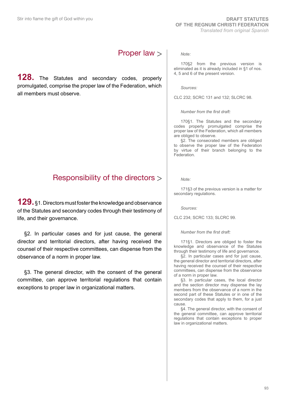## Proper law

**128.** The Statutes and secondary codes, properly promulgated, comprise the proper law of the Federation, which all members must observe.

## Responsibility of the directors

**129.** §1. Directors must foster the knowledge and observance of the Statutes and secondary codes through their testimony of life, and their governance.

§2. In particular cases and for just cause, the general director and territorial directors, after having received the counsel of their respective committees, can dispense from the observance of a norm in proper law.

§3. The general director, with the consent of the general committee, can approve territorial regulations that contain exceptions to proper law in organizational matters.

*Note:*

170§2 from the previous version is eliminated as it is already included in §1 of nos. 4, 5 and 6 of the present version.

*Sources:*

CLC 232; SCRC 131 and 132; SLCRC 98.

*Number from the first draft:*

170§1. The Statutes and the secondary codes properly promulgated comprise the proper law of the Federation, which all members are obliged to observe.

§2. The consecrated members are obliged to observe the proper law of the Federation by virtue of their branch belonging to the Federation.

*Note:*

171§3 of the previous version is a matter for secondary regulations.

*Sources:*

CLC 234; SCRC 133; SLCRC 99.

*Number from the first draft:*

171§1. Directors are obliged to foster the knowledge and observance of the Statutes through their testimony of life and governance.

§2. In particular cases and for just cause, the general director and territorial directors, after having received the counsel of their respective committees, can dispense from the observance of a norm in proper law.

§3. In particular cases, the local director and the section director may dispense the lay members from the observance of a norm in the second part of these Statutes or in one of the secondary codes that apply to them, for a just cause.

§4. The general director, with the consent of the general committee, can approve territorial regulations that contain exceptions to proper law in organizational matters.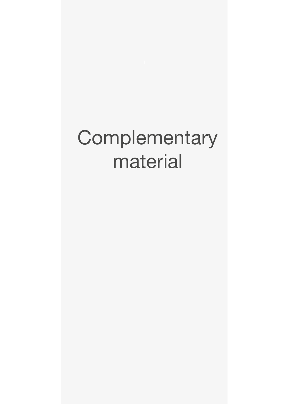# **Complementary** material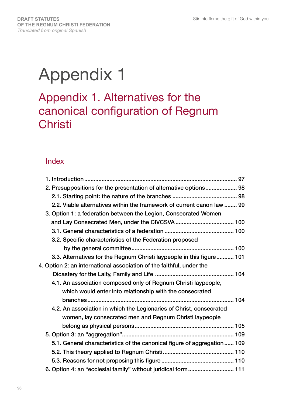# Appendix 1

## Appendix 1. Alternatives for the canonical configuration of Regnum **Christi**

## Index

| 2. Presuppositions for the presentation of alternative options 98       |
|-------------------------------------------------------------------------|
|                                                                         |
| 2.2. Viable alternatives within the framework of current canon law  99  |
| 3. Option 1: a federation between the Legion, Consecrated Women         |
|                                                                         |
|                                                                         |
| 3.2. Specific characteristics of the Federation proposed                |
|                                                                         |
| 3.3. Alternatives for the Regnum Christi laypeople in this figure 101   |
| 4. Option 2: an international association of the faithful, under the    |
|                                                                         |
| 4.1. An association composed only of Regnum Christi laypeople,          |
| which would enter into relationship with the consecrated                |
|                                                                         |
| 4.2. An association in which the Legionaries of Christ, consecrated     |
| women, lay consecrated men and Regnum Christi laypeople                 |
|                                                                         |
|                                                                         |
| 5.1. General characteristics of the canonical figure of aggregation 109 |
|                                                                         |
|                                                                         |
| 6. Option 4: an "ecclesial family" without juridical form 111           |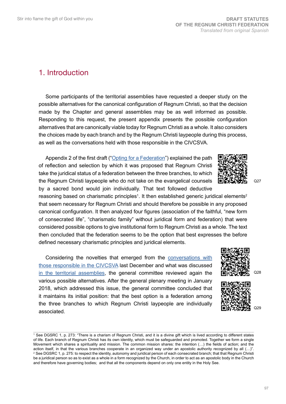### 1. Introduction

Some participants of the territorial assemblies have requested a deeper study on the possible alternatives for the canonical configuration of Regnum Christi, so that the decision made by the Chapter and general assemblies may be as well informed as possible. Responding to this request, the present appendix presents the possible configuration alternatives that are canonically viable today for Regnum Christi as a whole. It also considers the choices made by each branch and by the Regnum Christi laypeople during this process, as well as the conversations held with those responsible in the CIVCSVA.

Appendix 2 of the first draft ("[Opting for a Federation](http://www.regnumchristi.org/rcstatutes/wp-content/uploads/2017/07/BEGRC-170727-DG-RC-0370-2017.pdf)") explained the path of reflection and selection by which it was proposed that Regnum Christi take the juridical status of a federation between the three branches, to which the Regnum Christi laypeople who do not take on the evangelical counsels by a sacred bond would join individually. That text followed deductive

reasoning based on charismatic principles<sup>1</sup>. It then established generic juridical elements<sup>2</sup> that seem necessary for Regnum Christi and should therefore be possible in any proposed canonical configuration. It then analyzed four figures (association of the faithful, "new form of consecrated life", "charismatic family" without juridical form and federation) that were considered possible options to give institutional form to Regnum Christi as a whole. The text then concluded that the federation seems to be the option that best expresses the before defined necessary charismatic principles and juridical elements.

Considering the novelties that emerged from the [conversations with](http://www.regnumchristi.org/rcstatutes/wp-content/uploads/2017/12/DG-LC-797-2017-English_Translation.pdf)  [those responsible in the CIVCSVA](http://www.regnumchristi.org/rcstatutes/wp-content/uploads/2017/12/DG-LC-797-2017-English_Translation.pdf) last December and what was discussed [in the territorial assemblies](http://www.regnumchristi.org/rcstatutes/es/resultados-de-las-asambleas-territoriales-comunes/), the general committee reviewed again the various possible alternatives. After the general plenary meeting in January 2018, which addressed this issue, the general committee concluded that it maintains its initial position: that the best option is a federation among the three branches to which Regnum Christi laypeople are individually associated.









Q28

Q27

<sup>1</sup> See DGSRC 1, p. 273: "There is a charism of Regnum Christi, and it is a divine gift which is lived according to different states of life. Each branch of Regnum Christi has its own identity, which must be safeguarded and promoted. Together we form a single Movement which shares a spirituality and mission. The common mission shares: the intention (…) the fields of action; and the action itself, in that the various branches cooperate in an organized way under an apostolic authority recognized by all (…)". 2 See DGSRC 1, p. 275: to respect the identity, autonomy and juridical person of each consecrated branch; that that Regnum Christi be a juridical person so as to exist as a whole in a form recognized by the Church, in order to act as an apostolic body in the Church and therefore have governing bodies; and that all the components depend on only one entity in the Holy See.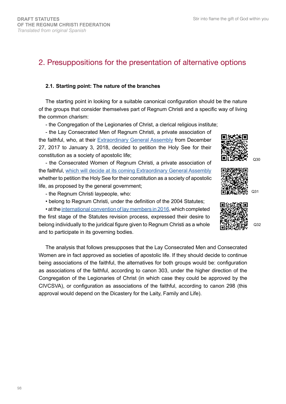## 2. Presuppositions for the presentation of alternative options

#### **2.1. Starting point: The nature of the branches**

The starting point in looking for a suitable canonical configuration should be the nature of the groups that consider themselves part of Regnum Christi and a specific way of living the common charism:

- the Congregation of the Legionaries of Christ, a clerical religious institute;

- the Lay Consecrated Men of Regnum Christi, a private association of the faithful, who, at their [Extraordinary General Assembly](http://laicosconsagradosrc.org/comunicado-asamblea-general-extraordinaria/) from December 27, 2017 to January 3, 2018, decided to petition the Holy See for their constitution as a society of apostolic life;

- the Consecrated Women of Regnum Christi, a private association of the faithful, [which will decide at its coming Extraordinary General Assembly](http://www.regnumchristi.org/rcstatutes/wp-content/uploads/2018/02/Prot-DG-CRC-2098-2017-Sobre-la-configuracion-juridica-CRC.pdf)  whether to petition the Holy See for their constitution as a society of apostolic life, as proposed by the general government;

- the Regnum Christi laypeople, who:

• belong to Regnum Christi, under the definition of the 2004 Statutes;

• at the [international convention of lay members in 2016](http://www.regnumchristi.org/rcstatutes/wp-content/uploads/2016/06/Acta_convencion_internacional_160610.pdf), which completed the first stage of the Statutes revision process, expressed their desire to belong individually to the juridical figure given to Regnum Christi as a whole and to participate in its governing bodies.

The analysis that follows presupposes that the Lay Consecrated Men and Consecrated Women are in fact approved as societies of apostolic life. If they should decide to continue being associations of the faithful, the alternatives for both groups would be: configuration as associations of the faithful, according to canon 303, under the higher direction of the Congregation of the Legionaries of Christ (in which case they could be approved by the CIVCSVA), or configuration as associations of the faithful, according to canon 298 (this approval would depend on the Dicastery for the Laity, Family and Life).





Q31





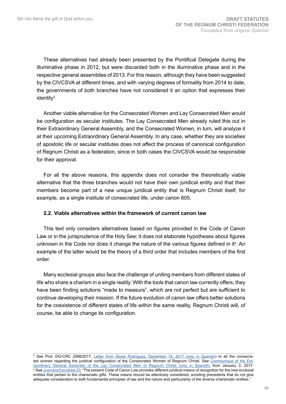These alternatives had already been presented by the Pontifical Delegate during the illuminative phase in 2012, but were discarded both in the illuminative phase and in the respective general assemblies of 2013. For this reason, although they have been suggested by the CIVCSVA at different times, and with varying degrees of formality from 2014 to date, the governments of both branches have not considered it an option that expresses their identity<sup>3</sup> .

Another viable alternative for the Consecrated Women and Lay Consecrated Men would be configuration as secular institutes. The Lay Consecrated Men already ruled this out in their Extraordinary General Assembly, and the Consecrated Women, in turn, will analyze it at their upcoming Extraordinary General Assembly. In any case, whether they are societies of apostolic life or secular institutes does not affect the process of canonical configuration of Regnum Christi as a federation, since in both cases the CIVCSVA would be responsible for their approval.

For all the above reasons, this appendix does not consider the theoretically viable alternative that the three branches would not have their own juridical entity and that their members become part of a new unique juridical entity that is Regnum Christi itself, for example, as a single institute of consecrated life, under canon 605.

#### **2.2. Viable alternatives within the framework of current canon law**

This text only considers alternatives based on figures provided in the Code of Canon Law or in the jurisprudence of the Holy See; it does not elaborate hypotheses about figures unknown in the Code nor does it change the nature of the various figures defined in it<sup>4</sup>. An example of the latter would be the theory of a third order that includes members of the first order.

Many ecclesial groups also face the challenge of uniting members from different states of life who share a charism in a single reality. With the tools that canon law currently offers, they have been finding solutions "made to measure", which are not perfect but are sufficient to continue developing their mission. If the future evolution of canon law offers better solutions for the coexistence of different states of life within the same reality, Regnum Christi will, of course, be able to change its configuration.

<sup>&</sup>lt;sup>3</sup> See Prot. DG-CRC 2098/2017, <u>[Letter from Gloria Rodríguez, December 19, 2017 \(only in Spanish](http://www.regnumchristi.org/rcstatutes/wp-content/uploads/2018/02/Prot-DG-CRC-2098-2017-Sobre-la-configuracion-juridica-CRC.pdf)</u>) to all the consecra-ted women regarding the juridical configuration of the Consecrated Women of Regnum Christi. See [Communiqué of the Ext](http://www.regnumchristi.org/rcstatutes/wp-content/uploads/2018/02/Prot-DG-CRC-2098-2017-Sobre-la-configuracion-juridica-CRC.pdf)[raordinary General Assembly of the Lay Consecrated Men of Regnum Christi \(only in Spanish\)](http://www.regnumchristi.org/rcstatutes/wp-content/uploads/2018/02/Prot-DG-CRC-2098-2017-Sobre-la-configuracion-juridica-CRC.pdf) from January 3, 2017. <sup>4</sup>See *[Iuvenescit ecclesia](http://www.vatican.va/roman_curia/congregations/cfaith/documents/rc_con_cfaith_doc_20160516_iuvenescit-ecclesia_en.html)* 23: "The present Code of Canon Law provides different juridical means of recognition for the new ecclesial entities that pertain to the charismatic gifts. These means should be attentively considered, avoiding precedents that do not give adequate consideration to both fundamental principles of law and the nature and particularity of the diverse charismatic entities."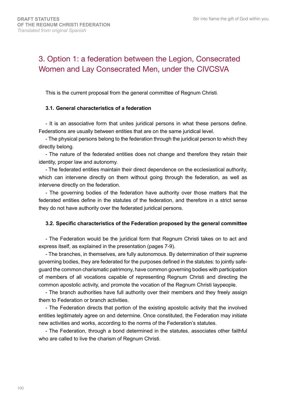## 3. Option 1: a federation between the Legion, Consecrated Women and Lay Consecrated Men, under the CIVCSVA

This is the current proposal from the general committee of Regnum Christi.

#### **3.1. General characteristics of a federation**

- It is an associative form that unites juridical persons in what these persons define. Federations are usually between entities that are on the same juridical level.

- The physical persons belong to the federation through the juridical person to which they directly belong.

- The nature of the federated entities does not change and therefore they retain their identity, proper law and autonomy.

- The federated entities maintain their direct dependence on the ecclesiastical authority, which can intervene directly on them without going through the federation, as well as intervene directly on the federation.

- The governing bodies of the federation have authority over those matters that the federated entities define in the statutes of the federation, and therefore in a strict sense they do not have authority over the federated juridical persons.

#### **3.2. Specific characteristics of the Federation proposed by the general committee**

- The Federation would be the juridical form that Regnum Christi takes on to act and express itself, as explained in the presentation (pages 7-9).

- The branches, in themselves, are fully autonomous. By determination of their supreme governing bodies, they are federated for the purposes defined in the statutes: to jointly safeguard the common charismatic patrimony, have common governing bodies with participation of members of all vocations capable of representing Regnum Christi and directing the common apostolic activity, and promote the vocation of the Regnum Christi laypeople.

- The branch authorities have full authority over their members and they freely assign them to Federation or branch activities.

- The Federation directs that portion of the existing apostolic activity that the involved entities legitimately agree on and determine. Once constituted, the Federation may initiate new activities and works, according to the norms of the Federation's statutes.

- The Federation, through a bond determined in the statutes, associates other faithful who are called to live the charism of Regnum Christi.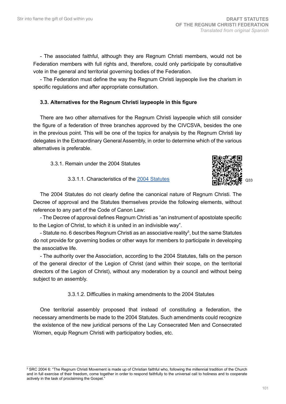- The associated faithful, although they are Regnum Christi members, would not be Federation members with full rights and, therefore, could only participate by consultative vote in the general and territorial governing bodies of the Federation.

- The Federation must define the way the Regnum Christi laypeople live the charism in specific regulations and after appropriate consultation.

#### **3.3. Alternatives for the Regnum Christi laypeople in this figure**

There are two other alternatives for the Regnum Christi laypeople which still consider the figure of a federation of three branches approved by the CIVCSVA, besides the one in the previous point. This will be one of the topics for analysis by the Regnum Christi lay delegates in the Extraordinary General Assembly, in order to determine which of the various alternatives is preferable.

3.3.1. Remain under the 2004 Statutes



3.3.1.1. Characteristics of the [2004 Statutes](http://www.regnumchristi.org/rcstatutes/wp-content/uploads/2017/05/[40]%202004%20Statutes%20of%20Regnum%20Christi.pdf)

The 2004 Statutes do not clearly define the canonical nature of Regnum Christi. The Decree of approval and the Statutes themselves provide the following elements, without reference to any part of the Code of Canon Law:

- The Decree of approval defines Regnum Christi as "an instrument of apostolate specific to the Legion of Christ, to which it is united in an indivisible way".

- Statute no. 6 describes Regnum Christi as an associative reality<sup>5</sup>, but the same Statutes do not provide for governing bodies or other ways for members to participate in developing the associative life.

- The authority over the Association, according to the 2004 Statutes, falls on the person of the general director of the Legion of Christ (and within their scope, on the territorial directors of the Legion of Christ), without any moderation by a council and without being subject to an assembly.

3.3.1.2. Difficulties in making amendments to the 2004 Statutes

One territorial assembly proposed that instead of constituting a federation, the necessary amendments be made to the 2004 Statutes. Such amendments could recognize the existence of the new juridical persons of the Lay Consecrated Men and Consecrated Women, equip Regnum Christi with participatory bodies, etc.

<sup>5</sup> SRC 2004 6: "The Regnum Christi Movement is made up of Christian faithful who, following the millennial tradition of the Church and in full exercise of their freedom, come together in order to respond faithfully to the universal call to holiness and to cooperate actively in the task of proclaiming the Gospel."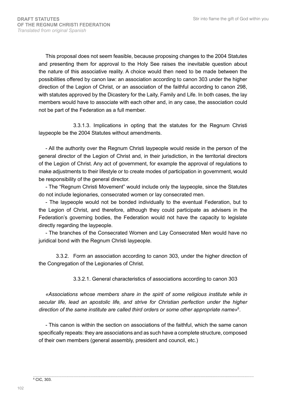This proposal does not seem feasible, because proposing changes to the 2004 Statutes and presenting them for approval to the Holy See raises the inevitable question about the nature of this associative reality. A choice would then need to be made between the possibilities offered by canon law: an association according to canon 303 under the higher direction of the Legion of Christ, or an association of the faithful according to canon 298, with statutes approved by the Dicastery for the Laity, Family and Life. In both cases, the lay members would have to associate with each other and, in any case, the association could not be part of the Federation as a full member.

3.3.1.3. Implications in opting that the statutes for the Regnum Christi laypeople be the 2004 Statutes without amendments.

- All the authority over the Regnum Christi laypeople would reside in the person of the general director of the Legion of Christ and, in their jurisdiction, in the territorial directors of the Legion of Christ. Any act of government, for example the approval of regulations to make adjustments to their lifestyle or to create modes of participation in government, would be responsibility of the general director.

- The "Regnum Christi Movement" would include only the laypeople, since the Statutes do not include legionaries, consecrated women or lay consecrated men.

- The laypeople would not be bonded individually to the eventual Federation, but to the Legion of Christ, and therefore, although they could participate as advisers in the Federation's governing bodies, the Federation would not have the capacity to legislate directly regarding the laypeople.

- The branches of the Consecrated Women and Lay Consecrated Men would have no juridical bond with the Regnum Christi laypeople.

3.3.2. Form an association according to canon 303, under the higher direction of the Congregation of the Legionaries of Christ.

3.3.2.1. General characteristics of associations according to canon 303

*«Associations whose members share in the spirit of some religious institute while in secular life, lead an apostolic life, and strive for Christian perfection under the higher direction of the same institute are called third orders or some other appropriate name»*<sup>6</sup> .

- This canon is within the section on associations of the faithful, which the same canon specifically repeats: they are associations and as such have a complete structure, composed of their own members (general assembly, president and council, etc.)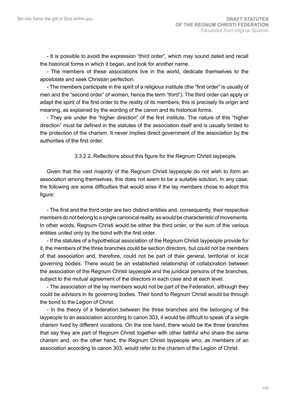- It is possible to avoid the expression "third order", which may sound dated and recall the historical forms in which it began, and look for another name.

- The members of these associations live in the world, dedicate themselves to the apostolate and seek Christian perfection.

- The members participate in the spirit of a religious institute (the "first order" is usually of men and the "second order" of women, hence the term "third"). The third order can apply or adapt the spirit of the first order to the reality of its members; this is precisely its origin and meaning, as explained by the wording of the canon and its historical forms.

- They are under the "higher direction" of the first institute. The nature of this "higher direction" must be defined in the statutes of the association itself and is usually limited to the protection of the charism. It never implies direct government of the association by the authorities of the first order.

3.3.2.2. Reflections about this figure for the Regnum Christi laypeople.

Given that the vast majority of the Regnum Christi laypeople do not wish to form an association among themselves, this does not seem to be a suitable solution. In any case, the following are some difficulties that would arise if the lay members chose to adopt this figure:

- The first and the third order are two distinct entities and, consequently, their respective members do not belong to a single canonical reality, as would be characteristic of movements. In other words, Regnum Christi would be either the third order, or the sum of the various entities united only by the bond with the first order.

- If the statutes of a hypothetical association of the Regnum Christi laypeople provide for it, the members of the three branches could be section directors, but could not be members of that association and, therefore, could not be part of their general, territorial or local governing bodies. There would be an established relationship of collaboration between the association of the Regnum Christi laypeople and the juridical persons of the branches, subject to the mutual agreement of the directors in each case and at each level.

- The association of the lay members would not be part of the Federation, although they could be advisors in its governing bodies. Their bond to Regnum Christi would be through the bond to the Legion of Christ.

- In the theory of a federation between the three branches and the belonging of the laypeople to an association according to canon 303, it would be difficult to speak of a single charism lived by different vocations. On the one hand, there would be the three branches that say they are part of Regnum Christi together with other faithful who share the same charism and, on the other hand, the Regnum Christi laypeople who, as members of an association according to canon 303, would refer to the charism of the Legion of Christ.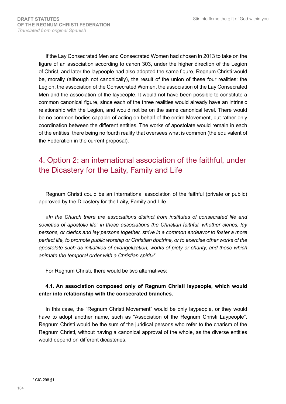If the Lay Consecrated Men and Consecrated Women had chosen in 2013 to take on the figure of an association according to canon 303, under the higher direction of the Legion of Christ, and later the laypeople had also adopted the same figure, Regnum Christi would be, morally (although not canonically), the result of the union of these four realities: the Legion, the association of the Consecrated Women, the association of the Lay Consecrated Men and the association of the laypeople. It would not have been possible to constitute a common canonical figure, since each of the three realities would already have an intrinsic relationship with the Legion, and would not be on the same canonical level. There would be no common bodies capable of acting on behalf of the entire Movement, but rather only coordination between the different entities. The works of apostolate would remain in each of the entities, there being no fourth reality that oversees what is common (the equivalent of the Federation in the current proposal).

## 4. Option 2: an international association of the faithful, under the Dicastery for the Laity, Family and Life

Regnum Christi could be an international association of the faithful (private or public) approved by the Dicastery for the Laity, Family and Life.

*«In the Church there are associations distinct from institutes of consecrated life and societies of apostolic life; in these associations the Christian faithful, whether clerics, lay persons, or clerics and lay persons together, strive in a common endeavor to foster a more perfect life, to promote public worship or Christian doctrine, or to exercise other works of the apostolate such as initiatives of evangelization, works of piety or charity, and those which animate the temporal order with a Christian spirit»*<sup>7</sup> *.*

For Regnum Christi, there would be two alternatives:

#### **4.1. An association composed only of Regnum Christi laypeople, which would enter into relationship with the consecrated branches.**

In this case, the "Regnum Christi Movement" would be only laypeople, or they would have to adopt another name, such as "Association of the Regnum Christi Laypeople". Regnum Christi would be the sum of the juridical persons who refer to the charism of the Regnum Christi, without having a canonical approval of the whole, as the diverse entities would depend on different dicasteries.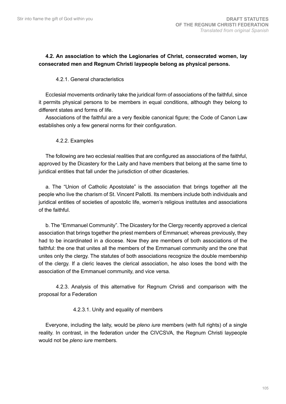#### **4.2. An association to which the Legionaries of Christ, consecrated women, lay consecrated men and Regnum Christi laypeople belong as physical persons.**

#### 4.2.1. General characteristics

Ecclesial movements ordinarily take the juridical form of associations of the faithful, since it permits physical persons to be members in equal conditions, although they belong to different states and forms of life.

Associations of the faithful are a very flexible canonical figure; the Code of Canon Law establishes only a few general norms for their configuration.

#### 4.2.2. Examples

The following are two ecclesial realities that are configured as associations of the faithful, approved by the Dicastery for the Laity and have members that belong at the same time to juridical entities that fall under the jurisdiction of other dicasteries.

a. The "Union of Catholic Apostolate" is the association that brings together all the people who live the charism of St. Vincent Pallotti. Its members include both individuals and juridical entities of societies of apostolic life, women's religious institutes and associations of the faithful.

b. The "Emmanuel Community". The Dicastery for the Clergy recently approved a clerical association that brings together the priest members of Emmanuel; whereas previously, they had to be incardinated in a diocese. Now they are members of both associations of the faithful: the one that unites all the members of the Emmanuel community and the one that unites only the clergy. The statutes of both associations recognize the double membership of the clergy. If a cleric leaves the clerical association, he also loses the bond with the association of the Emmanuel community, and vice versa.

4.2.3. Analysis of this alternative for Regnum Christi and comparison with the proposal for a Federation

#### 4.2.3.1. Unity and equality of members

Everyone, including the laity, would be *pleno iure* members (with full rights) of a single reality. In contrast, in the federation under the CIVCSVA, the Regnum Christi laypeople would not be *pleno iure* members.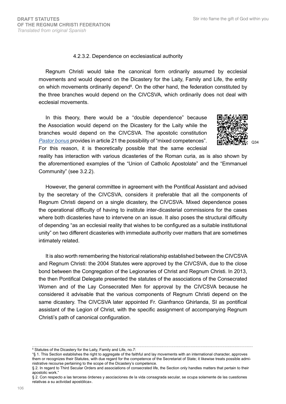#### 4.2.3.2. Dependence on ecclesiastical authority

Regnum Christi would take the canonical form ordinarily assumed by ecclesial movements and would depend on the Dicastery for the Laity, Family and Life, the entity on which movements ordinarily depend<sup>8</sup>. On the other hand, the federation constituted by the three branches would depend on the CIVCSVA, which ordinarily does not deal with ecclesial movements.

In this theory, there would be a "double dependence" because the Association would depend on the Dicastery for the Laity while the branches would depend on the CIVCSVA. The apostolic constitution *[Pastor bonus](https://w2.vatican.va/content/john-paul-ii/en/apost_constitutions/documents/hf_jp-ii_apc_19880628_pastor-bonus.html)* provides in article 21 the possibility of "mixed competences". For this reason, it is theoretically possible that the same ecclesial



reality has interaction with various dicasteries of the Roman curia, as is also shown by the aforementioned examples of the "Union of Catholic Apostolate" and the "Emmanuel Community" (see 3.2.2).

However, the general committee in agreement with the Pontifical Assistant and advised by the secretary of the CIVCSVA, considers it preferable that all the components of Regnum Christi depend on a single dicastery, the CIVCSVA. Mixed dependence poses the operational difficulty of having to institute inter-dicasterial commissions for the cases where both dicasteries have to intervene on an issue. It also poses the structural difficulty of depending "as an ecclesial reality that wishes to be configured as a suitable institutional unity" on two different dicasteries with immediate authority over matters that are sometimes intimately related.

It is also worth remembering the historical relationship established between the CIVCSVA and Regnum Christi: the 2004 Statutes were approved by the CIVCSVA, due to the close bond between the Congregation of the Legionaries of Christ and Regnum Christi. In 2013, the then Pontifical Delegate presented the statutes of the associations of the Consecrated Women and of the Lay Consecrated Men for approval by the CIVCSVA because he considered it advisable that the various components of Regnum Christi depend on the same dicastery. The CIVCSVA later appointed Fr. Gianfranco Ghirlanda, SI as pontifical assistant of the Legion of Christ, with the specific assignment of accompanying Regnum Christi's path of canonical configuration.

§ 2. Con respecto a las terceras órdenes y asociaciones de la vida consagrada secular, se ocupa solamente de las cuestiones relativas a su actividad apostólica».

<sup>8</sup> Statutes of the Dicastery for the Laity, Family and Life, no.7:

<sup>&</sup>quot;§ 1. This Section establishes the right to aggregate of the faithful and lay movements with an international character, approves them or recognizes their Statutes, with due regard for the competence of the Secretariat of State; it likewise treats possible administrative recourse pertaining to the scope of the Dicastery's competence.

<sup>§ 2.</sup> In regard to Third Secular Orders and associations of consecrated life, the Section only handles matters that pertain to their apostolic work."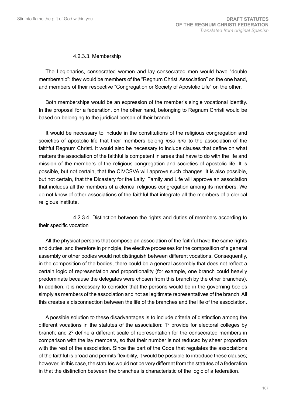#### 4.2.3.3. Membership

The Legionaries, consecrated women and lay consecrated men would have "double membership": they would be members of the "Regnum Christi Association" on the one hand, and members of their respective "Congregation or Society of Apostolic Life" on the other.

Both memberships would be an expression of the member's single vocational identity. In the proposal for a federation, on the other hand, belonging to Regnum Christi would be based on belonging to the juridical person of their branch.

It would be necessary to include in the constitutions of the religious congregation and societies of apostolic life that their members belong *ipso iure* to the association of the faithful Regnum Christi. It would also be necessary to include clauses that define on what matters the association of the faithful is competent in areas that have to do with the life and mission of the members of the religious congregation and societies of apostolic life. It is possible, but not certain, that the CIVCSVA will approve such changes. It is also possible, but not certain, that the Dicastery for the Laity, Family and Life will approve an association that includes all the members of a clerical religious congregation among its members. We do not know of other associations of the faithful that integrate all the members of a clerical religious institute.

4.2.3.4. Distinction between the rights and duties of members according to their specific vocation

All the physical persons that compose an association of the faithful have the same rights and duties, and therefore in principle, the elective processes for the composition of a general assembly or other bodies would not distinguish between different vocations. Consequently, in the composition of the bodies, there could be a general assembly that does not reflect a certain logic of representation and proportionality (for example, one branch could heavily predominate because the delegates were chosen from this branch by the other branches). In addition, it is necessary to consider that the persons would be in the governing bodies simply as members of the association and not as legitimate representatives of the branch. All this creates a disconnection between the life of the branches and the life of the association.

A possible solution to these disadvantages is to include criteria of distinction among the different vocations in the statutes of the association: 1º provide for electoral colleges by branch; and 2º define a different scale of representation for the consecrated members in comparison with the lay members, so that their number is not reduced by sheer proportion with the rest of the association. Since the part of the Code that regulates the associations of the faithful is broad and permits flexibility, it would be possible to introduce these clauses; however, in this case, the statutes would not be very different from the statutes of a federation in that the distinction between the branches is characteristic of the logic of a federation.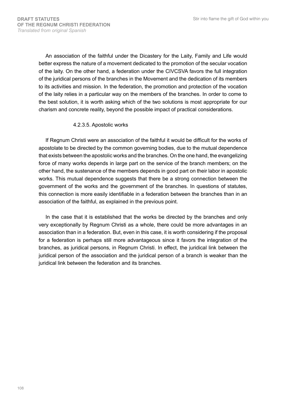An association of the faithful under the Dicastery for the Laity, Family and Life would better express the nature of a movement dedicated to the promotion of the secular vocation of the laity. On the other hand, a federation under the CIVCSVA favors the full integration of the juridical persons of the branches in the Movement and the dedication of its members to its activities and mission. In the federation, the promotion and protection of the vocation of the laity relies in a particular way on the members of the branches. In order to come to the best solution, it is worth asking which of the two solutions is most appropriate for our charism and concrete reality, beyond the possible impact of practical considerations.

#### 4.2.3.5. Apostolic works

If Regnum Christi were an association of the faithful it would be difficult for the works of apostolate to be directed by the common governing bodies, due to the mutual dependence that exists between the apostolic works and the branches. On the one hand, the evangelizing force of many works depends in large part on the service of the branch members; on the other hand, the sustenance of the members depends in good part on their labor in apostolic works. This mutual dependence suggests that there be a strong connection between the government of the works and the government of the branches. In questions of statutes, this connection is more easily identifiable in a federation between the branches than in an association of the faithful, as explained in the previous point.

In the case that it is established that the works be directed by the branches and only very exceptionally by Regnum Christi as a whole, there could be more advantages in an association than in a federation. But, even in this case, it is worth considering if the proposal for a federation is perhaps still more advantageous since it favors the integration of the branches, as juridical persons, in Regnum Christi. In effect, the juridical link between the juridical person of the association and the juridical person of a branch is weaker than the juridical link between the federation and its branches.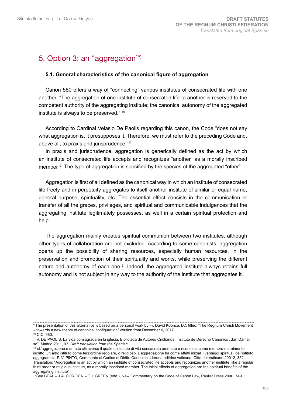### 5. Option 3: an "aggregation"<sup>9</sup>

#### **5.1. General characteristics of the canonical figure of aggregation**

Canon 580 offers a way of "connecting" various institutes of consecrated life with one another: "The aggregation of one institute of consecrated life to another is reserved to the competent authority of the aggregating institute; the canonical autonomy of the aggregated institute is always to be preserved." 10

According to Cardinal Velasio De Paolis regarding this canon, the Code "does not say what aggregation is, it presupposes it. Therefore, we must refer to the preceding Code and, above all, to praxis and jurisprudence."<sup>11</sup>

In praxis and jurisprudence, aggregation is generically defined as the act by which an institute of consecrated life accepts and recognizes "another" as a morally inscribed member<sup>12</sup>. The type of aggregation is specified by the species of the aggregated "other".

Aggregation is first of all defined as the canonical way in which an institute of consecrated life freely and in perpetuity aggregates to itself another institute of similar or equal name, general purpose, spirituality, etc. The essential effect consists in the communication or transfer of all the graces, privileges, and spiritual and communicable indulgences that the aggregating institute legitimately possesses, as well in a certain spiritual protection and help.

The aggregation mainly creates spiritual communion between two institutes, although other types of collaboration are not excluded. According to some canonists, aggregation opens up the possibility of sharing resources, especially human resources, in the preservation and promotion of their spirituality and works, while preserving the different nature and autonomy of each one<sup>13</sup>. Indeed, the aggregated institute always retains full autonomy and is not subject in any way to the authority of the institute that aggregates it.

<sup>9</sup> The presentation of this alternative is based on a personal work by Fr. David Koonce, LC, titled: "The Regnum Christi Movement – towards a new theory of canonical configuration" version from December 6, 2017.

<sup>10</sup> CIC, 580.

<sup>11</sup> V. DE PAOLIS, La vida consagrada en la iglesia, Biblioteca de Autores Cristianos; Instituto de Derecho Canónico "San Dámaso", Madrid 2011, 97. *Draft translation from the Spanish.*

<sup>12 «</sup>L'aggregazione è un atto attraverso il quale un istituto di vita consacrata ammette e riconosce come membro moralmente iscritto, un altro istituto come terz'ordine regolare, o religioso. L'aggregazione ha come effetti iniziali i vantaggi spirituali dell'istituto aggegrante». P. V. PINTO, Commento al Codice di Diritto Canonico, Libreria editrice vaticana, Citta del Vaticano 20012, 352. Translation: "Aggregation is an act by which an institute of consecrated life accepts and recognizes another institute, like a regular third order or religious institute, as a morally inscribed member. The initial effects of aggregation are the spiritual benefits of the aggregating institute"

<sup>&</sup>lt;sup>13</sup> See BEAL – J.A. CORIDEN – T.J. GREEN (edd.), New Commentary on the Code of Canon Law, Paulist Press 2000, 749.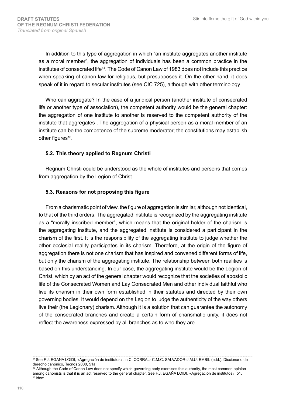In addition to this type of aggregation in which "an institute aggregates another institute as a moral member", the aggregation of individuals has been a common practice in the institutes of consecrated life14. The Code of Canon Law of 1983 does not include this practice when speaking of canon law for religious, but presupposes it. On the other hand, it does speak of it in regard to secular institutes (see CIC 725), although with other terminology.

Who can aggregate? In the case of a juridical person (another institute of consecrated life or another type of association), the competent authority would be the general chapter: the aggregation of one institute to another is reserved to the competent authority of the institute that aggregates . The aggregation of a physical person as a moral member of an institute can be the competence of the supreme moderator; the constitutions may establish other figures<sup>16</sup>.

#### **5.2. This theory applied to Regnum Christi**

Regnum Christi could be understood as the whole of institutes and persons that comes from aggregation by the Legion of Christ.

#### **5.3. Reasons for not proposing this figure**

From a charismatic point of view, the figure of aggregation is similar, although not identical, to that of the third orders. The aggregated institute is recognized by the aggregating institute as a "morally inscribed member", which means that the original holder of the charism is the aggregating institute, and the aggregated institute is considered a participant in the charism of the first. It is the responsibility of the aggregating institute to judge whether the other ecclesial reality participates in its charism. Therefore, at the origin of the figure of aggregation there is not one charism that has inspired and convened different forms of life, but only the charism of the aggregating institute. The relationship between both realities is based on this understanding. In our case, the aggregating institute would be the Legion of Christ, which by an act of the general chapter would recognize that the societies of apostolic life of the Consecrated Women and Lay Consecrated Men and other individual faithful who live its charism in their own form established in their statutes and directed by their own governing bodies. It would depend on the Legion to judge the authenticity of the way others live their (the Legionary) charism. Although it is a solution that can guarantee the autonomy of the consecrated branches and create a certain form of charismatic unity, it does not reflect the awareness expressed by all branches as to who they are.

<sup>14</sup> See F.J. EGAÑA LOIDI, «Agregación de institutos», in C. CORRAL- C.M.C. SALVADOR-J.M.U. EMBIL (edd.). Diccionario de derecho canónico, Tecnos 2000, 51a.

<sup>&</sup>lt;sup>15</sup> Although the Code of Canon Law does not specify which governing body exercises this authority, the most common opinion among canonists is that it is an act reserved to the general chapter. See F.J. EGAÑA LOIDI, «Agregación de institutos», 51. 16 Idem.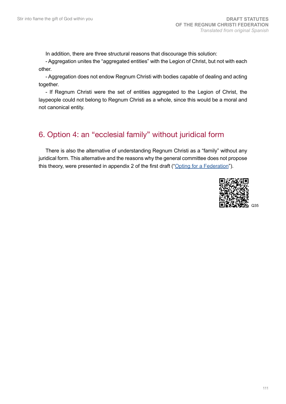In addition, there are three structural reasons that discourage this solution:

- Aggregation unites the "aggregated entities" with the Legion of Christ, but not with each other.

- Aggregation does not endow Regnum Christi with bodies capable of dealing and acting together.

- If Regnum Christi were the set of entities aggregated to the Legion of Christ, the laypeople could not belong to Regnum Christi as a whole, since this would be a moral and not canonical entity.

#### 6. Option 4: an "ecclesial family" without juridical form

There is also the alternative of understanding Regnum Christi as a "family" without any juridical form. This alternative and the reasons why the general committee does not propose this theory, were presented in appendix 2 of the first draft (["Opting for a Federation](http://www.regnumchristi.org/rcstatutes/wp-content/uploads/2017/07/BEGRC-170727-DG-RC-0370-2017.pdf)").

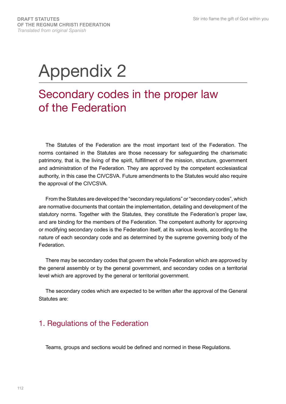# Appendix 2

## Secondary codes in the proper law of the Federation

The Statutes of the Federation are the most important text of the Federation. The norms contained in the Statutes are those necessary for safeguarding the charismatic patrimony, that is, the living of the spirit, fulfillment of the mission, structure, government and administration of the Federation. They are approved by the competent ecclesiastical authority, in this case the CIVCSVA. Future amendments to the Statutes would also require the approval of the CIVCSVA.

From the Statutes are developed the "secondary regulations" or "secondary codes", which are normative documents that contain the implementation, detailing and development of the statutory norms. Together with the Statutes, they constitute the Federation's proper law, and are binding for the members of the Federation. The competent authority for approving or modifying secondary codes is the Federation itself, at its various levels, according to the nature of each secondary code and as determined by the supreme governing body of the **Federation** 

There may be secondary codes that govern the whole Federation which are approved by the general assembly or by the general government, and secondary codes on a territorial level which are approved by the general or territorial government.

The secondary codes which are expected to be written after the approval of the General Statutes are:

### 1. Regulations of the Federation

Teams, groups and sections would be defined and normed in these Regulations.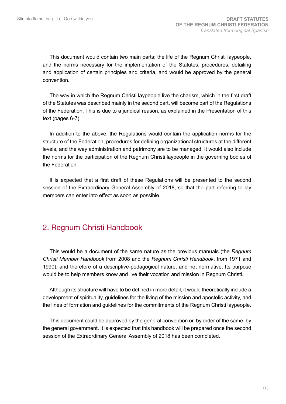This document would contain two main parts: the life of the Regnum Christi laypeople, and the norms necessary for the implementation of the Statutes: procedures, detailing and application of certain principles and criteria, and would be approved by the general convention.

The way in which the Regnum Christi laypeople live the charism, which in the first draft of the Statutes was described mainly in the second part, will become part of the Regulations of the Federation. This is due to a juridical reason, as explained in the Presentation of this text (pages 6-7).

In addition to the above, the Regulations would contain the application norms for the structure of the Federation, procedures for defining organizational structures at the different levels, and the way administration and patrimony are to be managed. It would also include the norms for the participation of the Regnum Christi laypeople in the governing bodies of the Federation.

It is expected that a first draft of these Regulations will be presented to the second session of the Extraordinary General Assembly of 2018, so that the part referring to lay members can enter into effect as soon as possible.

#### 2. Regnum Christi Handbook

This would be a document of the same nature as the previous manuals (the *Regnum Christi Member Handbook* from 2008 and the *Regnum Christi Handbook*, from 1971 and 1990), and therefore of a descriptive-pedagogical nature, and not normative. Its purpose would be to help members know and live their vocation and mission in Regnum Christi.

Although its structure will have to be defined in more detail, it would theoretically include a development of spirituality, guidelines for the living of the mission and apostolic activity, and the lines of formation and guidelines for the commitments of the Regnum Christi laypeople.

This document could be approved by the general convention or, by order of the same, by the general government. It is expected that this handbook will be prepared once the second session of the Extraordinary General Assembly of 2018 has been completed.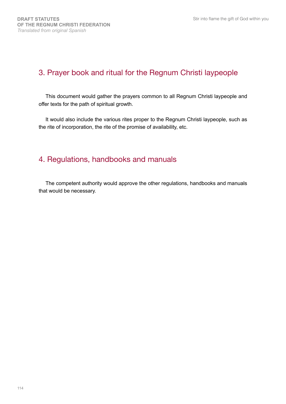#### 3. Prayer book and ritual for the Regnum Christi laypeople

This document would gather the prayers common to all Regnum Christi laypeople and offer texts for the path of spiritual growth.

It would also include the various rites proper to the Regnum Christi laypeople, such as the rite of incorporation, the rite of the promise of availability, etc.

### 4. Regulations, handbooks and manuals

The competent authority would approve the other regulations, handbooks and manuals that would be necessary.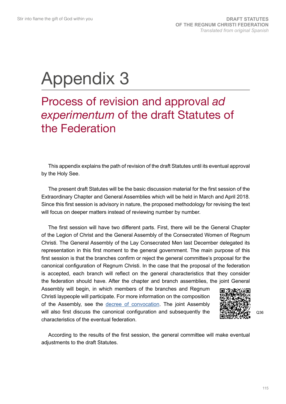# Appendix 3

## Process of revision and approval *ad experimentum* of the draft Statutes of the Federation

This appendix explains the path of revision of the draft Statutes until its eventual approval by the Holy See.

The present draft Statutes will be the basic discussion material for the first session of the Extraordinary Chapter and General Assemblies which will be held in March and April 2018. Since this first session is advisory in nature, the proposed methodology for revising the text will focus on deeper matters instead of reviewing number by number.

The first session will have two different parts. First, there will be the General Chapter of the Legion of Christ and the General Assembly of the Consecrated Women of Regnum Christi. The General Assembly of the Lay Consecrated Men last December delegated its representation in this first moment to the general government. The main purpose of this first session is that the branches confirm or reject the general committee's proposal for the canonical configuration of Regnum Christi. In the case that the proposal of the federation is accepted, each branch will reflect on the general characteristics that they consider the federation should have. After the chapter and branch assemblies, the joint General

Assembly will begin, in which members of the branches and Regnum Christi laypeople will participate. For more information on the composition of the Assembly, see the [decree of convocation](http://www.regnumchristi.org/rcstatutes/wp-content/uploads/2018/02/26-Decree-to-convene-general-assembly-DG-RC-0792-2017-English-translation.pdf). The joint Assembly will also first discuss the canonical configuration and subsequently the characteristics of the eventual federation.



According to the results of the first session, the general committee will make eventual adjustments to the draft Statutes.

Q36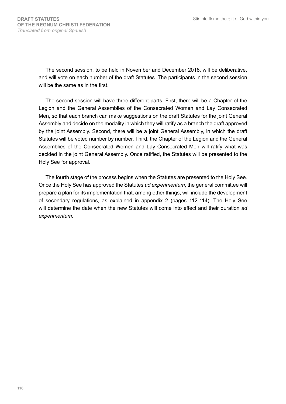The second session, to be held in November and December 2018, will be deliberative, and will vote on each number of the draft Statutes. The participants in the second session will be the same as in the first.

The second session will have three different parts. First, there will be a Chapter of the Legion and the General Assemblies of the Consecrated Women and Lay Consecrated Men, so that each branch can make suggestions on the draft Statutes for the joint General Assembly and decide on the modality in which they will ratify as a branch the draft approved by the joint Assembly. Second, there will be a joint General Assembly, in which the draft Statutes will be voted number by number. Third, the Chapter of the Legion and the General Assemblies of the Consecrated Women and Lay Consecrated Men will ratify what was decided in the joint General Assembly. Once ratified, the Statutes will be presented to the Holy See for approval.

The fourth stage of the process begins when the Statutes are presented to the Holy See. Once the Holy See has approved the Statutes *ad experimentum*, the general committee will prepare a plan for its implementation that, among other things, will include the development of secondary regulations, as explained in appendix 2 (pages 112-114). The Holy See will determine the date when the new Statutes will come into effect and their duration *ad experimentum.*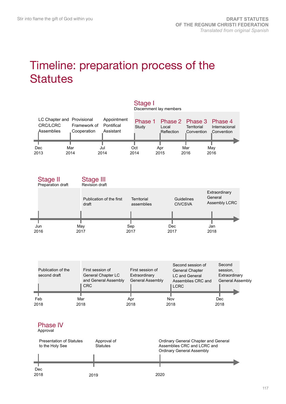## Timeline: preparation process of the **Statutes**

|                        |                                                           |                                        | Discernment lay members |                     |                           |                                                                |  |
|------------------------|-----------------------------------------------------------|----------------------------------------|-------------------------|---------------------|---------------------------|----------------------------------------------------------------|--|
| CRC/LCRC<br>Assemblies | LC Chapter and Provisional<br>Framework of<br>Cooperation | Appointment<br>Pontifical<br>Assistant | Study                   | Local<br>Reflection | Territorial<br>Convention | Phase 1 Phase 2 Phase 3 Phase 4<br>Internacional<br>Convention |  |
| Dec                    | Mar                                                       | Jul                                    | Oct                     | Apr                 | Mar                       | May                                                            |  |
| 2013                   | 2014                                                      | 2014                                   | 2014                    | 2015                | 2016                      | 2016                                                           |  |

Stage I



| Publication of the<br>second draft | First session of<br>General Chapter LC<br>and General Assembly<br><b>CRC</b> | First session of<br>Extraordinary<br><b>General Assembly</b> | Second session of<br><b>General Chapter</b><br>LC and General<br>Assemblies CRC and<br><b>LCRC</b> | Second<br>session,<br>Extraordinary<br><b>General Assembly</b> |
|------------------------------------|------------------------------------------------------------------------------|--------------------------------------------------------------|----------------------------------------------------------------------------------------------------|----------------------------------------------------------------|
| Feb                                | Mar                                                                          | Apr                                                          | Nov                                                                                                | Dec                                                            |
| 2018                               | 2018                                                                         | 2018                                                         | 2018                                                                                               | 2018                                                           |

#### Phase IV

Approval